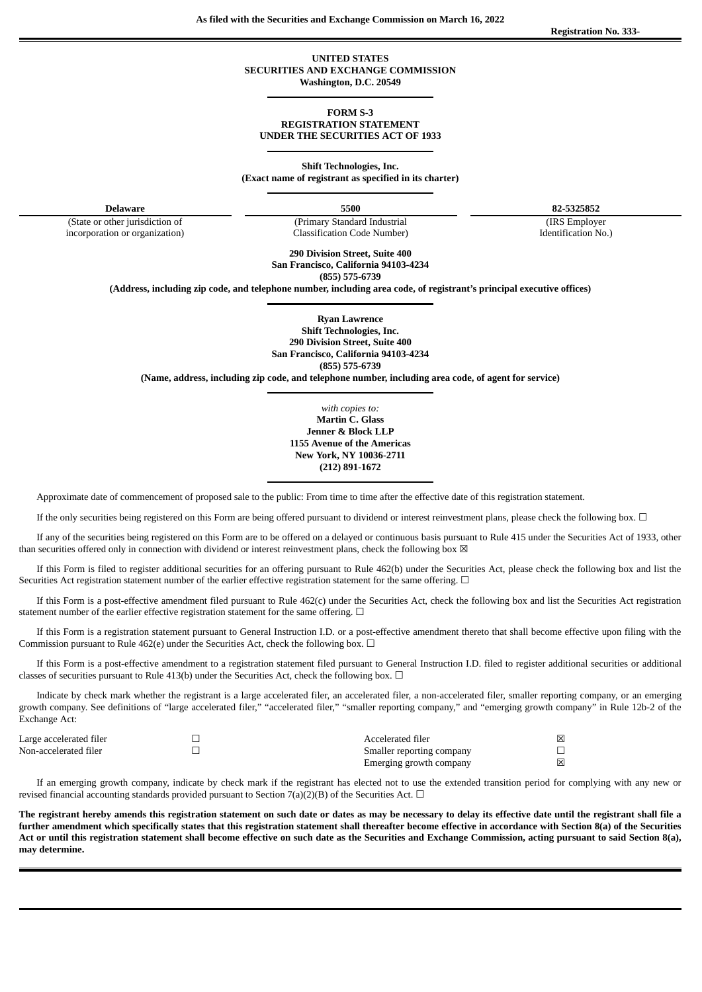### **UNITED STATES SECURITIES AND EXCHANGE COMMISSION Washington, D.C. 20549**

**FORM S-3 REGISTRATION STATEMENT UNDER THE SECURITIES ACT OF 1933**

**Shift Technologies, Inc. (Exact name of registrant as specified in its charter)**

**Delaware 5500 82-5325852**

(State or other jurisdiction of incorporation or organization)

(Primary Standard Industrial Classification Code Number)

(IRS Employer Identification No.)

**290 Division Street, Suite 400 San Francisco, California 94103-4234 (855) 575-6739**

**(Address, including zip code, and telephone number, including area code, of registrant's principal executive offices)**

**Ryan Lawrence Shift Technologies, Inc. 290 Division Street, Suite 400 San Francisco, California 94103-4234 (855) 575-6739**

**(Name, address, including zip code, and telephone number, including area code, of agent for service)**

*with copies to:* **Martin C. Glass Jenner & Block LLP 1155 Avenue of the Americas New York, NY 10036-2711 (212) 891-1672**

Approximate date of commencement of proposed sale to the public: From time to time after the effective date of this registration statement.

If the only securities being registered on this Form are being offered pursuant to dividend or interest reinvestment plans, please check the following box.  $\Box$ 

If any of the securities being registered on this Form are to be offered on a delayed or continuous basis pursuant to Rule 415 under the Securities Act of 1933, other than securities offered only in connection with dividend or interest reinvestment plans, check the following box  $\boxtimes$ 

If this Form is filed to register additional securities for an offering pursuant to Rule 462(b) under the Securities Act, please check the following box and list the Securities Act registration statement number of the earlier effective registration statement for the same offering. □

If this Form is a post-effective amendment filed pursuant to Rule 462(c) under the Securities Act, check the following box and list the Securities Act registration statement number of the earlier effective registration statement for the same offering.  $\Box$ 

If this Form is a registration statement pursuant to General Instruction I.D. or a post-effective amendment thereto that shall become effective upon filing with the Commission pursuant to Rule 462(e) under the Securities Act, check the following box.  $\Box$ 

If this Form is a post-effective amendment to a registration statement filed pursuant to General Instruction I.D. filed to register additional securities or additional classes of securities pursuant to Rule 413(b) under the Securities Act, check the following box.  $\Box$ 

Indicate by check mark whether the registrant is a large accelerated filer, an accelerated filer, a non-accelerated filer, smaller reporting company, or an emerging growth company. See definitions of "large accelerated filer," "accelerated filer," "smaller reporting company," and "emerging growth company" in Rule 12b-2 of the Exchange Act:

| Large accelerated filer | Accelerated filer         | ΙX |
|-------------------------|---------------------------|----|
| Non-accelerated filer   | Smaller reporting company |    |
|                         | Emerging growth company   | ΙX |

If an emerging growth company, indicate by check mark if the registrant has elected not to use the extended transition period for complying with any new or revised financial accounting standards provided pursuant to Section 7(a)(2)(B) of the Securities Act.  $\Box$ 

The registrant hereby amends this registration statement on such date or dates as may be necessary to delay its effective date until the registrant shall file a further amendment which specifically states that this registration statement shall thereafter become effective in accordance with Section 8(a) of the Securities Act or until this registration statement shall become effective on such date as the Securities and Exchange Commission, acting pursuant to said Section 8(a), **may determine.**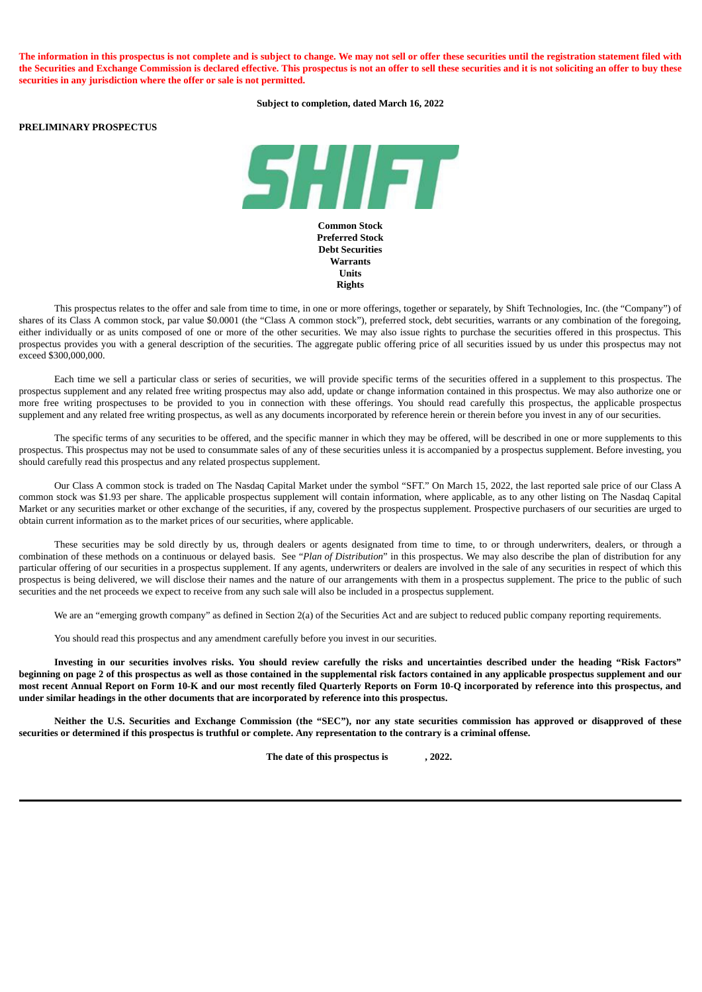The information in this prospectus is not complete and is subject to change. We may not sell or offer these securities until the registration statement filed with the Securities and Exchange Commission is declared effective. This prospectus is not an offer to sell these securities and it is not soliciting an offer to buy these **securities in any jurisdiction where the offer or sale is not permitted.**

**Subject to completion, dated March 16, 2022**

# **PRELIMINARY PROSPECTUS**



This prospectus relates to the offer and sale from time to time, in one or more offerings, together or separately, by Shift Technologies, Inc. (the "Company") of shares of its Class A common stock, par value \$0.0001 (the "Class A common stock"), preferred stock, debt securities, warrants or any combination of the foregoing, either individually or as units composed of one or more of the other securities. We may also issue rights to purchase the securities offered in this prospectus. This prospectus provides you with a general description of the securities. The aggregate public offering price of all securities issued by us under this prospectus may not exceed \$300,000,000.

**Rights**

Each time we sell a particular class or series of securities, we will provide specific terms of the securities offered in a supplement to this prospectus. The prospectus supplement and any related free writing prospectus may also add, update or change information contained in this prospectus. We may also authorize one or more free writing prospectuses to be provided to you in connection with these offerings. You should read carefully this prospectus, the applicable prospectus supplement and any related free writing prospectus, as well as any documents incorporated by reference herein or therein before you invest in any of our securities.

The specific terms of any securities to be offered, and the specific manner in which they may be offered, will be described in one or more supplements to this prospectus. This prospectus may not be used to consummate sales of any of these securities unless it is accompanied by a prospectus supplement. Before investing, you should carefully read this prospectus and any related prospectus supplement.

Our Class A common stock is traded on The Nasdaq Capital Market under the symbol "SFT." On March 15, 2022, the last reported sale price of our Class A common stock was \$1.93 per share. The applicable prospectus supplement will contain information, where applicable, as to any other listing on The Nasdaq Capital Market or any securities market or other exchange of the securities, if any, covered by the prospectus supplement. Prospective purchasers of our securities are urged to obtain current information as to the market prices of our securities, where applicable.

These securities may be sold directly by us, through dealers or agents designated from time to time, to or through underwriters, dealers, or through a combination of these methods on a continuous or delayed basis. See "*Plan of Distribution*" in this prospectus. We may also describe the plan of distribution for any particular offering of our securities in a prospectus supplement. If any agents, underwriters or dealers are involved in the sale of any securities in respect of which this prospectus is being delivered, we will disclose their names and the nature of our arrangements with them in a prospectus supplement. The price to the public of such securities and the net proceeds we expect to receive from any such sale will also be included in a prospectus supplement.

We are an "emerging growth company" as defined in Section 2(a) of the Securities Act and are subject to reduced public company reporting requirements.

You should read this prospectus and any amendment carefully before you invest in our securities.

Investing in our securities involves risks. You should review carefully the risks and uncertainties described under the heading "Risk Factors" beginning on page 2 of this prospectus as well as those contained in the supplemental risk factors contained in any applicable prospectus supplement and our most recent Annual Report on Form 10-K and our most recently filed Quarterly Reports on Form 10-Q incorporated by reference into this prospectus, and **under similar headings in the other documents that are incorporated by reference into this prospectus.**

Neither the U.S. Securities and Exchange Commission (the "SEC"), nor any state securities commission has approved or disapproved of these securities or determined if this prospectus is truthful or complete. Any representation to the contrary is a criminal offense.

**The date of this prospectus is , 2022.**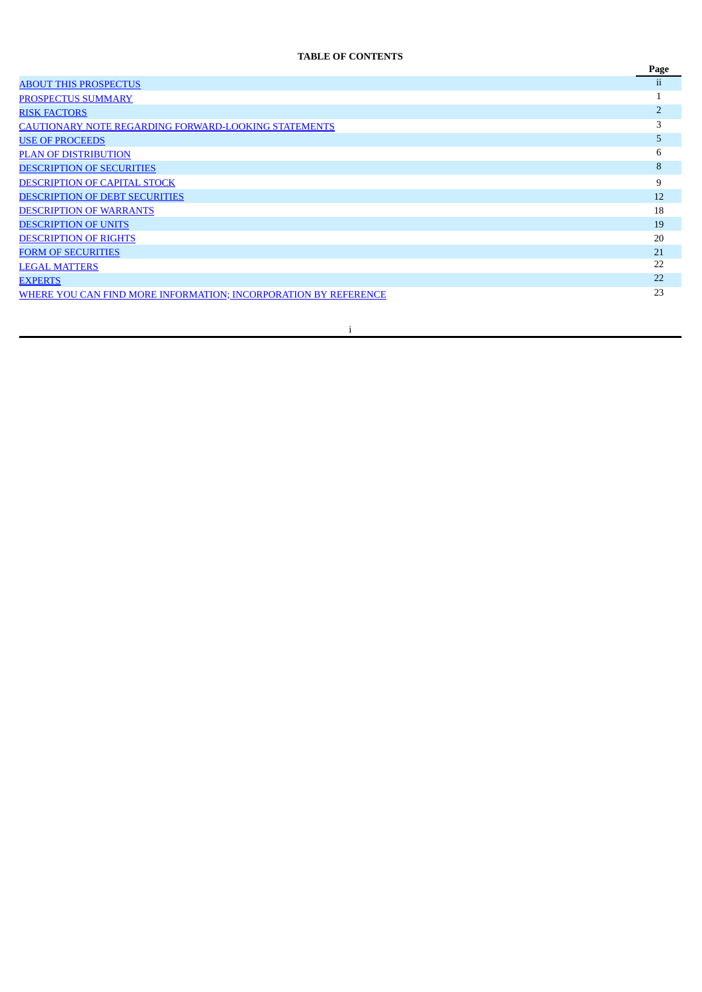|                                                                 | Page           |
|-----------------------------------------------------------------|----------------|
| <b>ABOUT THIS PROSPECTUS</b>                                    | $\mathbf{ii}$  |
| <b>PROSPECTUS SUMMARY</b>                                       |                |
| <b>RISK FACTORS</b>                                             | $\overline{2}$ |
| <b>CAUTIONARY NOTE REGARDING FORWARD-LOOKING STATEMENTS</b>     | 3              |
| <b>USE OF PROCEEDS</b>                                          | 5              |
| <b>PLAN OF DISTRIBUTION</b>                                     | 6              |
| <b>DESCRIPTION OF SECURITIES</b>                                | 8              |
| <b>DESCRIPTION OF CAPITAL STOCK</b>                             | 9              |
| <b>DESCRIPTION OF DEBT SECURITIES</b>                           | 12             |
| <b>DESCRIPTION OF WARRANTS</b>                                  | 18             |
| <b>DESCRIPTION OF UNITS</b>                                     | 19             |
| <b>DESCRIPTION OF RIGHTS</b>                                    | 20             |
| <b>FORM OF SECURITIES</b>                                       | 21             |
| <b>LEGAL MATTERS</b>                                            | 22             |
| <b>EXPERTS</b>                                                  | 22             |
| WHERE YOU CAN FIND MORE INFORMATION; INCORPORATION BY REFERENCE | 23             |

i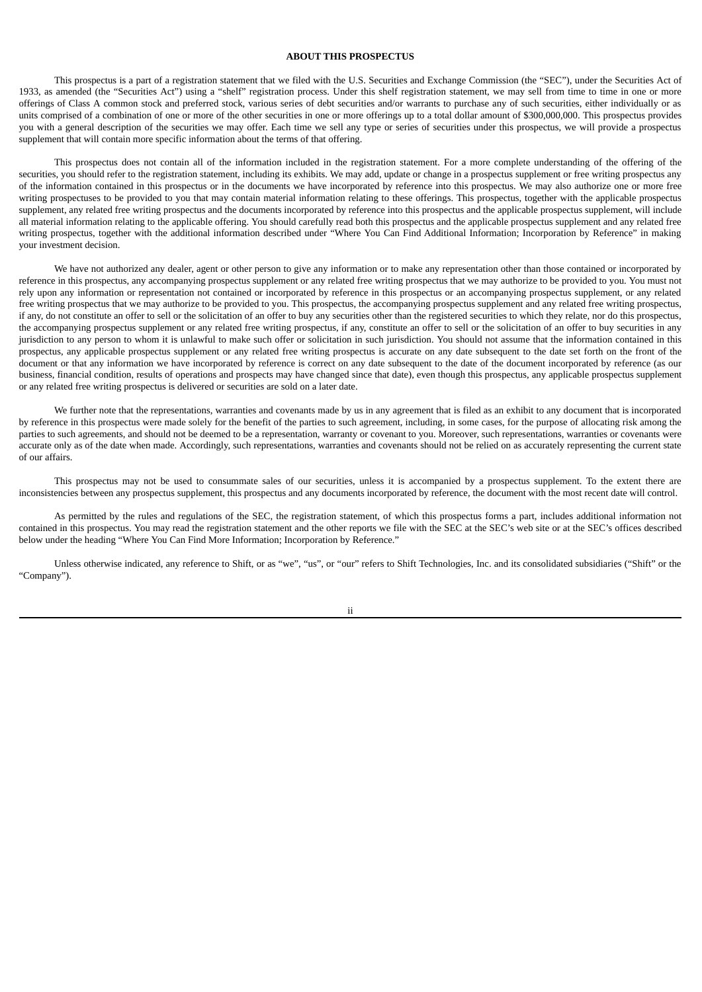# **ABOUT THIS PROSPECTUS**

<span id="page-3-0"></span>This prospectus is a part of a registration statement that we filed with the U.S. Securities and Exchange Commission (the "SEC"), under the Securities Act of 1933, as amended (the "Securities Act") using a "shelf" registration process. Under this shelf registration statement, we may sell from time to time in one or more offerings of Class A common stock and preferred stock, various series of debt securities and/or warrants to purchase any of such securities, either individually or as units comprised of a combination of one or more of the other securities in one or more offerings up to a total dollar amount of \$300,000,000. This prospectus provides you with a general description of the securities we may offer. Each time we sell any type or series of securities under this prospectus, we will provide a prospectus supplement that will contain more specific information about the terms of that offering.

This prospectus does not contain all of the information included in the registration statement. For a more complete understanding of the offering of the securities, you should refer to the registration statement, including its exhibits. We may add, update or change in a prospectus supplement or free writing prospectus any of the information contained in this prospectus or in the documents we have incorporated by reference into this prospectus. We may also authorize one or more free writing prospectuses to be provided to you that may contain material information relating to these offerings. This prospectus, together with the applicable prospectus supplement, any related free writing prospectus and the documents incorporated by reference into this prospectus and the applicable prospectus supplement, will include all material information relating to the applicable offering. You should carefully read both this prospectus and the applicable prospectus supplement and any related free writing prospectus, together with the additional information described under "Where You Can Find Additional Information; Incorporation by Reference" in making your investment decision.

We have not authorized any dealer, agent or other person to give any information or to make any representation other than those contained or incorporated by reference in this prospectus, any accompanying prospectus supplement or any related free writing prospectus that we may authorize to be provided to you. You must not rely upon any information or representation not contained or incorporated by reference in this prospectus or an accompanying prospectus supplement, or any related free writing prospectus that we may authorize to be provided to you. This prospectus, the accompanying prospectus supplement and any related free writing prospectus, if any, do not constitute an offer to sell or the solicitation of an offer to buy any securities other than the registered securities to which they relate, nor do this prospectus, the accompanying prospectus supplement or any related free writing prospectus, if any, constitute an offer to sell or the solicitation of an offer to buy securities in any jurisdiction to any person to whom it is unlawful to make such offer or solicitation in such jurisdiction. You should not assume that the information contained in this prospectus, any applicable prospectus supplement or any related free writing prospectus is accurate on any date subsequent to the date set forth on the front of the document or that any information we have incorporated by reference is correct on any date subsequent to the date of the document incorporated by reference (as our business, financial condition, results of operations and prospects may have changed since that date), even though this prospectus, any applicable prospectus supplement or any related free writing prospectus is delivered or securities are sold on a later date.

We further note that the representations, warranties and covenants made by us in any agreement that is filed as an exhibit to any document that is incorporated by reference in this prospectus were made solely for the benefit of the parties to such agreement, including, in some cases, for the purpose of allocating risk among the parties to such agreements, and should not be deemed to be a representation, warranty or covenant to you. Moreover, such representations, warranties or covenants were accurate only as of the date when made. Accordingly, such representations, warranties and covenants should not be relied on as accurately representing the current state of our affairs.

This prospectus may not be used to consummate sales of our securities, unless it is accompanied by a prospectus supplement. To the extent there are inconsistencies between any prospectus supplement, this prospectus and any documents incorporated by reference, the document with the most recent date will control.

As permitted by the rules and regulations of the SEC, the registration statement, of which this prospectus forms a part, includes additional information not contained in this prospectus. You may read the registration statement and the other reports we file with the SEC at the SEC's web site or at the SEC's offices described below under the heading "Where You Can Find More Information; Incorporation by Reference."

Unless otherwise indicated, any reference to Shift, or as "we", "us", or "our" refers to Shift Technologies, Inc. and its consolidated subsidiaries ("Shift" or the "Company").

ii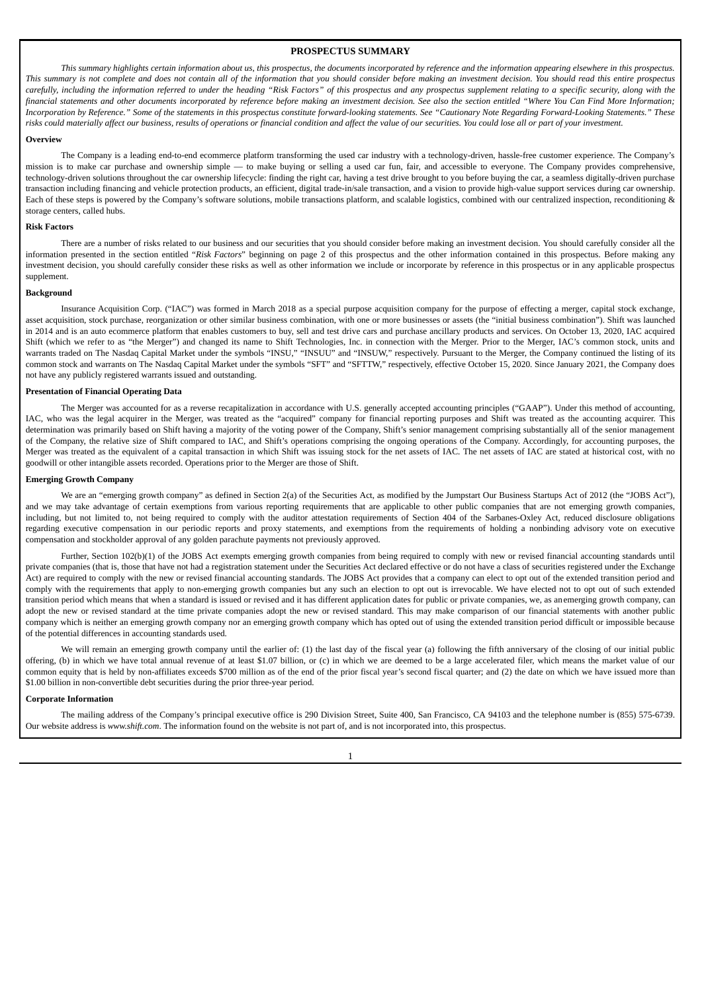#### **PROSPECTUS SUMMARY**

<span id="page-4-0"></span>*This summary highlights certain information about us, this prospectus, the documents incorporated by reference and the information appearing elsewhere in this prospectus. This summary is not complete and does not contain all of the information that you should consider before making an investment decision. You should read this entire prospectus carefully, including the information referred to under the heading "Risk Factors" of this prospectus and any prospectus supplement relating to a specific security, along with the financial statements and other documents incorporated by reference before making an investment decision. See also the section entitled "Where You Can Find More Information; Incorporation by Reference." Some of the statements in this prospectus constitute forward-looking statements. See "Cautionary Note Regarding Forward-Looking Statements." These risks could materially affect our business, results of operations or financial condition and affect the value of our securities. You could lose all or part of your investment.*

#### **Overview**

The Company is a leading end-to-end ecommerce platform transforming the used car industry with a technology-driven, hassle-free customer experience. The Company's mission is to make car purchase and ownership simple — to make buying or selling a used car fun, fair, and accessible to everyone. The Company provides comprehensive, technology-driven solutions throughout the car ownership lifecycle: finding the right car, having a test drive brought to you before buying the car, a seamless digitally-driven purchase transaction including financing and vehicle protection products, an efficient, digital trade-in/sale transaction, and a vision to provide high-value support services during car ownership. Each of these steps is powered by the Company's software solutions, mobile transactions platform, and scalable logistics, combined with our centralized inspection, reconditioning & storage centers, called hubs.

# **Risk Factors**

There are a number of risks related to our business and our securities that you should consider before making an investment decision. You should carefully consider all the information presented in the section entitled "*Risk Factors*" beginning on page 2 of this prospectus and the other information contained in this prospectus. Before making any investment decision, you should carefully consider these risks as well as other information we include or incorporate by reference in this prospectus or in any applicable prospectus supplement.

#### **Background**

Insurance Acquisition Corp. ("IAC") was formed in March 2018 as a special purpose acquisition company for the purpose of effecting a merger, capital stock exchange, asset acquisition, stock purchase, reorganization or other similar business combination, with one or more businesses or assets (the "initial business combination"). Shift was launched in 2014 and is an auto ecommerce platform that enables customers to buy, sell and test drive cars and purchase ancillary products and services. On October 13, 2020, IAC acquired Shift (which we refer to as "the Merger") and changed its name to Shift Technologies, Inc. in connection with the Merger. Prior to the Merger, IAC's common stock, units and warrants traded on The Nasdaq Capital Market under the symbols "INSU," "INSUU" and "INSUW," respectively. Pursuant to the Merger, the Company continued the listing of its common stock and warrants on The Nasdaq Capital Market under the symbols "SFT" and "SFTTW," respectively, effective October 15, 2020. Since January 2021, the Company does not have any publicly registered warrants issued and outstanding.

### **Presentation of Financial Operating Data**

The Merger was accounted for as a reverse recapitalization in accordance with U.S. generally accepted accounting principles ("GAAP"). Under this method of accounting, IAC, who was the legal acquirer in the Merger, was treated as the "acquired" company for financial reporting purposes and Shift was treated as the accounting acquirer. This determination was primarily based on Shift having a majority of the voting power of the Company, Shift's senior management comprising substantially all of the senior management of the Company, the relative size of Shift compared to IAC, and Shift's operations comprising the ongoing operations of the Company. Accordingly, for accounting purposes, the Merger was treated as the equivalent of a capital transaction in which Shift was issuing stock for the net assets of IAC. The net assets of IAC are stated at historical cost, with no goodwill or other intangible assets recorded. Operations prior to the Merger are those of Shift.

#### **Emerging Growth Company**

We are an "emerging growth company" as defined in Section 2(a) of the Securities Act, as modified by the Jumpstart Our Business Startups Act of 2012 (the "JOBS Act"), and we may take advantage of certain exemptions from various reporting requirements that are applicable to other public companies that are not emerging growth companies, including, but not limited to, not being required to comply with the auditor attestation requirements of Section 404 of the Sarbanes-Oxley Act, reduced disclosure obligations regarding executive compensation in our periodic reports and proxy statements, and exemptions from the requirements of holding a nonbinding advisory vote on executive compensation and stockholder approval of any golden parachute payments not previously approved.

Further, Section 102(b)(1) of the JOBS Act exempts emerging growth companies from being required to comply with new or revised financial accounting standards until private companies (that is, those that have not had a registration statement under the Securities Act declared effective or do not have a class of securities registered under the Exchange Act) are required to comply with the new or revised financial accounting standards. The JOBS Act provides that a company can elect to opt out of the extended transition period and comply with the requirements that apply to non-emerging growth companies but any such an election to opt out is irrevocable. We have elected not to opt out of such extended transition period which means that when a standard is issued or revised and it has different application dates for public or private companies, we, as an emerging growth company, can adopt the new or revised standard at the time private companies adopt the new or revised standard. This may make comparison of our financial statements with another public company which is neither an emerging growth company nor an emerging growth company which has opted out of using the extended transition period difficult or impossible because of the potential differences in accounting standards used.

We will remain an emerging growth company until the earlier of: (1) the last day of the fiscal year (a) following the fifth anniversary of the closing of our initial public offering, (b) in which we have total annual revenue of at least \$1.07 billion, or (c) in which we are deemed to be a large accelerated filer, which means the market value of our common equity that is held by non-affiliates exceeds \$700 million as of the end of the prior fiscal year's second fiscal quarter; and (2) the date on which we have issued more than \$1.00 billion in non-convertible debt securities during the prior three-year period.

#### **Corporate Information**

The mailing address of the Company's principal executive office is 290 Division Street, Suite 400, San Francisco, CA 94103 and the telephone number is (855) 575-6739. Our website address is *www.shift.com*. The information found on the website is not part of, and is not incorporated into, this prospectus.

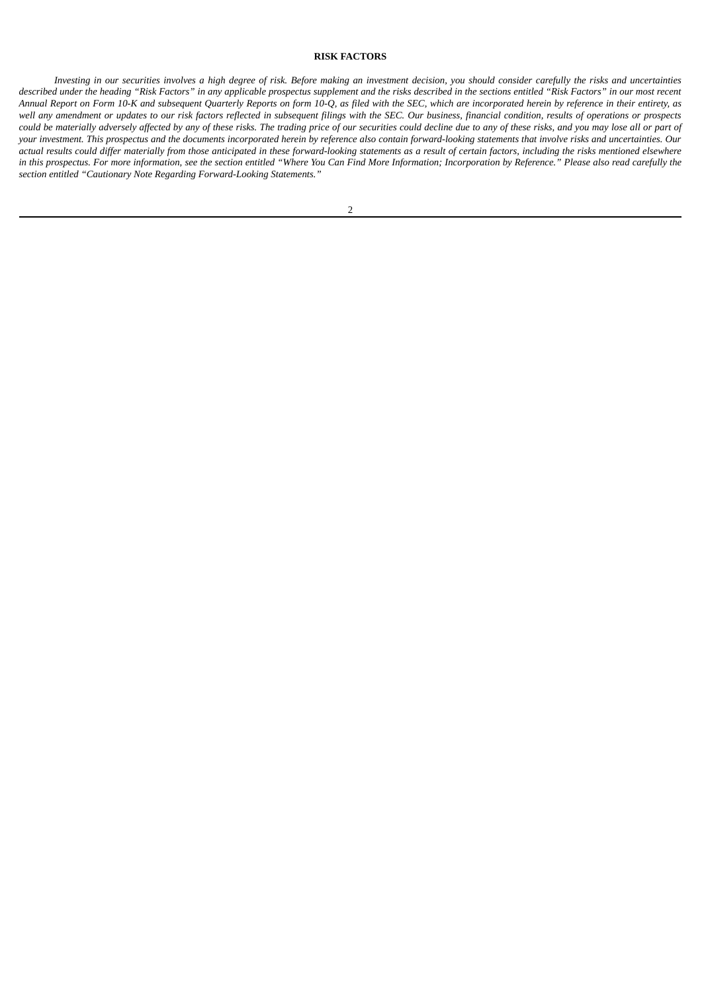# **RISK FACTORS**

<span id="page-5-0"></span>Investing in our securities involves a high degree of risk. Before making an investment decision, you should consider carefully the risks and uncertainties described under the heading "Risk Factors" in any applicable prospectus supplement and the risks described in the sections entitled "Risk Factors" in our most recent Annual Report on Form 10-K and subsequent Quarterly Reports on form 10-Q, as filed with the SEC, which are incorporated herein by reference in their entirety, as well any amendment or updates to our risk factors reflected in subsequent filings with the SEC. Our business, financial condition, results of operations or prospects could be materially adversely affected by any of these risks. The trading price of our securities could decline due to any of these risks, and you may lose all or part of your investment. This prospectus and the documents incorporated herein by reference also contain forward-looking statements that involve risks and uncertainties. Our actual results could differ materially from those anticipated in these forward-looking statements as a result of certain factors, including the risks mentioned elsewhere in this prospectus. For more information, see the section entitled "Where You Can Find More Information; Incorporation by Reference." Please also read carefully the *section entitled "Cautionary Note Regarding Forward-Looking Statements."*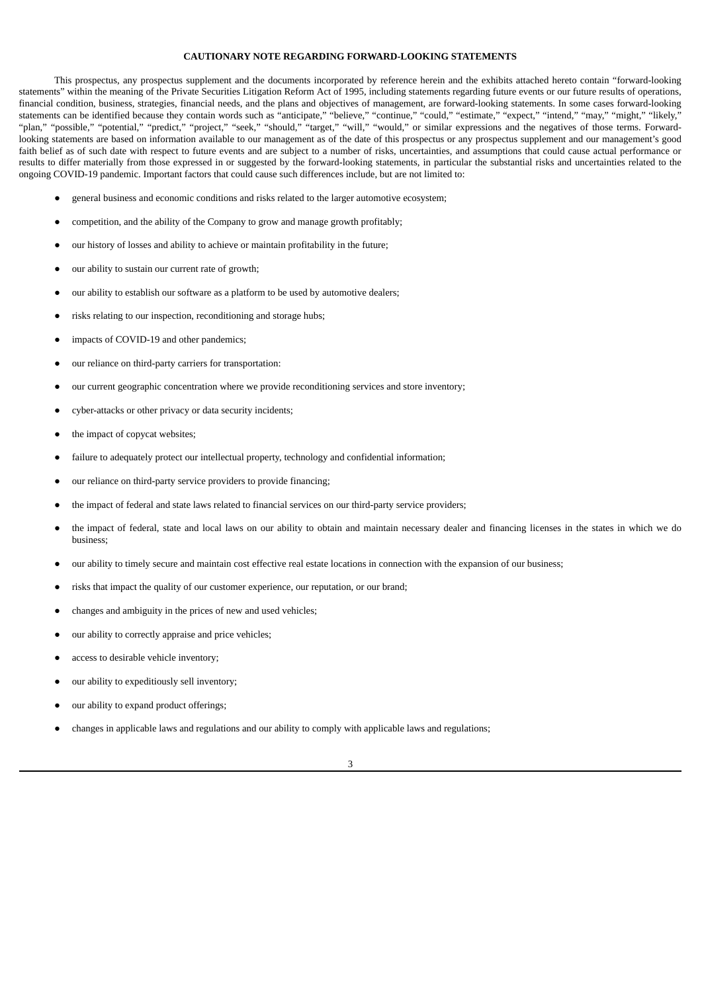# **CAUTIONARY NOTE REGARDING FORWARD-LOOKING STATEMENTS**

<span id="page-6-0"></span>This prospectus, any prospectus supplement and the documents incorporated by reference herein and the exhibits attached hereto contain "forward-looking statements" within the meaning of the Private Securities Litigation Reform Act of 1995, including statements regarding future events or our future results of operations, financial condition, business, strategies, financial needs, and the plans and objectives of management, are forward-looking statements. In some cases forward-looking statements can be identified because they contain words such as "anticipate," "believe," "continue," "could," "estimate," "expect," "intend," "may," "might," "likely," "plan," "possible," "potential," "predict," "project," "seek," "should," "target," "will," "would," or similar expressions and the negatives of those terms. Forwardlooking statements are based on information available to our management as of the date of this prospectus or any prospectus supplement and our management's good faith belief as of such date with respect to future events and are subject to a number of risks, uncertainties, and assumptions that could cause actual performance or results to differ materially from those expressed in or suggested by the forward-looking statements, in particular the substantial risks and uncertainties related to the ongoing COVID-19 pandemic. Important factors that could cause such differences include, but are not limited to:

- general business and economic conditions and risks related to the larger automotive ecosystem;
- competition, and the ability of the Company to grow and manage growth profitably;
- our history of losses and ability to achieve or maintain profitability in the future;
- our ability to sustain our current rate of growth;
- our ability to establish our software as a platform to be used by automotive dealers;
- risks relating to our inspection, reconditioning and storage hubs;
- impacts of COVID-19 and other pandemics;
- our reliance on third-party carriers for transportation:
- our current geographic concentration where we provide reconditioning services and store inventory;
- cyber-attacks or other privacy or data security incidents;
- the impact of copycat websites;
- failure to adequately protect our intellectual property, technology and confidential information;
- our reliance on third-party service providers to provide financing;
- the impact of federal and state laws related to financial services on our third-party service providers;
- the impact of federal, state and local laws on our ability to obtain and maintain necessary dealer and financing licenses in the states in which we do business;
- our ability to timely secure and maintain cost effective real estate locations in connection with the expansion of our business;
- risks that impact the quality of our customer experience, our reputation, or our brand;
- changes and ambiguity in the prices of new and used vehicles;
- our ability to correctly appraise and price vehicles;
- access to desirable vehicle inventory;
- our ability to expeditiously sell inventory;
- our ability to expand product offerings;
- changes in applicable laws and regulations and our ability to comply with applicable laws and regulations;
	- 3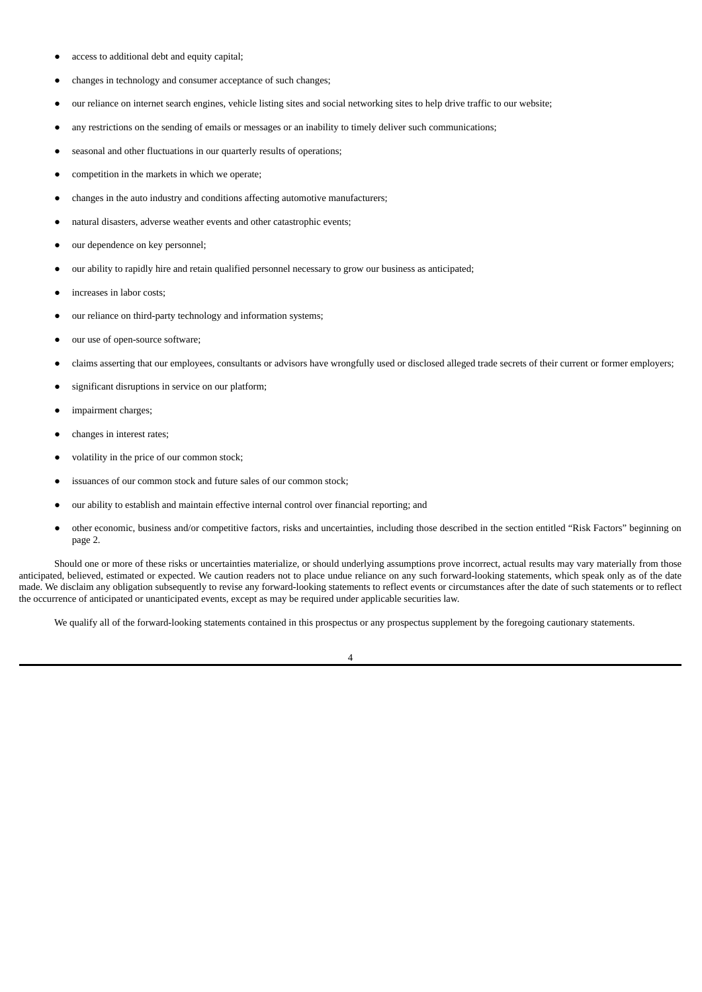- access to additional debt and equity capital;
- changes in technology and consumer acceptance of such changes:
- our reliance on internet search engines, vehicle listing sites and social networking sites to help drive traffic to our website;
- any restrictions on the sending of emails or messages or an inability to timely deliver such communications;
- seasonal and other fluctuations in our quarterly results of operations;
- competition in the markets in which we operate;
- changes in the auto industry and conditions affecting automotive manufacturers;
- natural disasters, adverse weather events and other catastrophic events;
- our dependence on key personnel:
- our ability to rapidly hire and retain qualified personnel necessary to grow our business as anticipated;
- increases in labor costs:
- our reliance on third-party technology and information systems;
- our use of open-source software;
- claims asserting that our employees, consultants or advisors have wrongfully used or disclosed alleged trade secrets of their current or former employers;
- significant disruptions in service on our platform;
- impairment charges;
- changes in interest rates;
- volatility in the price of our common stock;
- issuances of our common stock and future sales of our common stock;
- our ability to establish and maintain effective internal control over financial reporting; and
- other economic, business and/or competitive factors, risks and uncertainties, including those described in the section entitled "Risk Factors" beginning on page 2.

Should one or more of these risks or uncertainties materialize, or should underlying assumptions prove incorrect, actual results may vary materially from those anticipated, believed, estimated or expected. We caution readers not to place undue reliance on any such forward-looking statements, which speak only as of the date made. We disclaim any obligation subsequently to revise any forward-looking statements to reflect events or circumstances after the date of such statements or to reflect the occurrence of anticipated or unanticipated events, except as may be required under applicable securities law.

We qualify all of the forward-looking statements contained in this prospectus or any prospectus supplement by the foregoing cautionary statements.

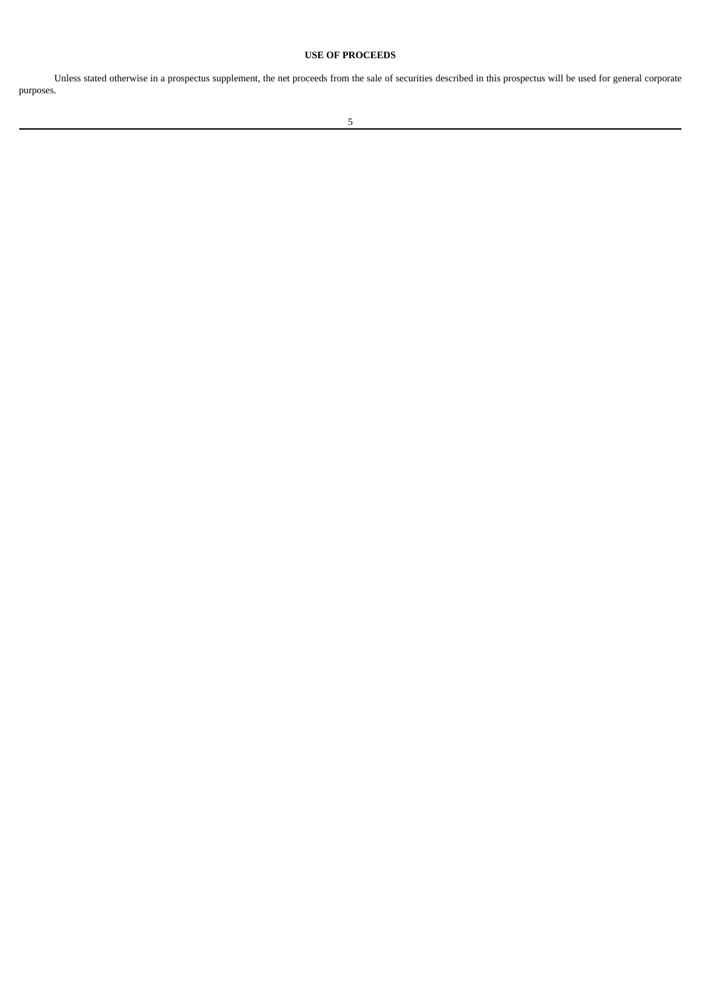# **USE OF PROCEEDS**

<span id="page-8-0"></span>Unless stated otherwise in a prospectus supplement, the net proceeds from the sale of securities described in this prospectus will be used for general corporate purposes.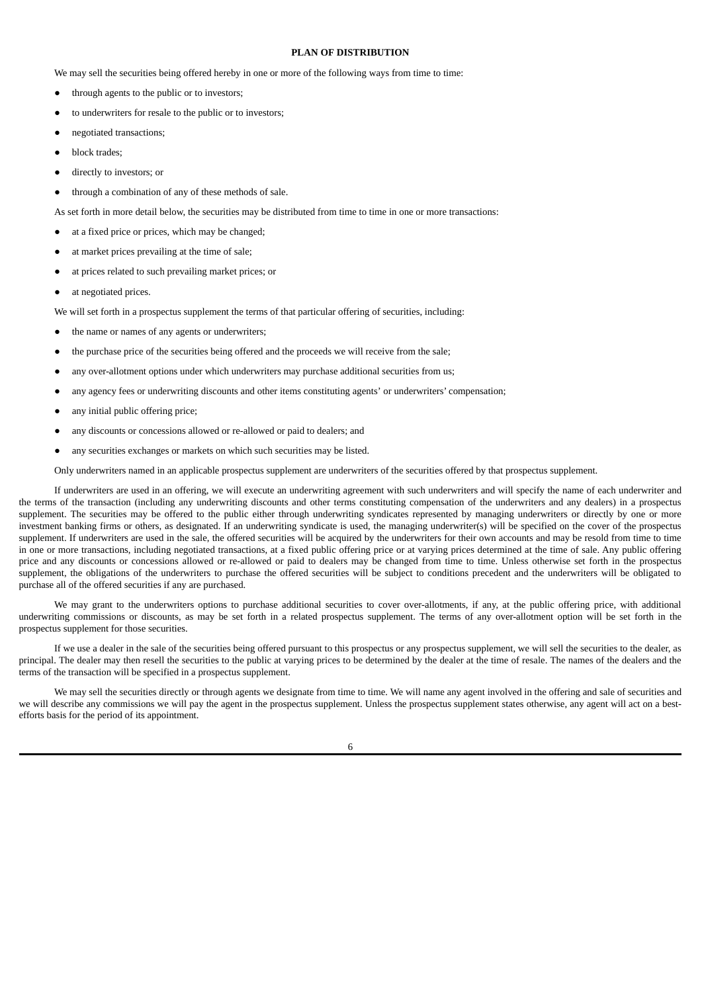## **PLAN OF DISTRIBUTION**

<span id="page-9-0"></span>We may sell the securities being offered hereby in one or more of the following ways from time to time:

- through agents to the public or to investors;
- to underwriters for resale to the public or to investors;
- negotiated transactions;
- block trades;
- directly to investors; or
- through a combination of any of these methods of sale.

As set forth in more detail below, the securities may be distributed from time to time in one or more transactions:

- at a fixed price or prices, which may be changed;
- at market prices prevailing at the time of sale;
- at prices related to such prevailing market prices; or
- at negotiated prices.

We will set forth in a prospectus supplement the terms of that particular offering of securities, including:

- the name or names of any agents or underwriters;
- the purchase price of the securities being offered and the proceeds we will receive from the sale;
- any over-allotment options under which underwriters may purchase additional securities from us;
- any agency fees or underwriting discounts and other items constituting agents' or underwriters' compensation;
- any initial public offering price;
- any discounts or concessions allowed or re-allowed or paid to dealers; and
- any securities exchanges or markets on which such securities may be listed.

Only underwriters named in an applicable prospectus supplement are underwriters of the securities offered by that prospectus supplement.

If underwriters are used in an offering, we will execute an underwriting agreement with such underwriters and will specify the name of each underwriter and the terms of the transaction (including any underwriting discounts and other terms constituting compensation of the underwriters and any dealers) in a prospectus supplement. The securities may be offered to the public either through underwriting syndicates represented by managing underwriters or directly by one or more investment banking firms or others, as designated. If an underwriting syndicate is used, the managing underwriter(s) will be specified on the cover of the prospectus supplement. If underwriters are used in the sale, the offered securities will be acquired by the underwriters for their own accounts and may be resold from time to time in one or more transactions, including negotiated transactions, at a fixed public offering price or at varying prices determined at the time of sale. Any public offering price and any discounts or concessions allowed or re-allowed or paid to dealers may be changed from time to time. Unless otherwise set forth in the prospectus supplement, the obligations of the underwriters to purchase the offered securities will be subject to conditions precedent and the underwriters will be obligated to purchase all of the offered securities if any are purchased.

We may grant to the underwriters options to purchase additional securities to cover over-allotments, if any, at the public offering price, with additional underwriting commissions or discounts, as may be set forth in a related prospectus supplement. The terms of any over-allotment option will be set forth in the prospectus supplement for those securities.

If we use a dealer in the sale of the securities being offered pursuant to this prospectus or any prospectus supplement, we will sell the securities to the dealer, as principal. The dealer may then resell the securities to the public at varying prices to be determined by the dealer at the time of resale. The names of the dealers and the terms of the transaction will be specified in a prospectus supplement.

We may sell the securities directly or through agents we designate from time to time. We will name any agent involved in the offering and sale of securities and we will describe any commissions we will pay the agent in the prospectus supplement. Unless the prospectus supplement states otherwise, any agent will act on a bestefforts basis for the period of its appointment.

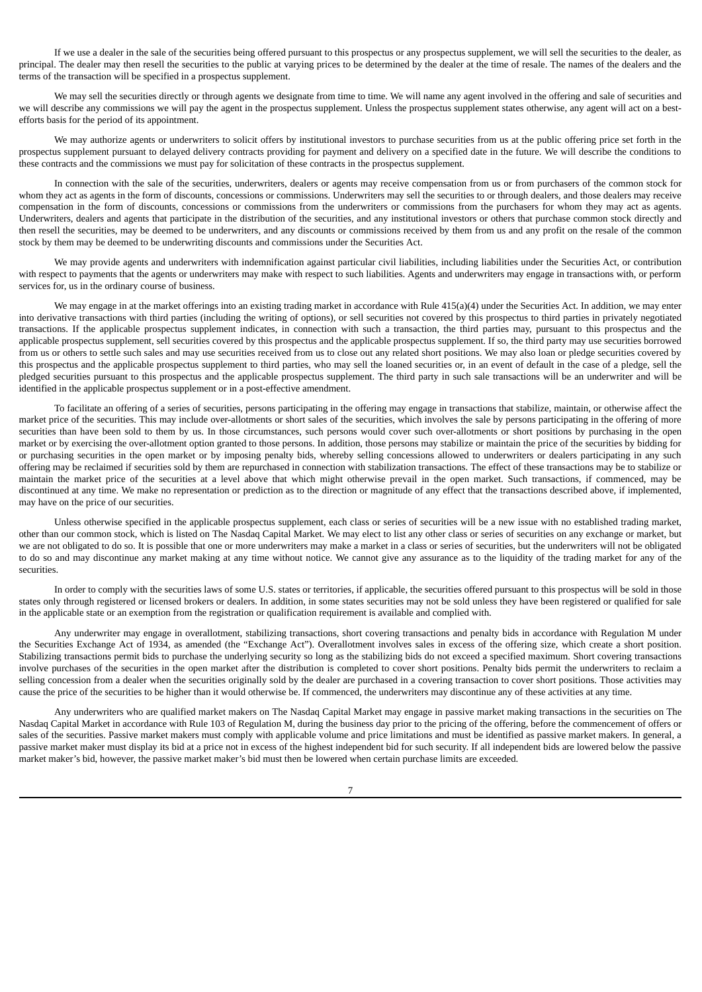If we use a dealer in the sale of the securities being offered pursuant to this prospectus or any prospectus supplement, we will sell the securities to the dealer, as principal. The dealer may then resell the securities to the public at varying prices to be determined by the dealer at the time of resale. The names of the dealers and the terms of the transaction will be specified in a prospectus supplement.

We may sell the securities directly or through agents we designate from time to time. We will name any agent involved in the offering and sale of securities and we will describe any commissions we will pay the agent in the prospectus supplement. Unless the prospectus supplement states otherwise, any agent will act on a bestefforts basis for the period of its appointment.

We may authorize agents or underwriters to solicit offers by institutional investors to purchase securities from us at the public offering price set forth in the prospectus supplement pursuant to delayed delivery contracts providing for payment and delivery on a specified date in the future. We will describe the conditions to these contracts and the commissions we must pay for solicitation of these contracts in the prospectus supplement.

In connection with the sale of the securities, underwriters, dealers or agents may receive compensation from us or from purchasers of the common stock for whom they act as agents in the form of discounts, concessions or commissions. Underwriters may sell the securities to or through dealers, and those dealers may receive compensation in the form of discounts, concessions or commissions from the underwriters or commissions from the purchasers for whom they may act as agents. Underwriters, dealers and agents that participate in the distribution of the securities, and any institutional investors or others that purchase common stock directly and then resell the securities, may be deemed to be underwriters, and any discounts or commissions received by them from us and any profit on the resale of the common stock by them may be deemed to be underwriting discounts and commissions under the Securities Act.

We may provide agents and underwriters with indemnification against particular civil liabilities, including liabilities under the Securities Act, or contribution with respect to payments that the agents or underwriters may make with respect to such liabilities. Agents and underwriters may engage in transactions with, or perform services for, us in the ordinary course of business.

We may engage in at the market offerings into an existing trading market in accordance with Rule  $415(a)(4)$  under the Securities Act. In addition, we may enter into derivative transactions with third parties (including the writing of options), or sell securities not covered by this prospectus to third parties in privately negotiated transactions. If the applicable prospectus supplement indicates, in connection with such a transaction, the third parties may, pursuant to this prospectus and the applicable prospectus supplement, sell securities covered by this prospectus and the applicable prospectus supplement. If so, the third party may use securities borrowed from us or others to settle such sales and may use securities received from us to close out any related short positions. We may also loan or pledge securities covered by this prospectus and the applicable prospectus supplement to third parties, who may sell the loaned securities or, in an event of default in the case of a pledge, sell the pledged securities pursuant to this prospectus and the applicable prospectus supplement. The third party in such sale transactions will be an underwriter and will be identified in the applicable prospectus supplement or in a post-effective amendment.

To facilitate an offering of a series of securities, persons participating in the offering may engage in transactions that stabilize, maintain, or otherwise affect the market price of the securities. This may include over-allotments or short sales of the securities, which involves the sale by persons participating in the offering of more securities than have been sold to them by us. In those circumstances, such persons would cover such over-allotments or short positions by purchasing in the open market or by exercising the over-allotment option granted to those persons. In addition, those persons may stabilize or maintain the price of the securities by bidding for or purchasing securities in the open market or by imposing penalty bids, whereby selling concessions allowed to underwriters or dealers participating in any such offering may be reclaimed if securities sold by them are repurchased in connection with stabilization transactions. The effect of these transactions may be to stabilize or maintain the market price of the securities at a level above that which might otherwise prevail in the open market. Such transactions, if commenced, may be discontinued at any time. We make no representation or prediction as to the direction or magnitude of any effect that the transactions described above, if implemented, may have on the price of our securities.

Unless otherwise specified in the applicable prospectus supplement, each class or series of securities will be a new issue with no established trading market, other than our common stock, which is listed on The Nasdaq Capital Market. We may elect to list any other class or series of securities on any exchange or market, but we are not obligated to do so. It is possible that one or more underwriters may make a market in a class or series of securities, but the underwriters will not be obligated to do so and may discontinue any market making at any time without notice. We cannot give any assurance as to the liquidity of the trading market for any of the securities.

In order to comply with the securities laws of some U.S. states or territories, if applicable, the securities offered pursuant to this prospectus will be sold in those states only through registered or licensed brokers or dealers. In addition, in some states securities may not be sold unless they have been registered or qualified for sale in the applicable state or an exemption from the registration or qualification requirement is available and complied with.

Any underwriter may engage in overallotment, stabilizing transactions, short covering transactions and penalty bids in accordance with Regulation M under the Securities Exchange Act of 1934, as amended (the "Exchange Act"). Overallotment involves sales in excess of the offering size, which create a short position. Stabilizing transactions permit bids to purchase the underlying security so long as the stabilizing bids do not exceed a specified maximum. Short covering transactions involve purchases of the securities in the open market after the distribution is completed to cover short positions. Penalty bids permit the underwriters to reclaim a selling concession from a dealer when the securities originally sold by the dealer are purchased in a covering transaction to cover short positions. Those activities may cause the price of the securities to be higher than it would otherwise be. If commenced, the underwriters may discontinue any of these activities at any time.

Any underwriters who are qualified market makers on The Nasdaq Capital Market may engage in passive market making transactions in the securities on The Nasdaq Capital Market in accordance with Rule 103 of Regulation M, during the business day prior to the pricing of the offering, before the commencement of offers or sales of the securities. Passive market makers must comply with applicable volume and price limitations and must be identified as passive market makers. In general, a passive market maker must display its bid at a price not in excess of the highest independent bid for such security. If all independent bids are lowered below the passive market maker's bid, however, the passive market maker's bid must then be lowered when certain purchase limits are exceeded.

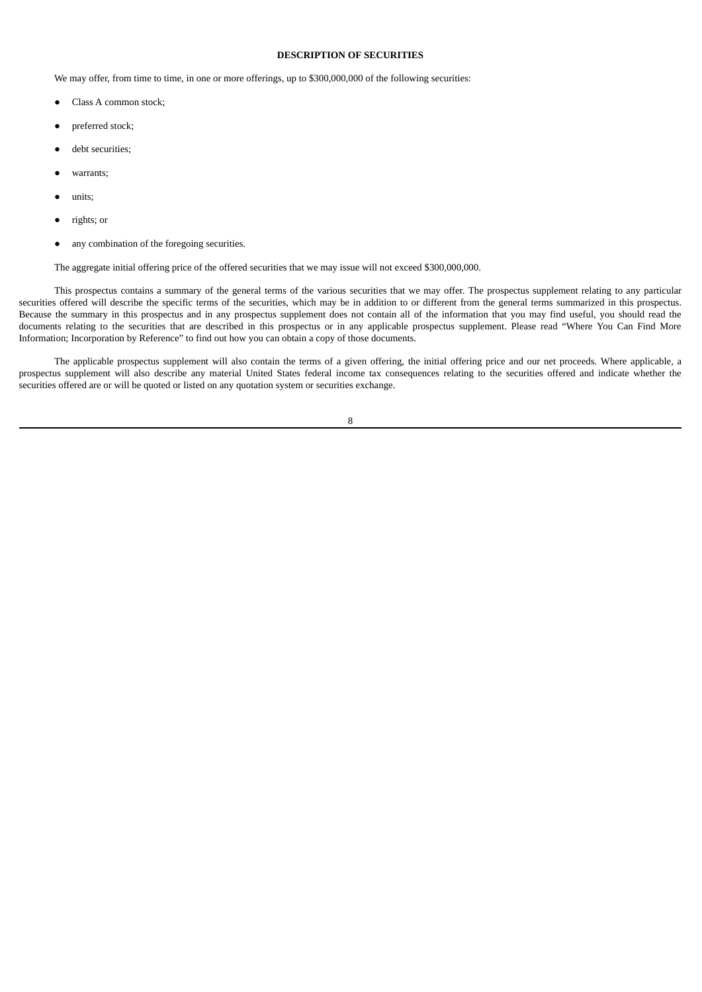## **DESCRIPTION OF SECURITIES**

<span id="page-11-0"></span>We may offer, from time to time, in one or more offerings, up to \$300,000,000 of the following securities:

- Class A common stock:
- preferred stock;
- debt securities;
- warrants;
- units:
- rights; or
- any combination of the foregoing securities.

The aggregate initial offering price of the offered securities that we may issue will not exceed \$300,000,000.

This prospectus contains a summary of the general terms of the various securities that we may offer. The prospectus supplement relating to any particular securities offered will describe the specific terms of the securities, which may be in addition to or different from the general terms summarized in this prospectus. Because the summary in this prospectus and in any prospectus supplement does not contain all of the information that you may find useful, you should read the documents relating to the securities that are described in this prospectus or in any applicable prospectus supplement. Please read "Where You Can Find More Information; Incorporation by Reference" to find out how you can obtain a copy of those documents.

The applicable prospectus supplement will also contain the terms of a given offering, the initial offering price and our net proceeds. Where applicable, a prospectus supplement will also describe any material United States federal income tax consequences relating to the securities offered and indicate whether the securities offered are or will be quoted or listed on any quotation system or securities exchange.

<sup>8</sup>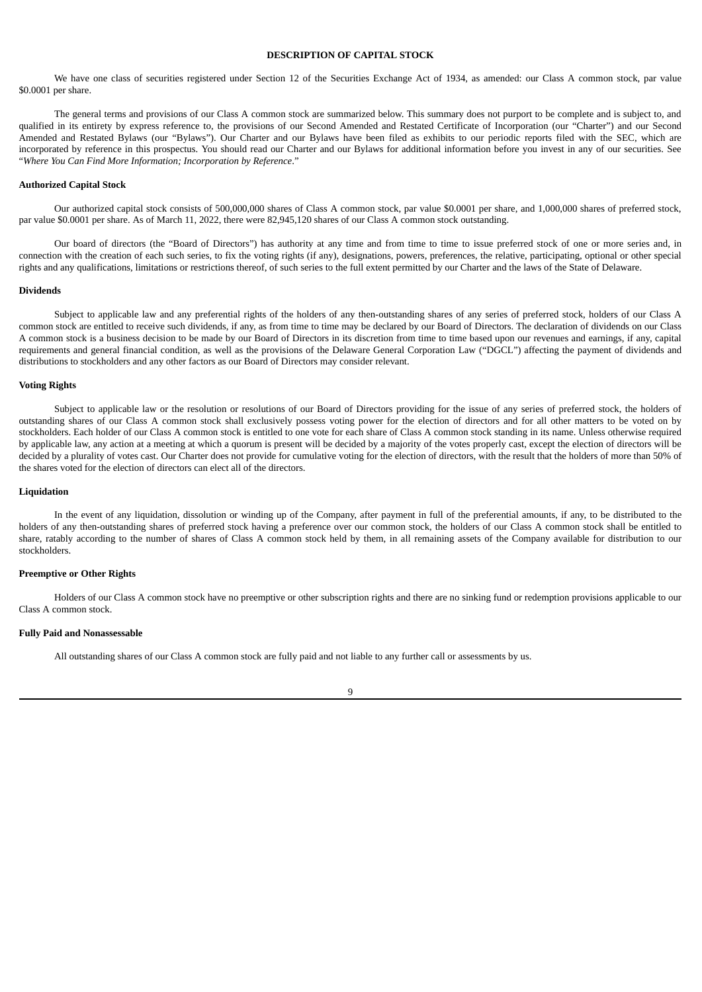# **DESCRIPTION OF CAPITAL STOCK**

<span id="page-12-0"></span>We have one class of securities registered under Section 12 of the Securities Exchange Act of 1934, as amended: our Class A common stock, par value \$0.0001 per share.

The general terms and provisions of our Class A common stock are summarized below. This summary does not purport to be complete and is subject to, and qualified in its entirety by express reference to, the provisions of our Second Amended and Restated Certificate of Incorporation (our "Charter") and our Second Amended and Restated Bylaws (our "Bylaws"). Our Charter and our Bylaws have been filed as exhibits to our periodic reports filed with the SEC, which are incorporated by reference in this prospectus. You should read our Charter and our Bylaws for additional information before you invest in any of our securities. See "*Where You Can Find More Information; Incorporation by Reference*."

#### **Authorized Capital Stock**

Our authorized capital stock consists of 500,000,000 shares of Class A common stock, par value \$0.0001 per share, and 1,000,000 shares of preferred stock, par value \$0.0001 per share. As of March 11, 2022, there were 82,945,120 shares of our Class A common stock outstanding.

Our board of directors (the "Board of Directors") has authority at any time and from time to time to issue preferred stock of one or more series and, in connection with the creation of each such series, to fix the voting rights (if any), designations, powers, preferences, the relative, participating, optional or other special rights and any qualifications, limitations or restrictions thereof, of such series to the full extent permitted by our Charter and the laws of the State of Delaware.

## **Dividends**

Subject to applicable law and any preferential rights of the holders of any then-outstanding shares of any series of preferred stock, holders of our Class A common stock are entitled to receive such dividends, if any, as from time to time may be declared by our Board of Directors. The declaration of dividends on our Class A common stock is a business decision to be made by our Board of Directors in its discretion from time to time based upon our revenues and earnings, if any, capital requirements and general financial condition, as well as the provisions of the Delaware General Corporation Law ("DGCL") affecting the payment of dividends and distributions to stockholders and any other factors as our Board of Directors may consider relevant.

#### **Voting Rights**

Subject to applicable law or the resolution or resolutions of our Board of Directors providing for the issue of any series of preferred stock, the holders of outstanding shares of our Class A common stock shall exclusively possess voting power for the election of directors and for all other matters to be voted on by stockholders. Each holder of our Class A common stock is entitled to one vote for each share of Class A common stock standing in its name. Unless otherwise required by applicable law, any action at a meeting at which a quorum is present will be decided by a majority of the votes properly cast, except the election of directors will be decided by a plurality of votes cast. Our Charter does not provide for cumulative voting for the election of directors, with the result that the holders of more than 50% of the shares voted for the election of directors can elect all of the directors.

#### **Liquidation**

In the event of any liquidation, dissolution or winding up of the Company, after payment in full of the preferential amounts, if any, to be distributed to the holders of any then-outstanding shares of preferred stock having a preference over our common stock, the holders of our Class A common stock shall be entitled to share, ratably according to the number of shares of Class A common stock held by them, in all remaining assets of the Company available for distribution to our stockholders.

### **Preemptive or Other Rights**

Holders of our Class A common stock have no preemptive or other subscription rights and there are no sinking fund or redemption provisions applicable to our Class A common stock.

#### **Fully Paid and Nonassessable**

All outstanding shares of our Class A common stock are fully paid and not liable to any further call or assessments by us.

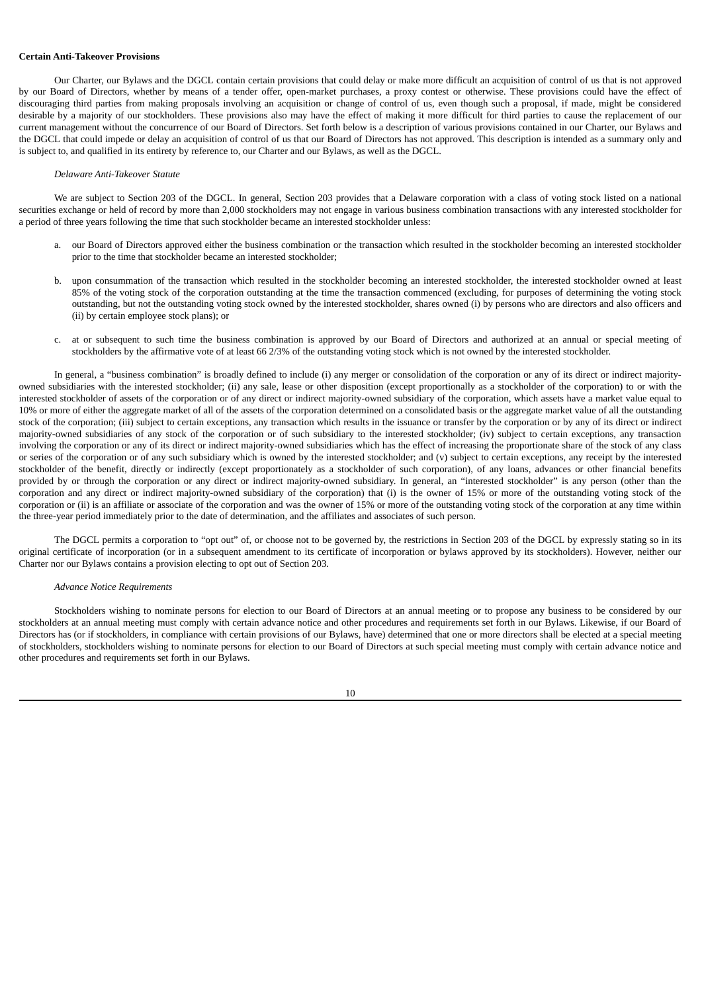## **Certain Anti-Takeover Provisions**

Our Charter, our Bylaws and the DGCL contain certain provisions that could delay or make more difficult an acquisition of control of us that is not approved by our Board of Directors, whether by means of a tender offer, open-market purchases, a proxy contest or otherwise. These provisions could have the effect of discouraging third parties from making proposals involving an acquisition or change of control of us, even though such a proposal, if made, might be considered desirable by a majority of our stockholders. These provisions also may have the effect of making it more difficult for third parties to cause the replacement of our current management without the concurrence of our Board of Directors. Set forth below is a description of various provisions contained in our Charter, our Bylaws and the DGCL that could impede or delay an acquisition of control of us that our Board of Directors has not approved. This description is intended as a summary only and is subject to, and qualified in its entirety by reference to, our Charter and our Bylaws, as well as the DGCL.

#### *Delaware Anti-Takeover Statute*

We are subject to Section 203 of the DGCL. In general, Section 203 provides that a Delaware corporation with a class of voting stock listed on a national securities exchange or held of record by more than 2,000 stockholders may not engage in various business combination transactions with any interested stockholder for a period of three years following the time that such stockholder became an interested stockholder unless:

- a. our Board of Directors approved either the business combination or the transaction which resulted in the stockholder becoming an interested stockholder prior to the time that stockholder became an interested stockholder;
- b. upon consummation of the transaction which resulted in the stockholder becoming an interested stockholder, the interested stockholder owned at least 85% of the voting stock of the corporation outstanding at the time the transaction commenced (excluding, for purposes of determining the voting stock outstanding, but not the outstanding voting stock owned by the interested stockholder, shares owned (i) by persons who are directors and also officers and (ii) by certain employee stock plans); or
- c. at or subsequent to such time the business combination is approved by our Board of Directors and authorized at an annual or special meeting of stockholders by the affirmative vote of at least 66 2/3% of the outstanding voting stock which is not owned by the interested stockholder.

In general, a "business combination" is broadly defined to include (i) any merger or consolidation of the corporation or any of its direct or indirect majorityowned subsidiaries with the interested stockholder; (ii) any sale, lease or other disposition (except proportionally as a stockholder of the corporation) to or with the interested stockholder of assets of the corporation or of any direct or indirect majority-owned subsidiary of the corporation, which assets have a market value equal to 10% or more of either the aggregate market of all of the assets of the corporation determined on a consolidated basis or the aggregate market value of all the outstanding stock of the corporation; (iii) subject to certain exceptions, any transaction which results in the issuance or transfer by the corporation or by any of its direct or indirect majority-owned subsidiaries of any stock of the corporation or of such subsidiary to the interested stockholder; (iv) subject to certain exceptions, any transaction involving the corporation or any of its direct or indirect majority-owned subsidiaries which has the effect of increasing the proportionate share of the stock of any class or series of the corporation or of any such subsidiary which is owned by the interested stockholder; and (v) subject to certain exceptions, any receipt by the interested stockholder of the benefit, directly or indirectly (except proportionately as a stockholder of such corporation), of any loans, advances or other financial benefits provided by or through the corporation or any direct or indirect majority-owned subsidiary. In general, an "interested stockholder" is any person (other than the corporation and any direct or indirect majority-owned subsidiary of the corporation) that (i) is the owner of 15% or more of the outstanding voting stock of the corporation or (ii) is an affiliate or associate of the corporation and was the owner of 15% or more of the outstanding voting stock of the corporation at any time within the three-year period immediately prior to the date of determination, and the affiliates and associates of such person.

The DGCL permits a corporation to "opt out" of, or choose not to be governed by, the restrictions in Section 203 of the DGCL by expressly stating so in its original certificate of incorporation (or in a subsequent amendment to its certificate of incorporation or bylaws approved by its stockholders). However, neither our Charter nor our Bylaws contains a provision electing to opt out of Section 203.

#### *Advance Notice Requirements*

Stockholders wishing to nominate persons for election to our Board of Directors at an annual meeting or to propose any business to be considered by our stockholders at an annual meeting must comply with certain advance notice and other procedures and requirements set forth in our Bylaws. Likewise, if our Board of Directors has (or if stockholders, in compliance with certain provisions of our Bylaws, have) determined that one or more directors shall be elected at a special meeting of stockholders, stockholders wishing to nominate persons for election to our Board of Directors at such special meeting must comply with certain advance notice and other procedures and requirements set forth in our Bylaws.

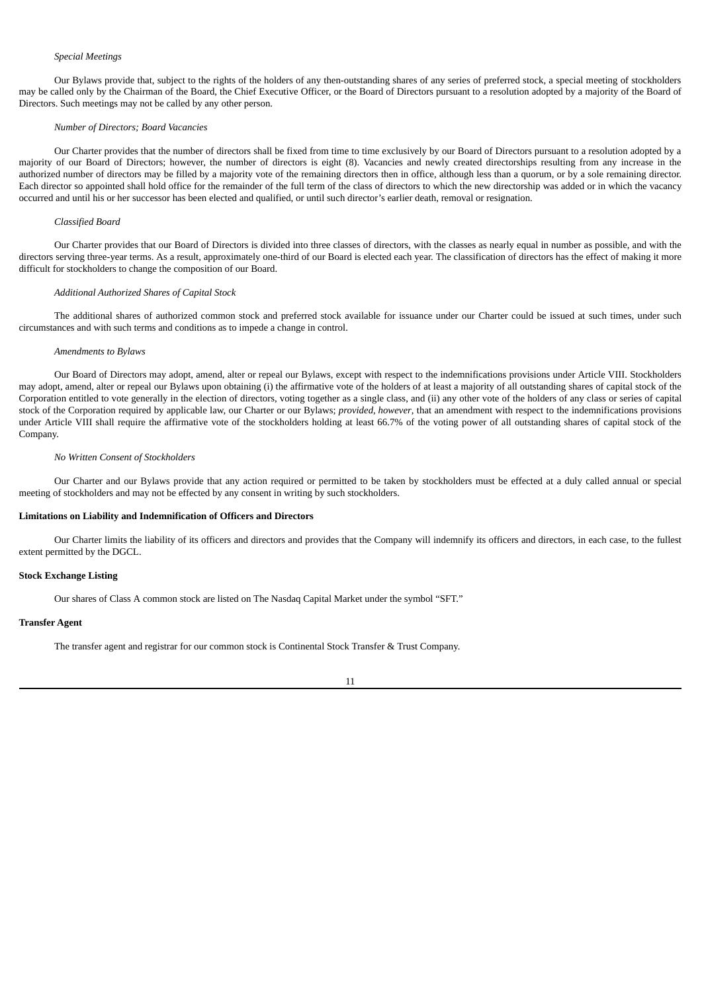# *Special Meetings*

Our Bylaws provide that, subject to the rights of the holders of any then-outstanding shares of any series of preferred stock, a special meeting of stockholders may be called only by the Chairman of the Board, the Chief Executive Officer, or the Board of Directors pursuant to a resolution adopted by a majority of the Board of Directors. Such meetings may not be called by any other person.

#### *Number of Directors; Board Vacancies*

Our Charter provides that the number of directors shall be fixed from time to time exclusively by our Board of Directors pursuant to a resolution adopted by a majority of our Board of Directors; however, the number of directors is eight (8). Vacancies and newly created directorships resulting from any increase in the authorized number of directors may be filled by a majority vote of the remaining directors then in office, although less than a quorum, or by a sole remaining director. Each director so appointed shall hold office for the remainder of the full term of the class of directors to which the new directorship was added or in which the vacancy occurred and until his or her successor has been elected and qualified, or until such director's earlier death, removal or resignation.

#### *Classified Board*

Our Charter provides that our Board of Directors is divided into three classes of directors, with the classes as nearly equal in number as possible, and with the directors serving three-year terms. As a result, approximately one-third of our Board is elected each year. The classification of directors has the effect of making it more difficult for stockholders to change the composition of our Board.

#### *Additional Authorized Shares of Capital Stock*

The additional shares of authorized common stock and preferred stock available for issuance under our Charter could be issued at such times, under such circumstances and with such terms and conditions as to impede a change in control.

#### *Amendments to Bylaws*

Our Board of Directors may adopt, amend, alter or repeal our Bylaws, except with respect to the indemnifications provisions under Article VIII. Stockholders may adopt, amend, alter or repeal our Bylaws upon obtaining (i) the affirmative vote of the holders of at least a majority of all outstanding shares of capital stock of the Corporation entitled to vote generally in the election of directors, voting together as a single class, and (ii) any other vote of the holders of any class or series of capital stock of the Corporation required by applicable law, our Charter or our Bylaws; *provided*, *however*, that an amendment with respect to the indemnifications provisions under Article VIII shall require the affirmative vote of the stockholders holding at least 66.7% of the voting power of all outstanding shares of capital stock of the Company.

#### *No Written Consent of Stockholders*

Our Charter and our Bylaws provide that any action required or permitted to be taken by stockholders must be effected at a duly called annual or special meeting of stockholders and may not be effected by any consent in writing by such stockholders.

#### **Limitations on Liability and Indemnification of Officers and Directors**

Our Charter limits the liability of its officers and directors and provides that the Company will indemnify its officers and directors, in each case, to the fullest extent permitted by the DGCL.

### **Stock Exchange Listing**

Our shares of Class A common stock are listed on The Nasdaq Capital Market under the symbol "SFT."

## **Transfer Agent**

The transfer agent and registrar for our common stock is Continental Stock Transfer & Trust Company.

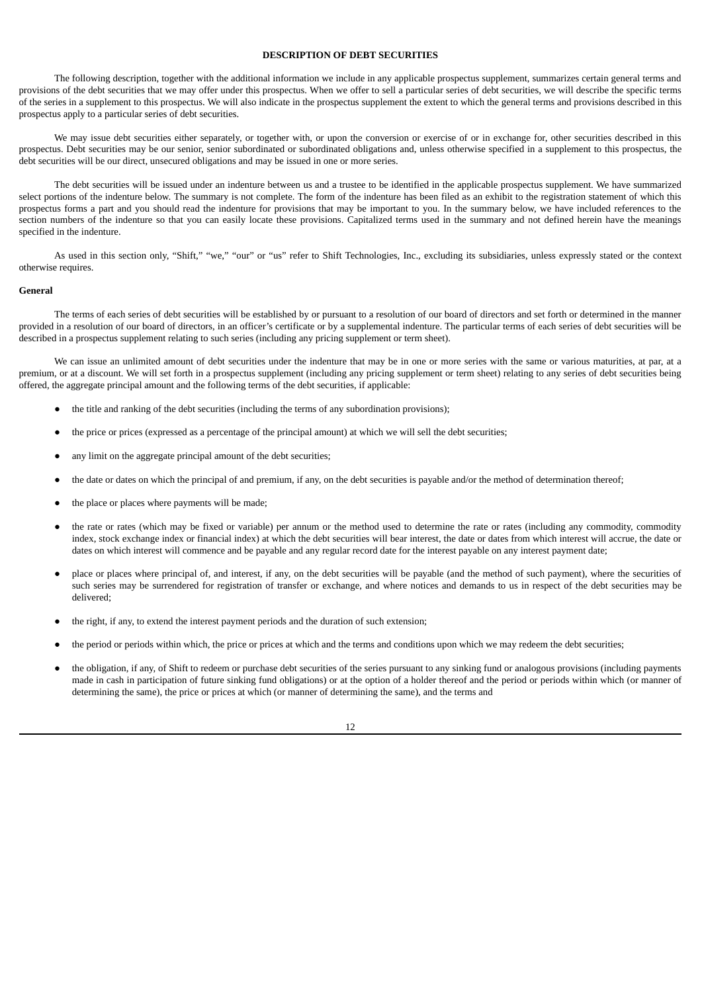## **DESCRIPTION OF DEBT SECURITIES**

<span id="page-15-0"></span>The following description, together with the additional information we include in any applicable prospectus supplement, summarizes certain general terms and provisions of the debt securities that we may offer under this prospectus. When we offer to sell a particular series of debt securities, we will describe the specific terms of the series in a supplement to this prospectus. We will also indicate in the prospectus supplement the extent to which the general terms and provisions described in this prospectus apply to a particular series of debt securities.

We may issue debt securities either separately, or together with, or upon the conversion or exercise of or in exchange for, other securities described in this prospectus. Debt securities may be our senior, senior subordinated or subordinated obligations and, unless otherwise specified in a supplement to this prospectus, the debt securities will be our direct, unsecured obligations and may be issued in one or more series.

The debt securities will be issued under an indenture between us and a trustee to be identified in the applicable prospectus supplement. We have summarized select portions of the indenture below. The summary is not complete. The form of the indenture has been filed as an exhibit to the registration statement of which this prospectus forms a part and you should read the indenture for provisions that may be important to you. In the summary below, we have included references to the section numbers of the indenture so that you can easily locate these provisions. Capitalized terms used in the summary and not defined herein have the meanings specified in the indenture.

As used in this section only, "Shift," "we," "our" or "us" refer to Shift Technologies, Inc., excluding its subsidiaries, unless expressly stated or the context otherwise requires.

## **General**

The terms of each series of debt securities will be established by or pursuant to a resolution of our board of directors and set forth or determined in the manner provided in a resolution of our board of directors, in an officer's certificate or by a supplemental indenture. The particular terms of each series of debt securities will be described in a prospectus supplement relating to such series (including any pricing supplement or term sheet).

We can issue an unlimited amount of debt securities under the indenture that may be in one or more series with the same or various maturities, at par, at a premium, or at a discount. We will set forth in a prospectus supplement (including any pricing supplement or term sheet) relating to any series of debt securities being offered, the aggregate principal amount and the following terms of the debt securities, if applicable:

- the title and ranking of the debt securities (including the terms of any subordination provisions);
- the price or prices (expressed as a percentage of the principal amount) at which we will sell the debt securities;
- any limit on the aggregate principal amount of the debt securities;
- the date or dates on which the principal of and premium, if any, on the debt securities is payable and/or the method of determination thereof;
- the place or places where payments will be made;
- the rate or rates (which may be fixed or variable) per annum or the method used to determine the rate or rates (including any commodity, commodity index, stock exchange index or financial index) at which the debt securities will bear interest, the date or dates from which interest will accrue, the date or dates on which interest will commence and be payable and any regular record date for the interest payable on any interest payment date;
- place or places where principal of, and interest, if any, on the debt securities will be payable (and the method of such payment), where the securities of such series may be surrendered for registration of transfer or exchange, and where notices and demands to us in respect of the debt securities may be delivered;
- the right, if any, to extend the interest payment periods and the duration of such extension;
- the period or periods within which, the price or prices at which and the terms and conditions upon which we may redeem the debt securities;
- the obligation, if any, of Shift to redeem or purchase debt securities of the series pursuant to any sinking fund or analogous provisions (including payments made in cash in participation of future sinking fund obligations) or at the option of a holder thereof and the period or periods within which (or manner of determining the same), the price or prices at which (or manner of determining the same), and the terms and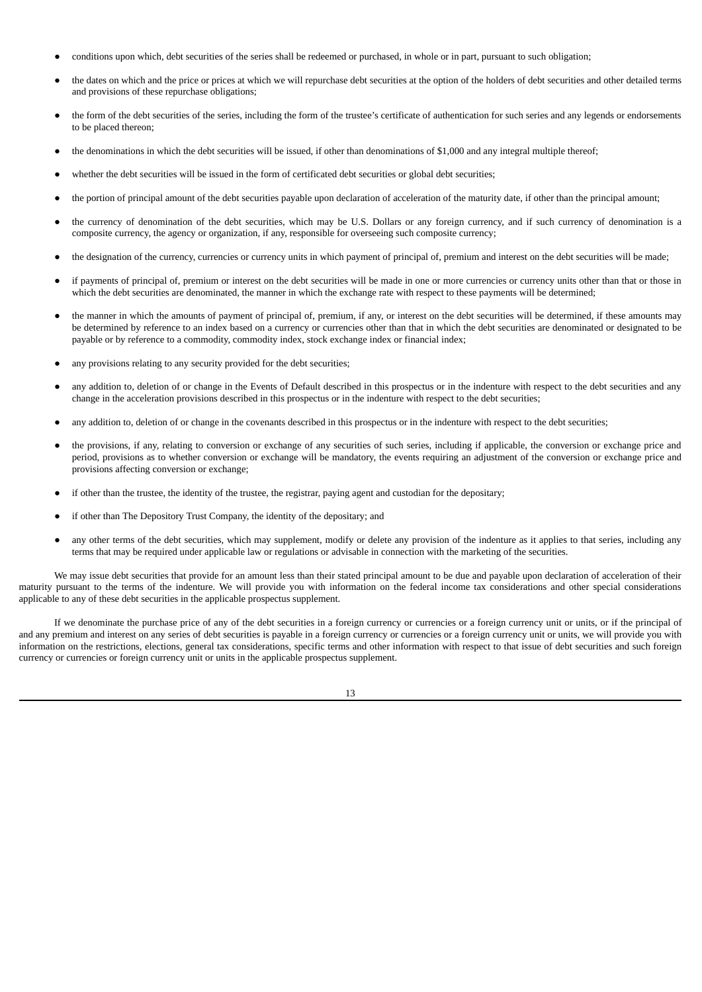- conditions upon which, debt securities of the series shall be redeemed or purchased, in whole or in part, pursuant to such obligation;
- the dates on which and the price or prices at which we will repurchase debt securities at the option of the holders of debt securities and other detailed terms and provisions of these repurchase obligations;
- the form of the debt securities of the series, including the form of the trustee's certificate of authentication for such series and any legends or endorsements to be placed thereon;
- the denominations in which the debt securities will be issued, if other than denominations of \$1,000 and any integral multiple thereof;
- whether the debt securities will be issued in the form of certificated debt securities or global debt securities;
- the portion of principal amount of the debt securities payable upon declaration of acceleration of the maturity date, if other than the principal amount;
- the currency of denomination of the debt securities, which may be U.S. Dollars or any foreign currency, and if such currency of denomination is a composite currency, the agency or organization, if any, responsible for overseeing such composite currency;
- the designation of the currency, currencies or currency units in which payment of principal of, premium and interest on the debt securities will be made;
- if payments of principal of, premium or interest on the debt securities will be made in one or more currencies or currency units other than that or those in which the debt securities are denominated, the manner in which the exchange rate with respect to these payments will be determined;
- the manner in which the amounts of payment of principal of, premium, if any, or interest on the debt securities will be determined, if these amounts may be determined by reference to an index based on a currency or currencies other than that in which the debt securities are denominated or designated to be payable or by reference to a commodity, commodity index, stock exchange index or financial index;
- any provisions relating to any security provided for the debt securities;
- any addition to, deletion of or change in the Events of Default described in this prospectus or in the indenture with respect to the debt securities and any change in the acceleration provisions described in this prospectus or in the indenture with respect to the debt securities;
- any addition to, deletion of or change in the covenants described in this prospectus or in the indenture with respect to the debt securities;
- the provisions, if any, relating to conversion or exchange of any securities of such series, including if applicable, the conversion or exchange price and period, provisions as to whether conversion or exchange will be mandatory, the events requiring an adjustment of the conversion or exchange price and provisions affecting conversion or exchange;
- if other than the trustee, the identity of the trustee, the registrar, paying agent and custodian for the depositary;
- if other than The Depository Trust Company, the identity of the depositary; and
- any other terms of the debt securities, which may supplement, modify or delete any provision of the indenture as it applies to that series, including any terms that may be required under applicable law or regulations or advisable in connection with the marketing of the securities.

We may issue debt securities that provide for an amount less than their stated principal amount to be due and payable upon declaration of acceleration of their maturity pursuant to the terms of the indenture. We will provide you with information on the federal income tax considerations and other special considerations applicable to any of these debt securities in the applicable prospectus supplement.

If we denominate the purchase price of any of the debt securities in a foreign currency or currencies or a foreign currency unit or units, or if the principal of and any premium and interest on any series of debt securities is payable in a foreign currency or currencies or a foreign currency unit or units, we will provide you with information on the restrictions, elections, general tax considerations, specific terms and other information with respect to that issue of debt securities and such foreign currency or currencies or foreign currency unit or units in the applicable prospectus supplement.

13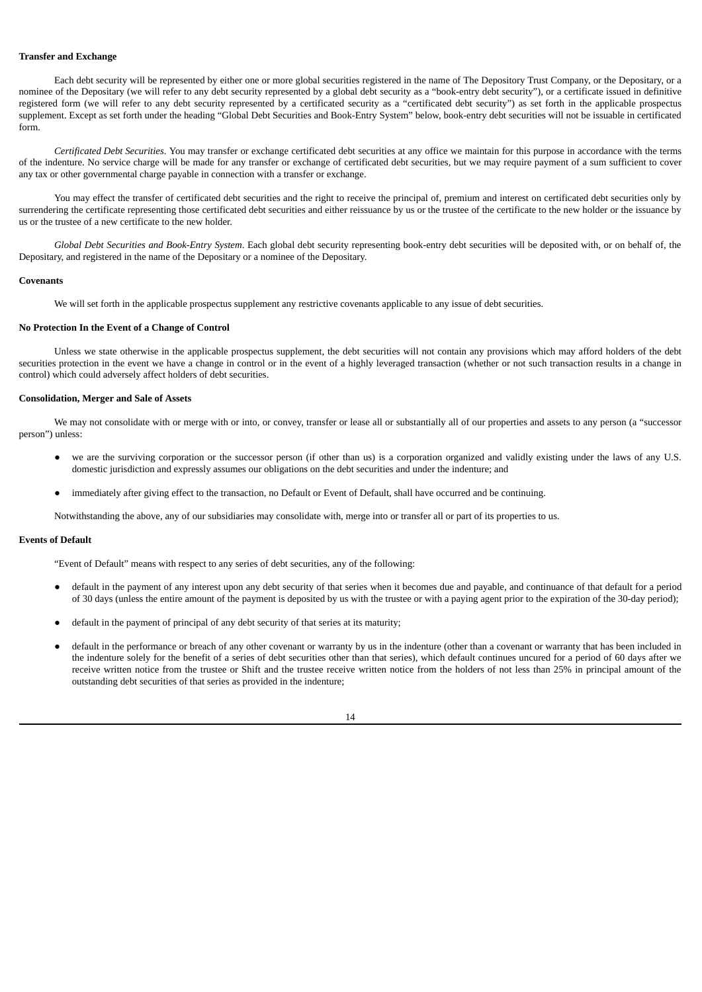## **Transfer and Exchange**

Each debt security will be represented by either one or more global securities registered in the name of The Depository Trust Company, or the Depositary, or a nominee of the Depositary (we will refer to any debt security represented by a global debt security as a "book-entry debt security"), or a certificate issued in definitive registered form (we will refer to any debt security represented by a certificated security as a "certificated debt security") as set forth in the applicable prospectus supplement. Except as set forth under the heading "Global Debt Securities and Book-Entry System" below, book-entry debt securities will not be issuable in certificated form.

*Certificated Debt Securities*. You may transfer or exchange certificated debt securities at any office we maintain for this purpose in accordance with the terms of the indenture. No service charge will be made for any transfer or exchange of certificated debt securities, but we may require payment of a sum sufficient to cover any tax or other governmental charge payable in connection with a transfer or exchange.

You may effect the transfer of certificated debt securities and the right to receive the principal of, premium and interest on certificated debt securities only by surrendering the certificate representing those certificated debt securities and either reissuance by us or the trustee of the certificate to the new holder or the issuance by us or the trustee of a new certificate to the new holder.

*Global Debt Securities and Book-Entry System*. Each global debt security representing book-entry debt securities will be deposited with, or on behalf of, the Depositary, and registered in the name of the Depositary or a nominee of the Depositary.

#### **Covenants**

We will set forth in the applicable prospectus supplement any restrictive covenants applicable to any issue of debt securities.

# **No Protection In the Event of a Change of Control**

Unless we state otherwise in the applicable prospectus supplement, the debt securities will not contain any provisions which may afford holders of the debt securities protection in the event we have a change in control or in the event of a highly leveraged transaction (whether or not such transaction results in a change in control) which could adversely affect holders of debt securities.

#### **Consolidation, Merger and Sale of Assets**

We may not consolidate with or merge with or into, or convey, transfer or lease all or substantially all of our properties and assets to any person (a "successor person") unless:

- we are the surviving corporation or the successor person (if other than us) is a corporation organized and validly existing under the laws of any U.S. domestic jurisdiction and expressly assumes our obligations on the debt securities and under the indenture; and
- immediately after giving effect to the transaction, no Default or Event of Default, shall have occurred and be continuing.

Notwithstanding the above, any of our subsidiaries may consolidate with, merge into or transfer all or part of its properties to us.

# **Events of Default**

"Event of Default" means with respect to any series of debt securities, any of the following:

- default in the payment of any interest upon any debt security of that series when it becomes due and payable, and continuance of that default for a period of 30 days (unless the entire amount of the payment is deposited by us with the trustee or with a paying agent prior to the expiration of the 30-day period);
- default in the payment of principal of any debt security of that series at its maturity;
- default in the performance or breach of any other covenant or warranty by us in the indenture (other than a covenant or warranty that has been included in the indenture solely for the benefit of a series of debt securities other than that series), which default continues uncured for a period of 60 days after we receive written notice from the trustee or Shift and the trustee receive written notice from the holders of not less than 25% in principal amount of the outstanding debt securities of that series as provided in the indenture;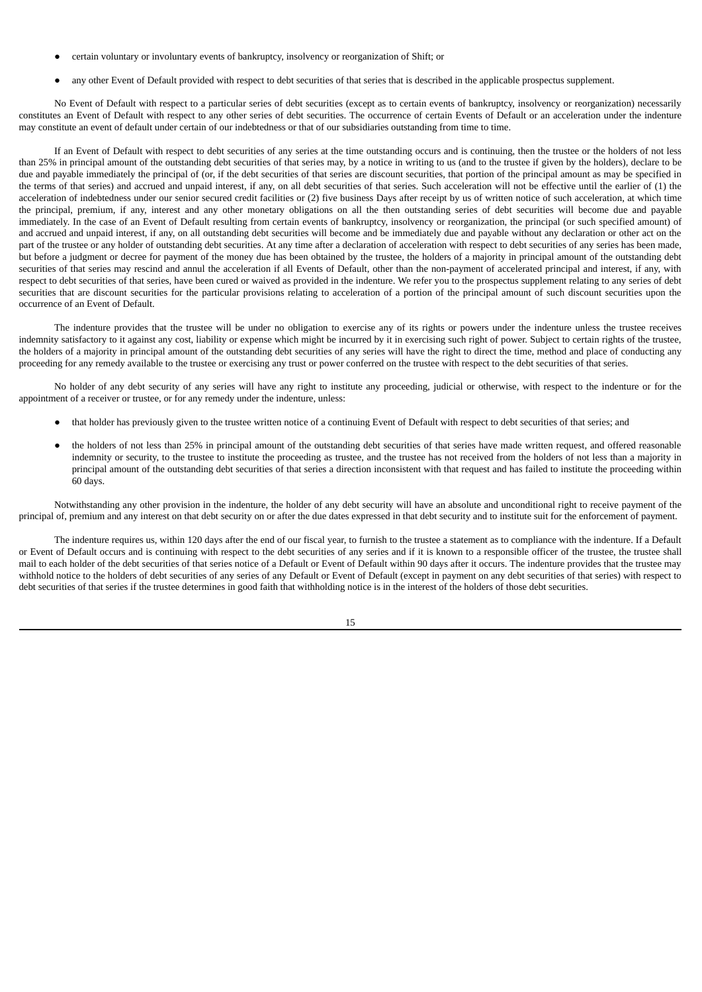- certain voluntary or involuntary events of bankruptcy, insolvency or reorganization of Shift; or
- any other Event of Default provided with respect to debt securities of that series that is described in the applicable prospectus supplement.

No Event of Default with respect to a particular series of debt securities (except as to certain events of bankruptcy, insolvency or reorganization) necessarily constitutes an Event of Default with respect to any other series of debt securities. The occurrence of certain Events of Default or an acceleration under the indenture may constitute an event of default under certain of our indebtedness or that of our subsidiaries outstanding from time to time.

If an Event of Default with respect to debt securities of any series at the time outstanding occurs and is continuing, then the trustee or the holders of not less than 25% in principal amount of the outstanding debt securities of that series may, by a notice in writing to us (and to the trustee if given by the holders), declare to be due and payable immediately the principal of (or, if the debt securities of that series are discount securities, that portion of the principal amount as may be specified in the terms of that series) and accrued and unpaid interest, if any, on all debt securities of that series. Such acceleration will not be effective until the earlier of (1) the acceleration of indebtedness under our senior secured credit facilities or (2) five business Days after receipt by us of written notice of such acceleration, at which time the principal, premium, if any, interest and any other monetary obligations on all the then outstanding series of debt securities will become due and payable immediately. In the case of an Event of Default resulting from certain events of bankruptcy, insolvency or reorganization, the principal (or such specified amount) of and accrued and unpaid interest, if any, on all outstanding debt securities will become and be immediately due and payable without any declaration or other act on the part of the trustee or any holder of outstanding debt securities. At any time after a declaration of acceleration with respect to debt securities of any series has been made, but before a judgment or decree for payment of the money due has been obtained by the trustee, the holders of a majority in principal amount of the outstanding debt securities of that series may rescind and annul the acceleration if all Events of Default, other than the non-payment of accelerated principal and interest, if any, with respect to debt securities of that series, have been cured or waived as provided in the indenture. We refer you to the prospectus supplement relating to any series of debt securities that are discount securities for the particular provisions relating to acceleration of a portion of the principal amount of such discount securities upon the occurrence of an Event of Default.

The indenture provides that the trustee will be under no obligation to exercise any of its rights or powers under the indenture unless the trustee receives indemnity satisfactory to it against any cost, liability or expense which might be incurred by it in exercising such right of power. Subject to certain rights of the trustee, the holders of a majority in principal amount of the outstanding debt securities of any series will have the right to direct the time, method and place of conducting any proceeding for any remedy available to the trustee or exercising any trust or power conferred on the trustee with respect to the debt securities of that series.

No holder of any debt security of any series will have any right to institute any proceeding, judicial or otherwise, with respect to the indenture or for the appointment of a receiver or trustee, or for any remedy under the indenture, unless:

- that holder has previously given to the trustee written notice of a continuing Event of Default with respect to debt securities of that series; and
- the holders of not less than 25% in principal amount of the outstanding debt securities of that series have made written request, and offered reasonable indemnity or security, to the trustee to institute the proceeding as trustee, and the trustee has not received from the holders of not less than a majority in principal amount of the outstanding debt securities of that series a direction inconsistent with that request and has failed to institute the proceeding within 60 days.

Notwithstanding any other provision in the indenture, the holder of any debt security will have an absolute and unconditional right to receive payment of the principal of, premium and any interest on that debt security on or after the due dates expressed in that debt security and to institute suit for the enforcement of payment.

The indenture requires us, within 120 days after the end of our fiscal year, to furnish to the trustee a statement as to compliance with the indenture. If a Default or Event of Default occurs and is continuing with respect to the debt securities of any series and if it is known to a responsible officer of the trustee, the trustee shall mail to each holder of the debt securities of that series notice of a Default or Event of Default within 90 days after it occurs. The indenture provides that the trustee may withhold notice to the holders of debt securities of any series of any Default or Event of Default (except in payment on any debt securities of that series) with respect to debt securities of that series if the trustee determines in good faith that withholding notice is in the interest of the holders of those debt securities.

15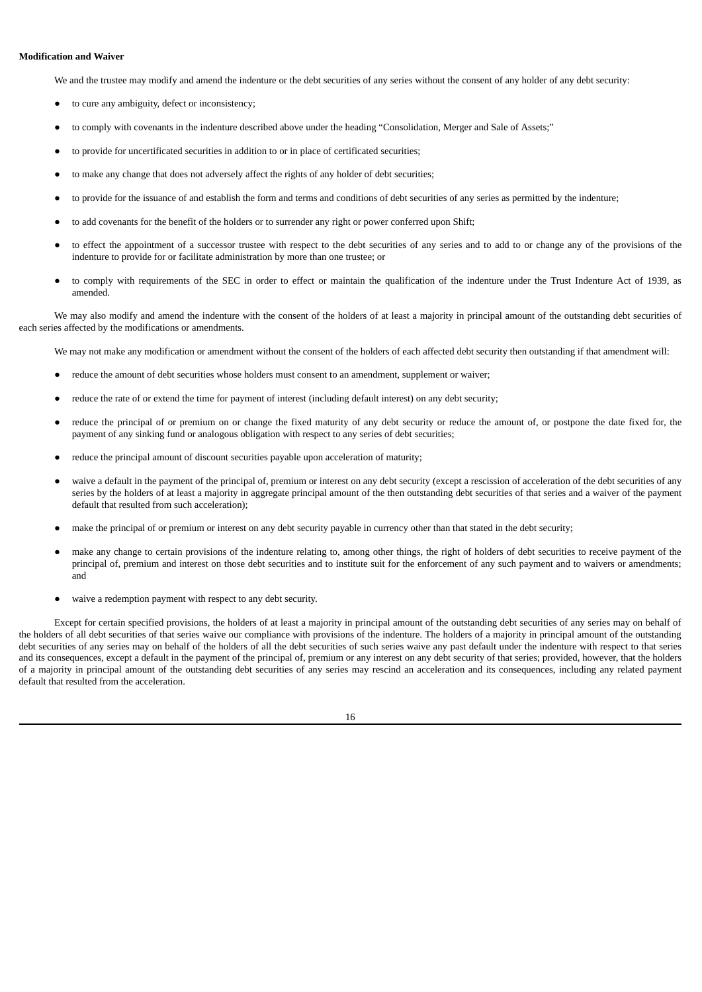### **Modification and Waiver**

We and the trustee may modify and amend the indenture or the debt securities of any series without the consent of any holder of any debt security:

- to cure any ambiguity, defect or inconsistency;
- to comply with covenants in the indenture described above under the heading "Consolidation, Merger and Sale of Assets;"
- to provide for uncertificated securities in addition to or in place of certificated securities;
- to make any change that does not adversely affect the rights of any holder of debt securities;
- to provide for the issuance of and establish the form and terms and conditions of debt securities of any series as permitted by the indenture;
- to add covenants for the benefit of the holders or to surrender any right or power conferred upon Shift;
- to effect the appointment of a successor trustee with respect to the debt securities of any series and to add to or change any of the provisions of the indenture to provide for or facilitate administration by more than one trustee; or
- to comply with requirements of the SEC in order to effect or maintain the qualification of the indenture under the Trust Indenture Act of 1939, as amended.

We may also modify and amend the indenture with the consent of the holders of at least a majority in principal amount of the outstanding debt securities of each series affected by the modifications or amendments.

We may not make any modification or amendment without the consent of the holders of each affected debt security then outstanding if that amendment will:

- reduce the amount of debt securities whose holders must consent to an amendment, supplement or waiver;
- reduce the rate of or extend the time for payment of interest (including default interest) on any debt security;
- reduce the principal of or premium on or change the fixed maturity of any debt security or reduce the amount of, or postpone the date fixed for, the payment of any sinking fund or analogous obligation with respect to any series of debt securities;
- reduce the principal amount of discount securities payable upon acceleration of maturity;
- waive a default in the payment of the principal of, premium or interest on any debt security (except a rescission of acceleration of the debt securities of any series by the holders of at least a majority in aggregate principal amount of the then outstanding debt securities of that series and a waiver of the payment default that resulted from such acceleration);
- make the principal of or premium or interest on any debt security payable in currency other than that stated in the debt security;
- make any change to certain provisions of the indenture relating to, among other things, the right of holders of debt securities to receive payment of the principal of, premium and interest on those debt securities and to institute suit for the enforcement of any such payment and to waivers or amendments; and
- waive a redemption payment with respect to any debt security.

Except for certain specified provisions, the holders of at least a majority in principal amount of the outstanding debt securities of any series may on behalf of the holders of all debt securities of that series waive our compliance with provisions of the indenture. The holders of a majority in principal amount of the outstanding debt securities of any series may on behalf of the holders of all the debt securities of such series waive any past default under the indenture with respect to that series and its consequences, except a default in the payment of the principal of, premium or any interest on any debt security of that series; provided, however, that the holders of a majority in principal amount of the outstanding debt securities of any series may rescind an acceleration and its consequences, including any related payment default that resulted from the acceleration.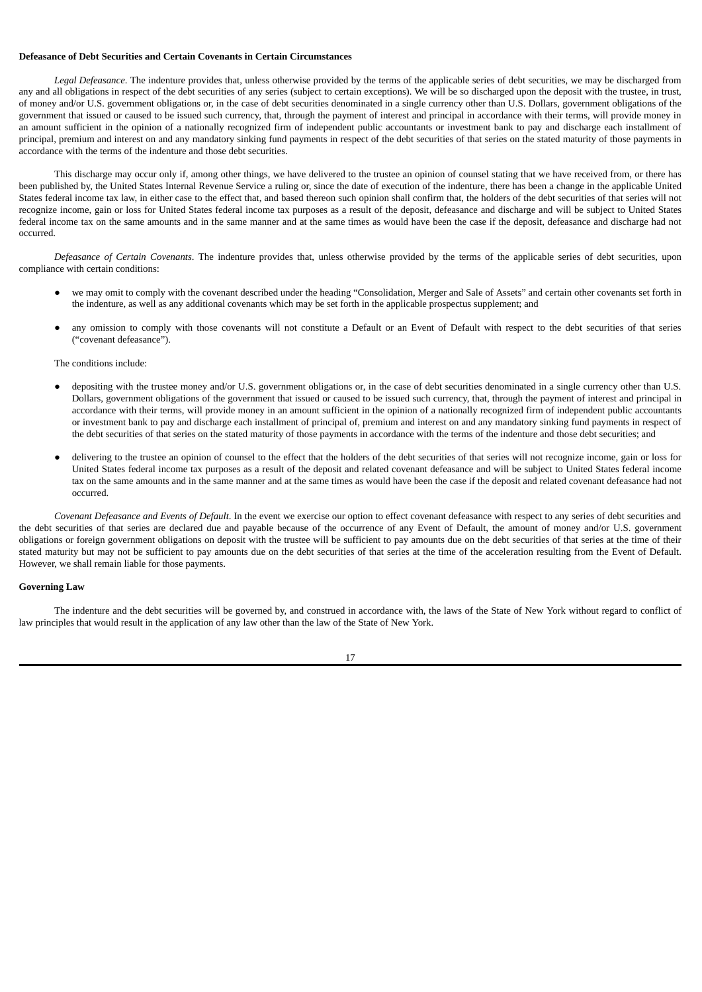# **Defeasance of Debt Securities and Certain Covenants in Certain Circumstances**

*Legal Defeasance*. The indenture provides that, unless otherwise provided by the terms of the applicable series of debt securities, we may be discharged from any and all obligations in respect of the debt securities of any series (subject to certain exceptions). We will be so discharged upon the deposit with the trustee, in trust, of money and/or U.S. government obligations or, in the case of debt securities denominated in a single currency other than U.S. Dollars, government obligations of the government that issued or caused to be issued such currency, that, through the payment of interest and principal in accordance with their terms, will provide money in an amount sufficient in the opinion of a nationally recognized firm of independent public accountants or investment bank to pay and discharge each installment of principal, premium and interest on and any mandatory sinking fund payments in respect of the debt securities of that series on the stated maturity of those payments in accordance with the terms of the indenture and those debt securities.

This discharge may occur only if, among other things, we have delivered to the trustee an opinion of counsel stating that we have received from, or there has been published by, the United States Internal Revenue Service a ruling or, since the date of execution of the indenture, there has been a change in the applicable United States federal income tax law, in either case to the effect that, and based thereon such opinion shall confirm that, the holders of the debt securities of that series will not recognize income, gain or loss for United States federal income tax purposes as a result of the deposit, defeasance and discharge and will be subject to United States federal income tax on the same amounts and in the same manner and at the same times as would have been the case if the deposit, defeasance and discharge had not occurred.

*Defeasance of Certain Covenants*. The indenture provides that, unless otherwise provided by the terms of the applicable series of debt securities, upon compliance with certain conditions:

- we may omit to comply with the covenant described under the heading "Consolidation, Merger and Sale of Assets" and certain other covenants set forth in the indenture, as well as any additional covenants which may be set forth in the applicable prospectus supplement; and
- any omission to comply with those covenants will not constitute a Default or an Event of Default with respect to the debt securities of that series ("covenant defeasance").

#### The conditions include:

- depositing with the trustee money and/or U.S. government obligations or, in the case of debt securities denominated in a single currency other than U.S. Dollars, government obligations of the government that issued or caused to be issued such currency, that, through the payment of interest and principal in accordance with their terms, will provide money in an amount sufficient in the opinion of a nationally recognized firm of independent public accountants or investment bank to pay and discharge each installment of principal of, premium and interest on and any mandatory sinking fund payments in respect of the debt securities of that series on the stated maturity of those payments in accordance with the terms of the indenture and those debt securities; and
- delivering to the trustee an opinion of counsel to the effect that the holders of the debt securities of that series will not recognize income, gain or loss for United States federal income tax purposes as a result of the deposit and related covenant defeasance and will be subject to United States federal income tax on the same amounts and in the same manner and at the same times as would have been the case if the deposit and related covenant defeasance had not occurred.

*Covenant Defeasance and Events of Default*. In the event we exercise our option to effect covenant defeasance with respect to any series of debt securities and the debt securities of that series are declared due and payable because of the occurrence of any Event of Default, the amount of money and/or U.S. government obligations or foreign government obligations on deposit with the trustee will be sufficient to pay amounts due on the debt securities of that series at the time of their stated maturity but may not be sufficient to pay amounts due on the debt securities of that series at the time of the acceleration resulting from the Event of Default. However, we shall remain liable for those payments.

#### **Governing Law**

The indenture and the debt securities will be governed by, and construed in accordance with, the laws of the State of New York without regard to conflict of law principles that would result in the application of any law other than the law of the State of New York.

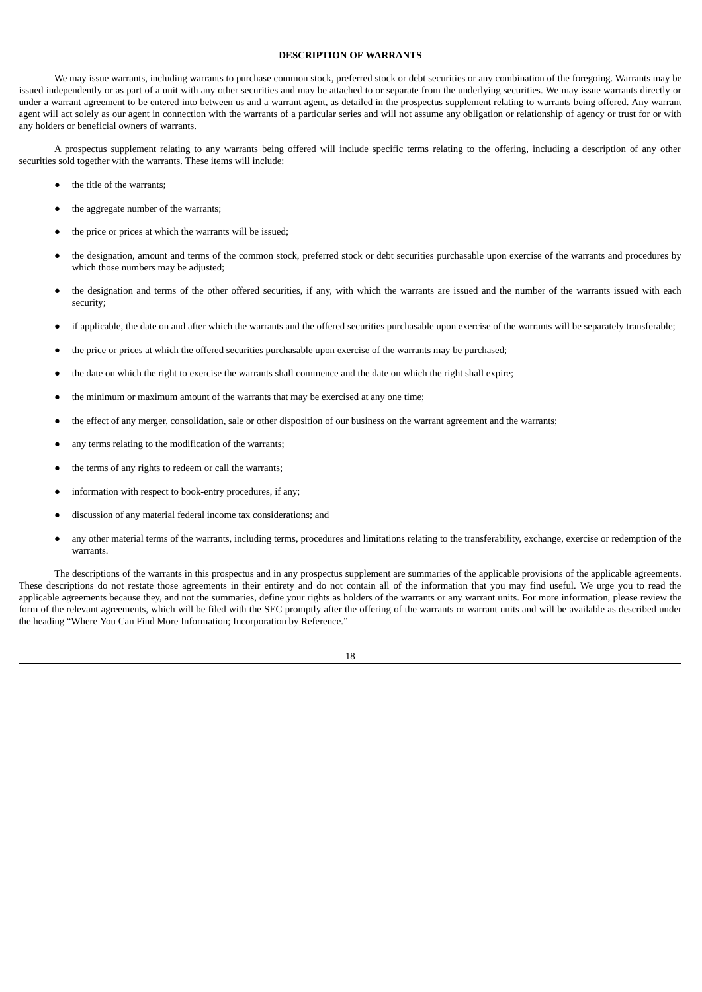# **DESCRIPTION OF WARRANTS**

<span id="page-21-0"></span>We may issue warrants, including warrants to purchase common stock, preferred stock or debt securities or any combination of the foregoing. Warrants may be issued independently or as part of a unit with any other securities and may be attached to or separate from the underlying securities. We may issue warrants directly or under a warrant agreement to be entered into between us and a warrant agent, as detailed in the prospectus supplement relating to warrants being offered. Any warrant agent will act solely as our agent in connection with the warrants of a particular series and will not assume any obligation or relationship of agency or trust for or with any holders or beneficial owners of warrants.

A prospectus supplement relating to any warrants being offered will include specific terms relating to the offering, including a description of any other securities sold together with the warrants. These items will include:

- the title of the warrants;
- the aggregate number of the warrants;
- the price or prices at which the warrants will be issued;
- the designation, amount and terms of the common stock, preferred stock or debt securities purchasable upon exercise of the warrants and procedures by which those numbers may be adjusted:
- the designation and terms of the other offered securities, if any, with which the warrants are issued and the number of the warrants issued with each security;
- if applicable, the date on and after which the warrants and the offered securities purchasable upon exercise of the warrants will be separately transferable;
- the price or prices at which the offered securities purchasable upon exercise of the warrants may be purchased;
- the date on which the right to exercise the warrants shall commence and the date on which the right shall expire;
- the minimum or maximum amount of the warrants that may be exercised at any one time;
- the effect of any merger, consolidation, sale or other disposition of our business on the warrant agreement and the warrants;
- any terms relating to the modification of the warrants;
- the terms of any rights to redeem or call the warrants;
- information with respect to book-entry procedures, if any;
- discussion of any material federal income tax considerations; and
- any other material terms of the warrants, including terms, procedures and limitations relating to the transferability, exchange, exercise or redemption of the warrants.

The descriptions of the warrants in this prospectus and in any prospectus supplement are summaries of the applicable provisions of the applicable agreements. These descriptions do not restate those agreements in their entirety and do not contain all of the information that you may find useful. We urge you to read the applicable agreements because they, and not the summaries, define your rights as holders of the warrants or any warrant units. For more information, please review the form of the relevant agreements, which will be filed with the SEC promptly after the offering of the warrants or warrant units and will be available as described under the heading "Where You Can Find More Information; Incorporation by Reference."

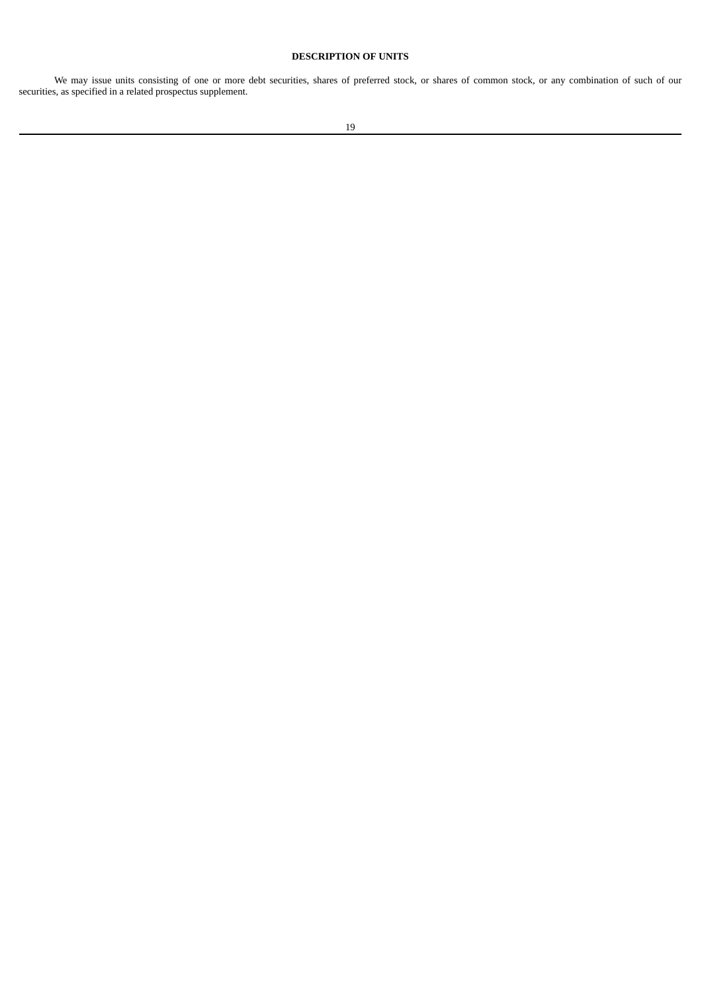# **DESCRIPTION OF UNITS**

<span id="page-22-0"></span>We may issue units consisting of one or more debt securities, shares of preferred stock, or shares of common stock, or any combination of such of our securities, as specified in a related prospectus supplement.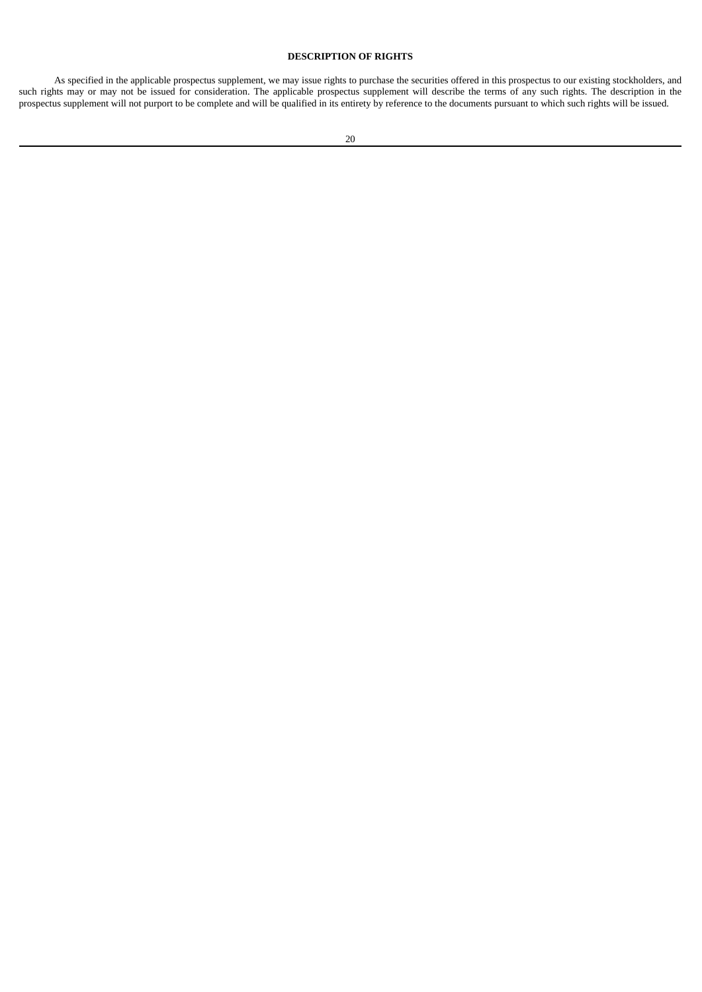# **DESCRIPTION OF RIGHTS**

<span id="page-23-0"></span>As specified in the applicable prospectus supplement, we may issue rights to purchase the securities offered in this prospectus to our existing stockholders, and such rights may or may not be issued for consideration. The applicable prospectus supplement will describe the terms of any such rights. The description in the prospectus supplement will not purport to be complete and will be qualified in its entirety by reference to the documents pursuant to which such rights will be issued.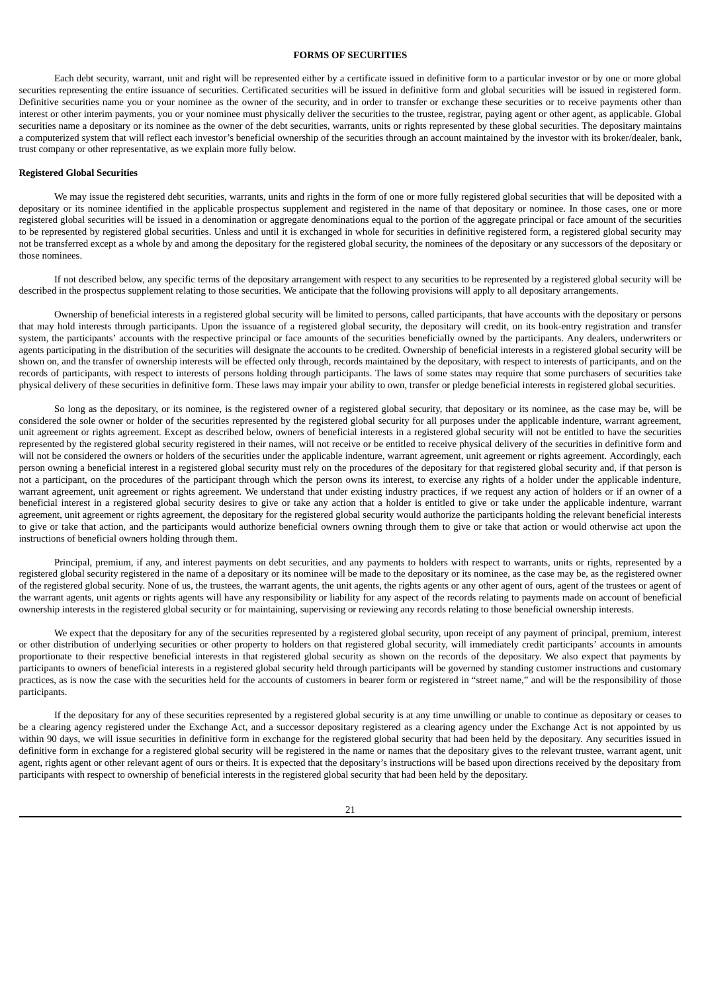## **FORMS OF SECURITIES**

<span id="page-24-0"></span>Each debt security, warrant, unit and right will be represented either by a certificate issued in definitive form to a particular investor or by one or more global securities representing the entire issuance of securities. Certificated securities will be issued in definitive form and global securities will be issued in registered form. Definitive securities name you or your nominee as the owner of the security, and in order to transfer or exchange these securities or to receive payments other than interest or other interim payments, you or your nominee must physically deliver the securities to the trustee, registrar, paying agent or other agent, as applicable. Global securities name a depositary or its nominee as the owner of the debt securities, warrants, units or rights represented by these global securities. The depositary maintains a computerized system that will reflect each investor's beneficial ownership of the securities through an account maintained by the investor with its broker/dealer, bank, trust company or other representative, as we explain more fully below.

## **Registered Global Securities**

We may issue the registered debt securities, warrants, units and rights in the form of one or more fully registered global securities that will be deposited with a depositary or its nominee identified in the applicable prospectus supplement and registered in the name of that depositary or nominee. In those cases, one or more registered global securities will be issued in a denomination or aggregate denominations equal to the portion of the aggregate principal or face amount of the securities to be represented by registered global securities. Unless and until it is exchanged in whole for securities in definitive registered form, a registered global security may not be transferred except as a whole by and among the depositary for the registered global security, the nominees of the depositary or any successors of the depositary or those nominees.

If not described below, any specific terms of the depositary arrangement with respect to any securities to be represented by a registered global security will be described in the prospectus supplement relating to those securities. We anticipate that the following provisions will apply to all depositary arrangements.

Ownership of beneficial interests in a registered global security will be limited to persons, called participants, that have accounts with the depositary or persons that may hold interests through participants. Upon the issuance of a registered global security, the depositary will credit, on its book-entry registration and transfer system, the participants' accounts with the respective principal or face amounts of the securities beneficially owned by the participants. Any dealers, underwriters or agents participating in the distribution of the securities will designate the accounts to be credited. Ownership of beneficial interests in a registered global security will be shown on, and the transfer of ownership interests will be effected only through, records maintained by the depositary, with respect to interests of participants, and on the records of participants, with respect to interests of persons holding through participants. The laws of some states may require that some purchasers of securities take physical delivery of these securities in definitive form. These laws may impair your ability to own, transfer or pledge beneficial interests in registered global securities.

So long as the depositary, or its nominee, is the registered owner of a registered global security, that depositary or its nominee, as the case may be, will be considered the sole owner or holder of the securities represented by the registered global security for all purposes under the applicable indenture, warrant agreement, unit agreement or rights agreement. Except as described below, owners of beneficial interests in a registered global security will not be entitled to have the securities represented by the registered global security registered in their names, will not receive or be entitled to receive physical delivery of the securities in definitive form and will not be considered the owners or holders of the securities under the applicable indenture, warrant agreement, unit agreement or rights agreement. Accordingly, each person owning a beneficial interest in a registered global security must rely on the procedures of the depositary for that registered global security and, if that person is not a participant, on the procedures of the participant through which the person owns its interest, to exercise any rights of a holder under the applicable indenture, warrant agreement, unit agreement or rights agreement. We understand that under existing industry practices, if we request any action of holders or if an owner of a beneficial interest in a registered global security desires to give or take any action that a holder is entitled to give or take under the applicable indenture, warrant agreement, unit agreement or rights agreement, the depositary for the registered global security would authorize the participants holding the relevant beneficial interests to give or take that action, and the participants would authorize beneficial owners owning through them to give or take that action or would otherwise act upon the instructions of beneficial owners holding through them.

Principal, premium, if any, and interest payments on debt securities, and any payments to holders with respect to warrants, units or rights, represented by a registered global security registered in the name of a depositary or its nominee will be made to the depositary or its nominee, as the case may be, as the registered owner of the registered global security. None of us, the trustees, the warrant agents, the unit agents, the rights agents or any other agent of ours, agent of the trustees or agent of the warrant agents, unit agents or rights agents will have any responsibility or liability for any aspect of the records relating to payments made on account of beneficial ownership interests in the registered global security or for maintaining, supervising or reviewing any records relating to those beneficial ownership interests.

We expect that the depositary for any of the securities represented by a registered global security, upon receipt of any payment of principal, premium, interest or other distribution of underlying securities or other property to holders on that registered global security, will immediately credit participants' accounts in amounts proportionate to their respective beneficial interests in that registered global security as shown on the records of the depositary. We also expect that payments by participants to owners of beneficial interests in a registered global security held through participants will be governed by standing customer instructions and customary practices, as is now the case with the securities held for the accounts of customers in bearer form or registered in "street name," and will be the responsibility of those participants.

If the depositary for any of these securities represented by a registered global security is at any time unwilling or unable to continue as depositary or ceases to be a clearing agency registered under the Exchange Act, and a successor depositary registered as a clearing agency under the Exchange Act is not appointed by us within 90 days, we will issue securities in definitive form in exchange for the registered global security that had been held by the depositary. Any securities issued in definitive form in exchange for a registered global security will be registered in the name or names that the depositary gives to the relevant trustee, warrant agent, unit agent, rights agent or other relevant agent of ours or theirs. It is expected that the depositary's instructions will be based upon directions received by the depositary from participants with respect to ownership of beneficial interests in the registered global security that had been held by the depositary.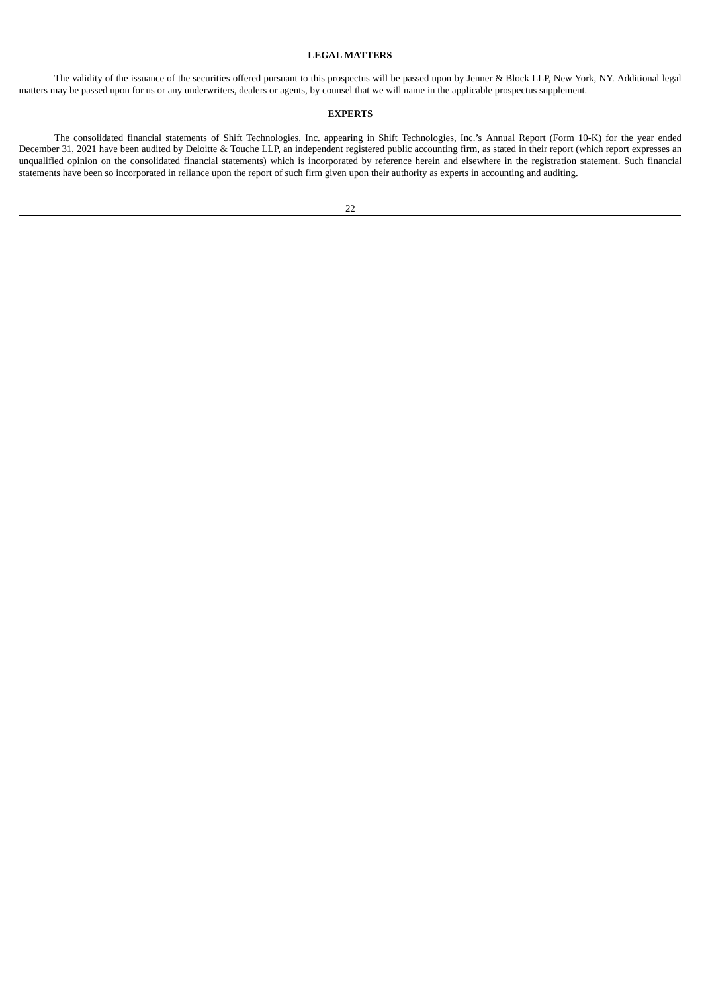## **LEGAL MATTERS**

<span id="page-25-0"></span>The validity of the issuance of the securities offered pursuant to this prospectus will be passed upon by Jenner & Block LLP, New York, NY. Additional legal matters may be passed upon for us or any underwriters, dealers or agents, by counsel that we will name in the applicable prospectus supplement.

# **EXPERTS**

<span id="page-25-1"></span>The consolidated financial statements of Shift Technologies, Inc. appearing in Shift Technologies, Inc.'s Annual Report (Form 10-K) for the year ended December 31, 2021 have been audited by Deloitte & Touche LLP, an independent registered public accounting firm, as stated in their report (which report expresses an unqualified opinion on the consolidated financial statements) which is incorporated by reference herein and elsewhere in the registration statement. Such financial statements have been so incorporated in reliance upon the report of such firm given upon their authority as experts in accounting and auditing.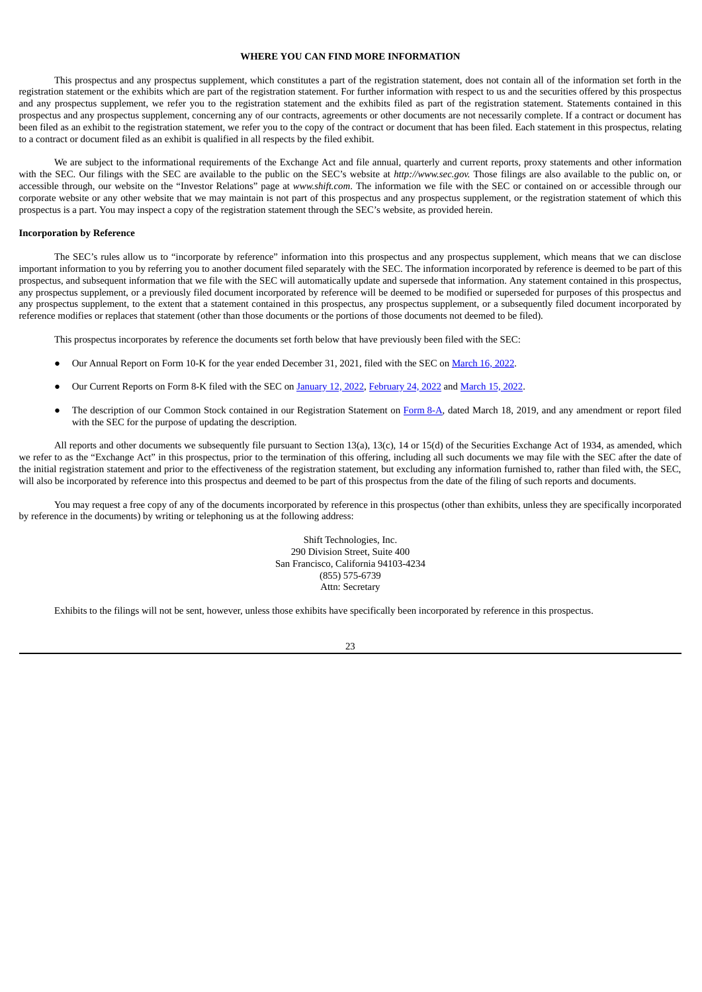# **WHERE YOU CAN FIND MORE INFORMATION**

<span id="page-26-0"></span>This prospectus and any prospectus supplement, which constitutes a part of the registration statement, does not contain all of the information set forth in the registration statement or the exhibits which are part of the registration statement. For further information with respect to us and the securities offered by this prospectus and any prospectus supplement, we refer you to the registration statement and the exhibits filed as part of the registration statement. Statements contained in this prospectus and any prospectus supplement, concerning any of our contracts, agreements or other documents are not necessarily complete. If a contract or document has been filed as an exhibit to the registration statement, we refer you to the copy of the contract or document that has been filed. Each statement in this prospectus, relating to a contract or document filed as an exhibit is qualified in all respects by the filed exhibit.

We are subject to the informational requirements of the Exchange Act and file annual, quarterly and current reports, proxy statements and other information with the SEC. Our filings with the SEC are available to the public on the SEC's website at *http://www.sec.gov.* Those filings are also available to the public on, or accessible through, our website on the "Investor Relations" page at *www.shift.com*. The information we file with the SEC or contained on or accessible through our corporate website or any other website that we may maintain is not part of this prospectus and any prospectus supplement, or the registration statement of which this prospectus is a part. You may inspect a copy of the registration statement through the SEC's website, as provided herein.

#### **Incorporation by Reference**

The SEC's rules allow us to "incorporate by reference" information into this prospectus and any prospectus supplement, which means that we can disclose important information to you by referring you to another document filed separately with the SEC. The information incorporated by reference is deemed to be part of this prospectus, and subsequent information that we file with the SEC will automatically update and supersede that information. Any statement contained in this prospectus, any prospectus supplement, or a previously filed document incorporated by reference will be deemed to be modified or superseded for purposes of this prospectus and any prospectus supplement, to the extent that a statement contained in this prospectus, any prospectus supplement, or a subsequently filed document incorporated by reference modifies or replaces that statement (other than those documents or the portions of those documents not deemed to be filed).

This prospectus incorporates by reference the documents set forth below that have previously been filed with the SEC:

- Our Annual Report on Form 10-K for the year ended December 31, 2021, filed with the SEC on [March](http://www.sec.gov/ix?doc=/Archives/edgar/data/1762322/000176232222000017/sft-20211231.htm) 16, 2022.
- Our Current Reports on Form 8-K filed with the SEC on [January](http://www.sec.gov/Archives/edgar/data/1762322/000121390022001736/ea153910-8k_shifttech.htm) 12, 2022, [February](http://www.sec.gov/ix?doc=/Archives/edgar/data/1762322/000121390022009246/ea156162-8k_shift.htm) 24, 2022 and [March](http://www.sec.gov/ix?doc=/Archives/edgar/data/1762322/000121390022012582/ea156893-8k_shifttech.htm) 15, 2022.
- The description of our Common Stock contained in our Registration Statement on [Form](http://www.sec.gov/Archives/edgar/data/1762322/000121390019004337/f8a12b031519_insurance.htm) 8-A, dated March 18, 2019, and any amendment or report filed with the SEC for the purpose of updating the description.

All reports and other documents we subsequently file pursuant to Section 13(a), 13(c), 14 or 15(d) of the Securities Exchange Act of 1934, as amended, which we refer to as the "Exchange Act" in this prospectus, prior to the termination of this offering, including all such documents we may file with the SEC after the date of the initial registration statement and prior to the effectiveness of the registration statement, but excluding any information furnished to, rather than filed with, the SEC, will also be incorporated by reference into this prospectus and deemed to be part of this prospectus from the date of the filing of such reports and documents.

You may request a free copy of any of the documents incorporated by reference in this prospectus (other than exhibits, unless they are specifically incorporated by reference in the documents) by writing or telephoning us at the following address:

> Shift Technologies, Inc. 290 Division Street, Suite 400 San Francisco, California 94103-4234 (855) 575-6739 Attn: Secretary

Exhibits to the filings will not be sent, however, unless those exhibits have specifically been incorporated by reference in this prospectus.

#### 23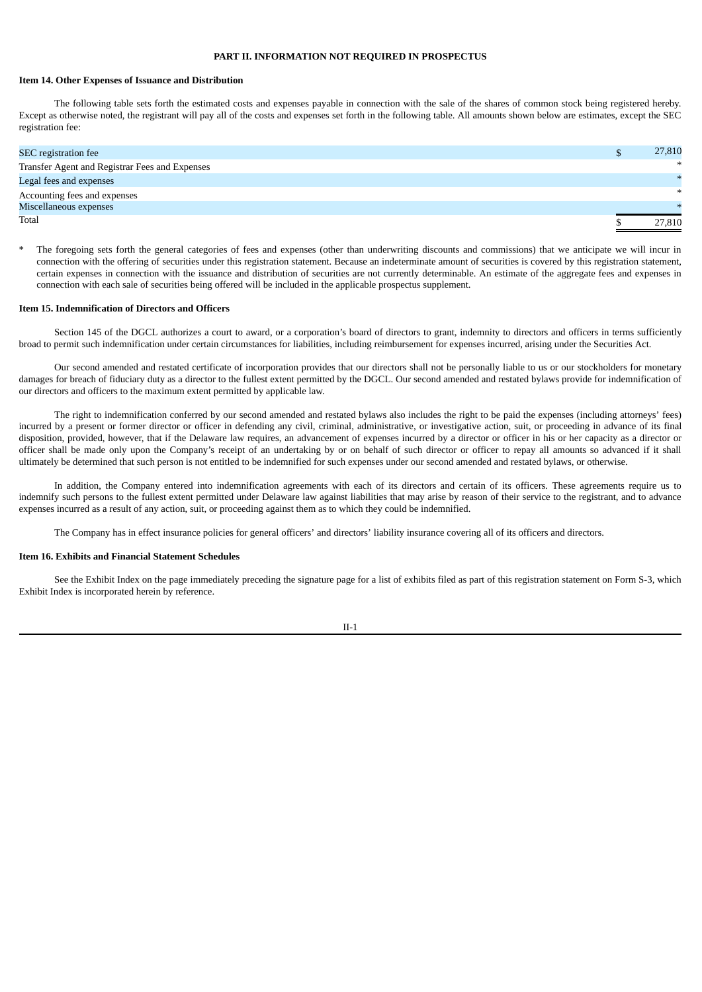# **PART II. INFORMATION NOT REQUIRED IN PROSPECTUS**

#### **Item 14. Other Expenses of Issuance and Distribution**

The following table sets forth the estimated costs and expenses payable in connection with the sale of the shares of common stock being registered hereby. Except as otherwise noted, the registrant will pay all of the costs and expenses set forth in the following table. All amounts shown below are estimates, except the SEC registration fee:

| SEC registration fee                           | 27,810 |
|------------------------------------------------|--------|
| Transfer Agent and Registrar Fees and Expenses | $*$    |
| Legal fees and expenses                        | $*$    |
| Accounting fees and expenses                   | $*$    |
| Miscellaneous expenses                         |        |
| Total                                          | 27,810 |

The foregoing sets forth the general categories of fees and expenses (other than underwriting discounts and commissions) that we anticipate we will incur in connection with the offering of securities under this registration statement. Because an indeterminate amount of securities is covered by this registration statement, certain expenses in connection with the issuance and distribution of securities are not currently determinable. An estimate of the aggregate fees and expenses in connection with each sale of securities being offered will be included in the applicable prospectus supplement.

#### **Item 15. Indemnification of Directors and Officers**

Section 145 of the DGCL authorizes a court to award, or a corporation's board of directors to grant, indemnity to directors and officers in terms sufficiently broad to permit such indemnification under certain circumstances for liabilities, including reimbursement for expenses incurred, arising under the Securities Act.

Our second amended and restated certificate of incorporation provides that our directors shall not be personally liable to us or our stockholders for monetary damages for breach of fiduciary duty as a director to the fullest extent permitted by the DGCL. Our second amended and restated bylaws provide for indemnification of our directors and officers to the maximum extent permitted by applicable law.

The right to indemnification conferred by our second amended and restated bylaws also includes the right to be paid the expenses (including attorneys' fees) incurred by a present or former director or officer in defending any civil, criminal, administrative, or investigative action, suit, or proceeding in advance of its final disposition, provided, however, that if the Delaware law requires, an advancement of expenses incurred by a director or officer in his or her capacity as a director or officer shall be made only upon the Company's receipt of an undertaking by or on behalf of such director or officer to repay all amounts so advanced if it shall ultimately be determined that such person is not entitled to be indemnified for such expenses under our second amended and restated bylaws, or otherwise.

In addition, the Company entered into indemnification agreements with each of its directors and certain of its officers. These agreements require us to indemnify such persons to the fullest extent permitted under Delaware law against liabilities that may arise by reason of their service to the registrant, and to advance expenses incurred as a result of any action, suit, or proceeding against them as to which they could be indemnified.

The Company has in effect insurance policies for general officers' and directors' liability insurance covering all of its officers and directors.

## **Item 16. Exhibits and Financial Statement Schedules**

See the Exhibit Index on the page immediately preceding the signature page for a list of exhibits filed as part of this registration statement on Form S-3, which Exhibit Index is incorporated herein by reference.

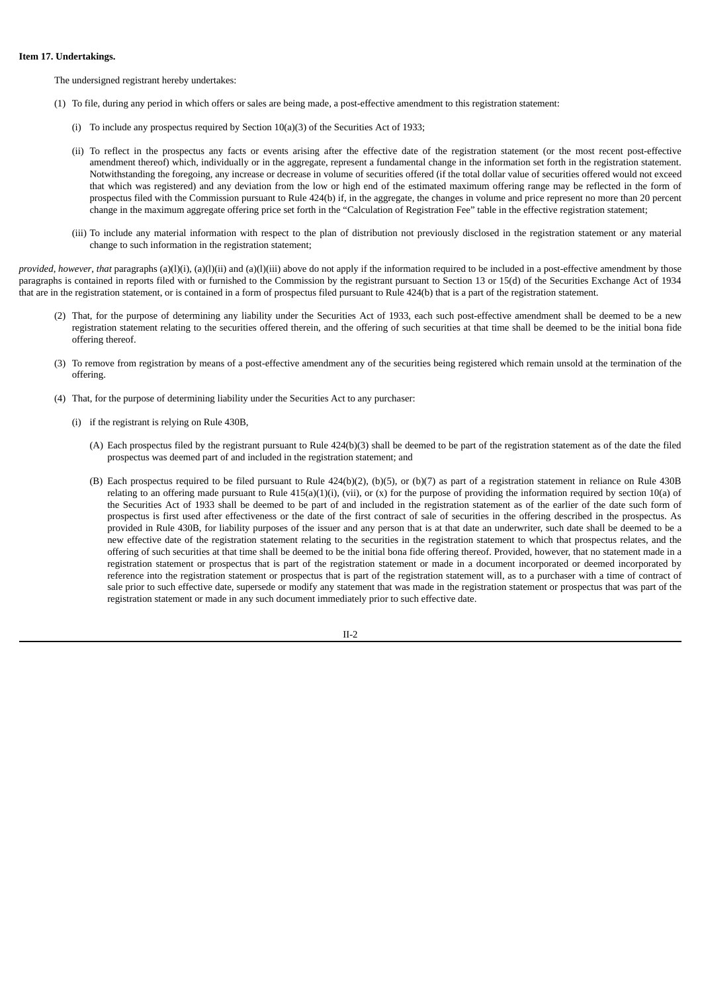### **Item 17. Undertakings.**

The undersigned registrant hereby undertakes:

- (1) To file, during any period in which offers or sales are being made, a post-effective amendment to this registration statement:
	- (i) To include any prospectus required by Section 10(a)(3) of the Securities Act of 1933;
	- (ii) To reflect in the prospectus any facts or events arising after the effective date of the registration statement (or the most recent post-effective amendment thereof) which, individually or in the aggregate, represent a fundamental change in the information set forth in the registration statement. Notwithstanding the foregoing, any increase or decrease in volume of securities offered (if the total dollar value of securities offered would not exceed that which was registered) and any deviation from the low or high end of the estimated maximum offering range may be reflected in the form of prospectus filed with the Commission pursuant to Rule 424(b) if, in the aggregate, the changes in volume and price represent no more than 20 percent change in the maximum aggregate offering price set forth in the "Calculation of Registration Fee" table in the effective registration statement;
	- (iii) To include any material information with respect to the plan of distribution not previously disclosed in the registration statement or any material change to such information in the registration statement;

*provided, however, that* paragraphs (a)(l)(i), (a)(l)(ii) and (a)(l)(iii) above do not apply if the information required to be included in a post-effective amendment by those paragraphs is contained in reports filed with or furnished to the Commission by the registrant pursuant to Section 13 or 15(d) of the Securities Exchange Act of 1934 that are in the registration statement, or is contained in a form of prospectus filed pursuant to Rule 424(b) that is a part of the registration statement.

- (2) That, for the purpose of determining any liability under the Securities Act of 1933, each such post-effective amendment shall be deemed to be a new registration statement relating to the securities offered therein, and the offering of such securities at that time shall be deemed to be the initial bona fide offering thereof.
- (3) To remove from registration by means of a post-effective amendment any of the securities being registered which remain unsold at the termination of the offering.
- (4) That, for the purpose of determining liability under the Securities Act to any purchaser:
	- (i) if the registrant is relying on Rule 430B,
		- (A) Each prospectus filed by the registrant pursuant to Rule 424(b)(3) shall be deemed to be part of the registration statement as of the date the filed prospectus was deemed part of and included in the registration statement; and
		- (B) Each prospectus required to be filed pursuant to Rule 424(b)(2), (b)(5), or (b)(7) as part of a registration statement in reliance on Rule 430B relating to an offering made pursuant to Rule  $415(a)(1)(i)$ , (vii), or (x) for the purpose of providing the information required by section 10(a) of the Securities Act of 1933 shall be deemed to be part of and included in the registration statement as of the earlier of the date such form of prospectus is first used after effectiveness or the date of the first contract of sale of securities in the offering described in the prospectus. As provided in Rule 430B, for liability purposes of the issuer and any person that is at that date an underwriter, such date shall be deemed to be a new effective date of the registration statement relating to the securities in the registration statement to which that prospectus relates, and the offering of such securities at that time shall be deemed to be the initial bona fide offering thereof. Provided, however, that no statement made in a registration statement or prospectus that is part of the registration statement or made in a document incorporated or deemed incorporated by reference into the registration statement or prospectus that is part of the registration statement will, as to a purchaser with a time of contract of sale prior to such effective date, supersede or modify any statement that was made in the registration statement or prospectus that was part of the registration statement or made in any such document immediately prior to such effective date.

II-2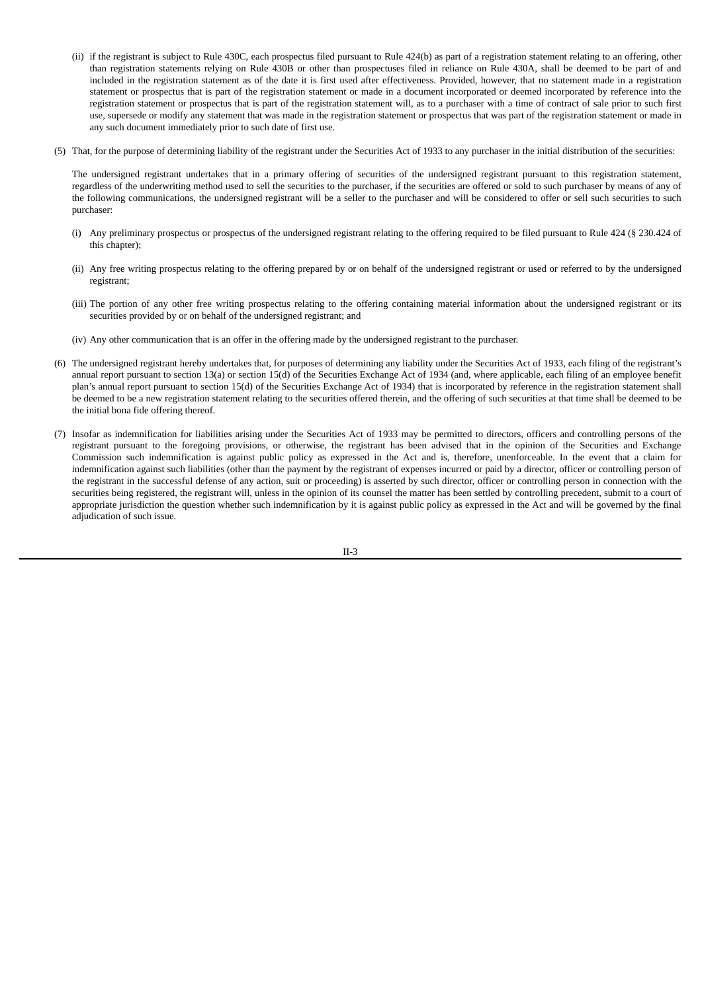- (ii) if the registrant is subject to Rule 430C, each prospectus filed pursuant to Rule 424(b) as part of a registration statement relating to an offering, other than registration statements relying on Rule 430B or other than prospectuses filed in reliance on Rule 430A, shall be deemed to be part of and included in the registration statement as of the date it is first used after effectiveness. Provided, however, that no statement made in a registration statement or prospectus that is part of the registration statement or made in a document incorporated or deemed incorporated by reference into the registration statement or prospectus that is part of the registration statement will, as to a purchaser with a time of contract of sale prior to such first use, supersede or modify any statement that was made in the registration statement or prospectus that was part of the registration statement or made in any such document immediately prior to such date of first use.
- (5) That, for the purpose of determining liability of the registrant under the Securities Act of 1933 to any purchaser in the initial distribution of the securities:

The undersigned registrant undertakes that in a primary offering of securities of the undersigned registrant pursuant to this registration statement, regardless of the underwriting method used to sell the securities to the purchaser, if the securities are offered or sold to such purchaser by means of any of the following communications, the undersigned registrant will be a seller to the purchaser and will be considered to offer or sell such securities to such purchaser:

- (i) Any preliminary prospectus or prospectus of the undersigned registrant relating to the offering required to be filed pursuant to Rule 424 (§ 230.424 of this chapter);
- (ii) Any free writing prospectus relating to the offering prepared by or on behalf of the undersigned registrant or used or referred to by the undersigned registrant;
- (iii) The portion of any other free writing prospectus relating to the offering containing material information about the undersigned registrant or its securities provided by or on behalf of the undersigned registrant; and
- (iv) Any other communication that is an offer in the offering made by the undersigned registrant to the purchaser.
- (6) The undersigned registrant hereby undertakes that, for purposes of determining any liability under the Securities Act of 1933, each filing of the registrant's annual report pursuant to section 13(a) or section 15(d) of the Securities Exchange Act of 1934 (and, where applicable, each filing of an employee benefit plan's annual report pursuant to section 15(d) of the Securities Exchange Act of 1934) that is incorporated by reference in the registration statement shall be deemed to be a new registration statement relating to the securities offered therein, and the offering of such securities at that time shall be deemed to be the initial bona fide offering thereof.
- (7) Insofar as indemnification for liabilities arising under the Securities Act of 1933 may be permitted to directors, officers and controlling persons of the registrant pursuant to the foregoing provisions, or otherwise, the registrant has been advised that in the opinion of the Securities and Exchange Commission such indemnification is against public policy as expressed in the Act and is, therefore, unenforceable. In the event that a claim for indemnification against such liabilities (other than the payment by the registrant of expenses incurred or paid by a director, officer or controlling person of the registrant in the successful defense of any action, suit or proceeding) is asserted by such director, officer or controlling person in connection with the securities being registered, the registrant will, unless in the opinion of its counsel the matter has been settled by controlling precedent, submit to a court of appropriate jurisdiction the question whether such indemnification by it is against public policy as expressed in the Act and will be governed by the final adjudication of such issue.

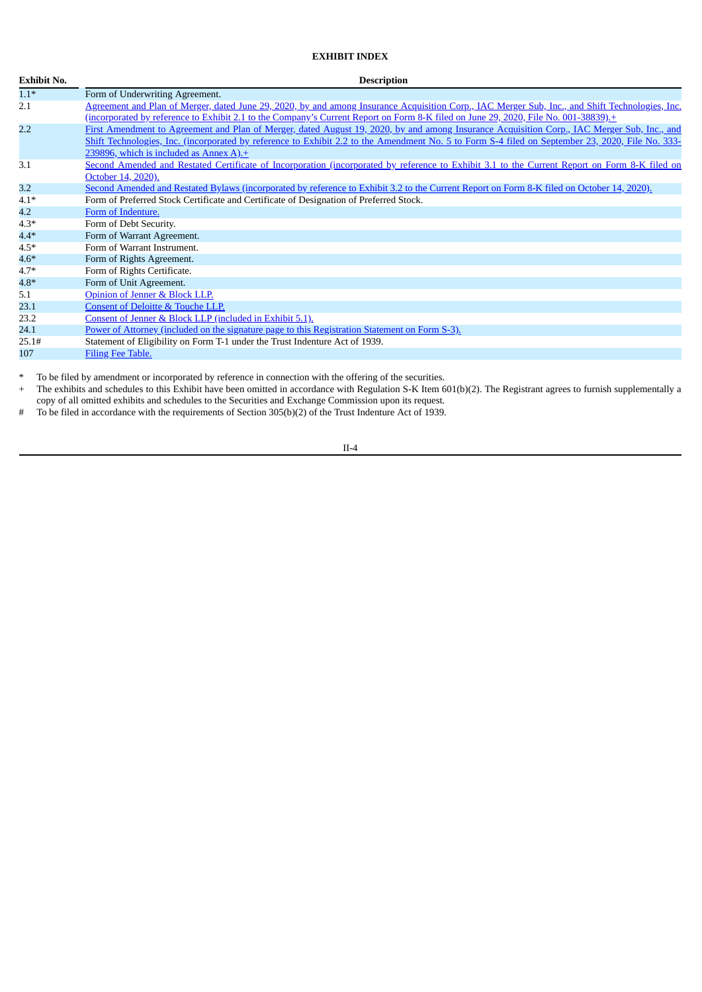# **EXHIBIT INDEX**

| <b>Exhibit No.</b> | <b>Description</b>                                                                                                                                                                                                                                                                                                                            |
|--------------------|-----------------------------------------------------------------------------------------------------------------------------------------------------------------------------------------------------------------------------------------------------------------------------------------------------------------------------------------------|
| $1.1*$             | Form of Underwriting Agreement.                                                                                                                                                                                                                                                                                                               |
| 2.1                | Agreement and Plan of Merger, dated June 29, 2020, by and among Insurance Acquisition Corp., IAC Merger Sub, Inc., and Shift Technologies, Inc.<br>(incorporated by reference to Exhibit 2.1 to the Company's Current Report on Form 8-K filed on June 29, 2020, File No. 001-38839). <sup>+</sup>                                            |
| 2.2                | First Amendment to Agreement and Plan of Merger, dated August 19, 2020, by and among Insurance Acquisition Corp., IAC Merger Sub, Inc., and<br>Shift Technologies, Inc. (incorporated by reference to Exhibit 2.2 to the Amendment No. 5 to Form S-4 filed on September 23, 2020, File No. 333-<br>239896, which is included as Annex A). $+$ |
| 3.1                | Second Amended and Restated Certificate of Incorporation (incorporated by reference to Exhibit 3.1 to the Current Report on Form 8-K filed on<br>October 14, 2020).                                                                                                                                                                           |
| 3.2                | Second Amended and Restated Bylaws (incorporated by reference to Exhibit 3.2 to the Current Report on Form 8-K filed on October 14, 2020).                                                                                                                                                                                                    |
| $4.1*$             | Form of Preferred Stock Certificate and Certificate of Designation of Preferred Stock.                                                                                                                                                                                                                                                        |
| 4.2                | Form of Indenture.                                                                                                                                                                                                                                                                                                                            |
| $4.3*$             | Form of Debt Security.                                                                                                                                                                                                                                                                                                                        |
| $4.4*$             | Form of Warrant Agreement.                                                                                                                                                                                                                                                                                                                    |
| $4.5*$             | Form of Warrant Instrument.                                                                                                                                                                                                                                                                                                                   |
| $4.6*$             | Form of Rights Agreement.                                                                                                                                                                                                                                                                                                                     |
| $4.7*$             | Form of Rights Certificate.                                                                                                                                                                                                                                                                                                                   |
| $4.8*$             | Form of Unit Agreement.                                                                                                                                                                                                                                                                                                                       |
| 5.1                | Opinion of Jenner & Block LLP.                                                                                                                                                                                                                                                                                                                |
| 23.1               | Consent of Deloitte & Touche LLP.                                                                                                                                                                                                                                                                                                             |
| 23.2               | Consent of Jenner & Block LLP (included in Exhibit 5.1).                                                                                                                                                                                                                                                                                      |
| 24.1               | Power of Attorney (included on the signature page to this Registration Statement on Form S-3).                                                                                                                                                                                                                                                |
| 25.1#              | Statement of Eligibility on Form T-1 under the Trust Indenture Act of 1939.                                                                                                                                                                                                                                                                   |
| 107                | Filing Fee Table.                                                                                                                                                                                                                                                                                                                             |

\* To be filed by amendment or incorporated by reference in connection with the offering of the securities.

+ The exhibits and schedules to this Exhibit have been omitted in accordance with Regulation S-K Item 601(b)(2). The Registrant agrees to furnish supplementally a copy of all omitted exhibits and schedules to the Securities and Exchange Commission upon its request.

# To be filed in accordance with the requirements of Section 305(b)(2) of the Trust Indenture Act of 1939.

II-4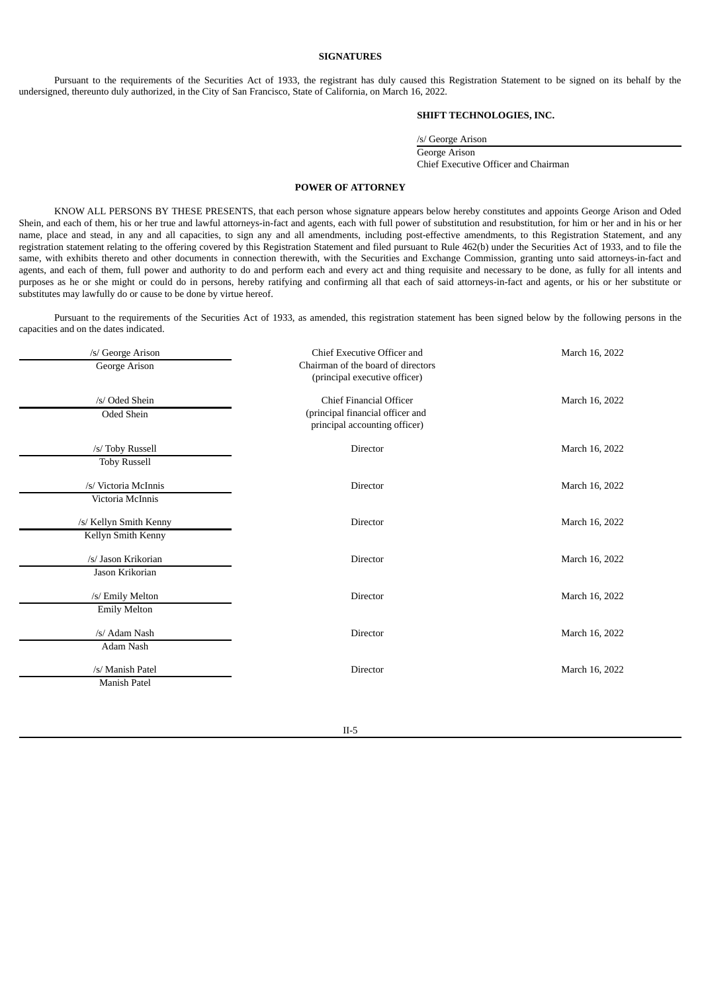## **SIGNATURES**

Pursuant to the requirements of the Securities Act of 1933, the registrant has duly caused this Registration Statement to be signed on its behalf by the undersigned, thereunto duly authorized, in the City of San Francisco, State of California, on March 16, 2022.

# **SHIFT TECHNOLOGIES, INC.**

| /s/ George Arison |  |
|-------------------|--|
|-------------------|--|

George Arison

Chief Executive Officer and Chairman

# **POWER OF ATTORNEY**

<span id="page-31-0"></span>KNOW ALL PERSONS BY THESE PRESENTS, that each person whose signature appears below hereby constitutes and appoints George Arison and Oded Shein, and each of them, his or her true and lawful attorneys-in-fact and agents, each with full power of substitution and resubstitution, for him or her and in his or her name, place and stead, in any and all capacities, to sign any and all amendments, including post-effective amendments, to this Registration Statement, and any registration statement relating to the offering covered by this Registration Statement and filed pursuant to Rule 462(b) under the Securities Act of 1933, and to file the same, with exhibits thereto and other documents in connection therewith, with the Securities and Exchange Commission, granting unto said attorneys-in-fact and agents, and each of them, full power and authority to do and perform each and every act and thing requisite and necessary to be done, as fully for all intents and purposes as he or she might or could do in persons, hereby ratifying and confirming all that each of said attorneys-in-fact and agents, or his or her substitute or substitutes may lawfully do or cause to be done by virtue hereof.

Pursuant to the requirements of the Securities Act of 1933, as amended, this registration statement has been signed below by the following persons in the capacities and on the dates indicated.

| /s/ George Arison<br>George Arison           | Chief Executive Officer and<br>Chairman of the board of directors<br>(principal executive officer)  | March 16, 2022 |
|----------------------------------------------|-----------------------------------------------------------------------------------------------------|----------------|
| /s/ Oded Shein<br>Oded Shein                 | <b>Chief Financial Officer</b><br>(principal financial officer and<br>principal accounting officer) | March 16, 2022 |
| /s/ Toby Russell<br><b>Toby Russell</b>      | Director                                                                                            | March 16, 2022 |
| /s/ Victoria McInnis<br>Victoria McInnis     | Director                                                                                            | March 16, 2022 |
| /s/ Kellyn Smith Kenny<br>Kellyn Smith Kenny | Director                                                                                            | March 16, 2022 |
| /s/ Jason Krikorian<br>Jason Krikorian       | <b>Director</b>                                                                                     | March 16, 2022 |
| /s/ Emily Melton<br><b>Emily Melton</b>      | Director                                                                                            | March 16, 2022 |
| /s/ Adam Nash<br>Adam Nash                   | Director                                                                                            | March 16, 2022 |
| /s/ Manish Patel<br><b>Manish Patel</b>      | Director                                                                                            | March 16, 2022 |

II-5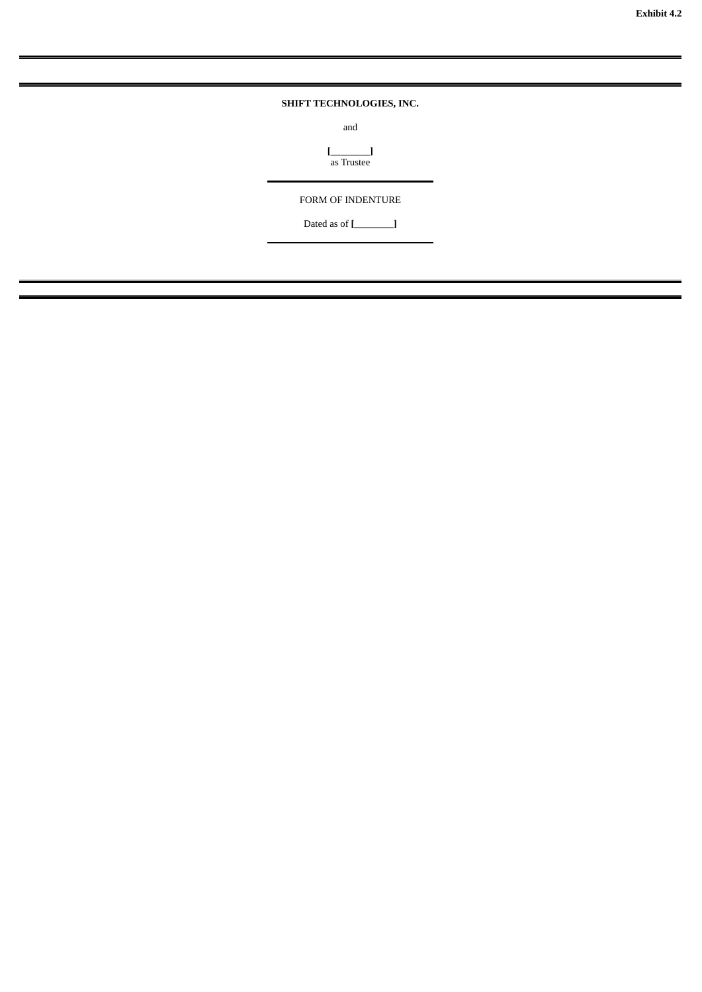# <span id="page-32-0"></span>**SHIFT TECHNOLOGIES, INC.**

and

**[\_\_\_\_\_\_\_\_]** as Trustee

FORM OF INDENTURE

Dated as of **[\_\_\_\_\_\_\_\_]**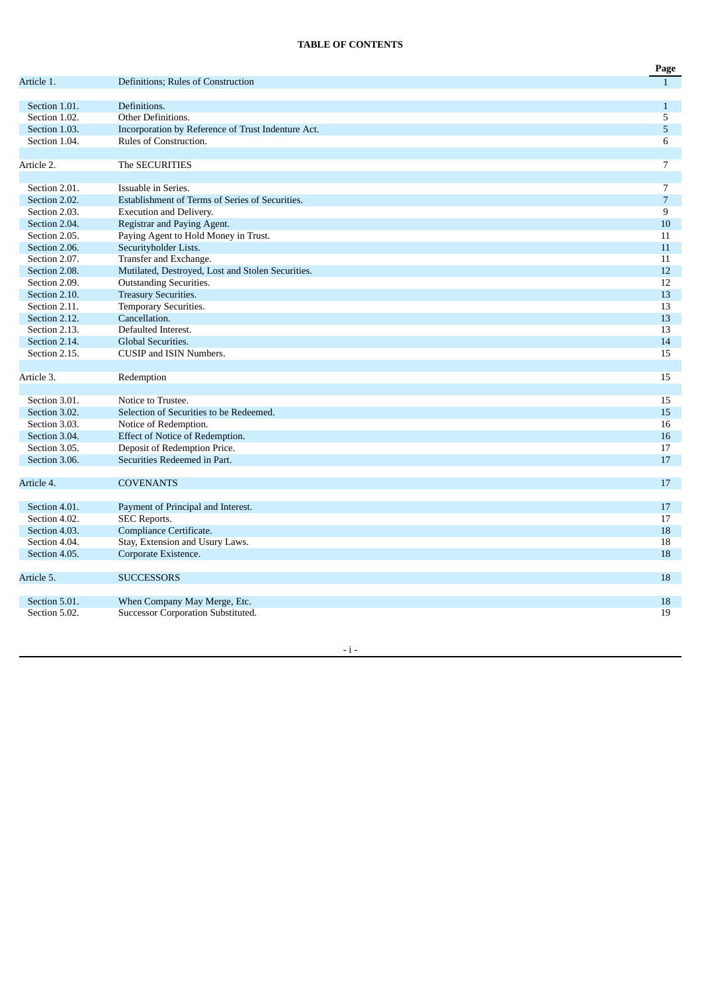# **TABLE OF CONTENTS**

|               |                                                    | Page           |
|---------------|----------------------------------------------------|----------------|
| Article 1.    | Definitions; Rules of Construction                 | $\overline{1}$ |
|               |                                                    |                |
| Section 1.01. | Definitions.                                       | $\mathbf{1}$   |
| Section 1.02. | Other Definitions.                                 | 5              |
| Section 1.03. | Incorporation by Reference of Trust Indenture Act. | 5              |
| Section 1.04. | Rules of Construction.                             | 6              |
| Article 2.    | The SECURITIES                                     | 7              |
| Section 2.01. | Issuable in Series.                                | 7              |
| Section 2.02. | Establishment of Terms of Series of Securities.    | $\overline{7}$ |
| Section 2.03. | <b>Execution and Delivery.</b>                     | 9              |
| Section 2.04. | Registrar and Paying Agent.                        | 10             |
| Section 2.05. | Paying Agent to Hold Money in Trust.               | 11             |
| Section 2.06. | Securityholder Lists.                              | 11             |
| Section 2.07. | Transfer and Exchange.                             | 11             |
| Section 2.08. | Mutilated, Destroyed, Lost and Stolen Securities.  | 12             |
| Section 2.09. | Outstanding Securities.                            | 12             |
| Section 2.10. | <b>Treasury Securities.</b>                        | 13             |
| Section 2.11. | Temporary Securities.                              | 13             |
| Section 2.12. | Cancellation.                                      | 13             |
| Section 2.13. | Defaulted Interest.                                | 13             |
| Section 2.14. | Global Securities.                                 | 14             |
| Section 2.15. | CUSIP and ISIN Numbers.                            | 15             |
|               |                                                    |                |
| Article 3.    | Redemption                                         | 15             |
| Section 3.01. | Notice to Trustee.                                 | 15             |
| Section 3.02. | Selection of Securities to be Redeemed.            | 15             |
| Section 3.03. | Notice of Redemption.                              | 16             |
| Section 3.04. | Effect of Notice of Redemption.                    | 16             |
| Section 3.05. | Deposit of Redemption Price.                       | 17             |
| Section 3.06. | Securities Redeemed in Part.                       | 17             |
|               |                                                    |                |
| Article 4.    | <b>COVENANTS</b>                                   | 17             |
| Section 4.01. | Payment of Principal and Interest.                 | 17             |
| Section 4.02. | SEC Reports.                                       | 17             |
| Section 4.03. | Compliance Certificate.                            | 18             |
| Section 4.04. | Stay, Extension and Usury Laws.                    | 18             |
| Section 4.05. | Corporate Existence.                               | 18             |
|               |                                                    |                |
| Article 5.    | <b>SUCCESSORS</b>                                  | 18             |
| Section 5.01. | When Company May Merge, Etc.                       | 18             |
| Section 5.02. | Successor Corporation Substituted.                 | 19             |
|               |                                                    |                |

 $-i -$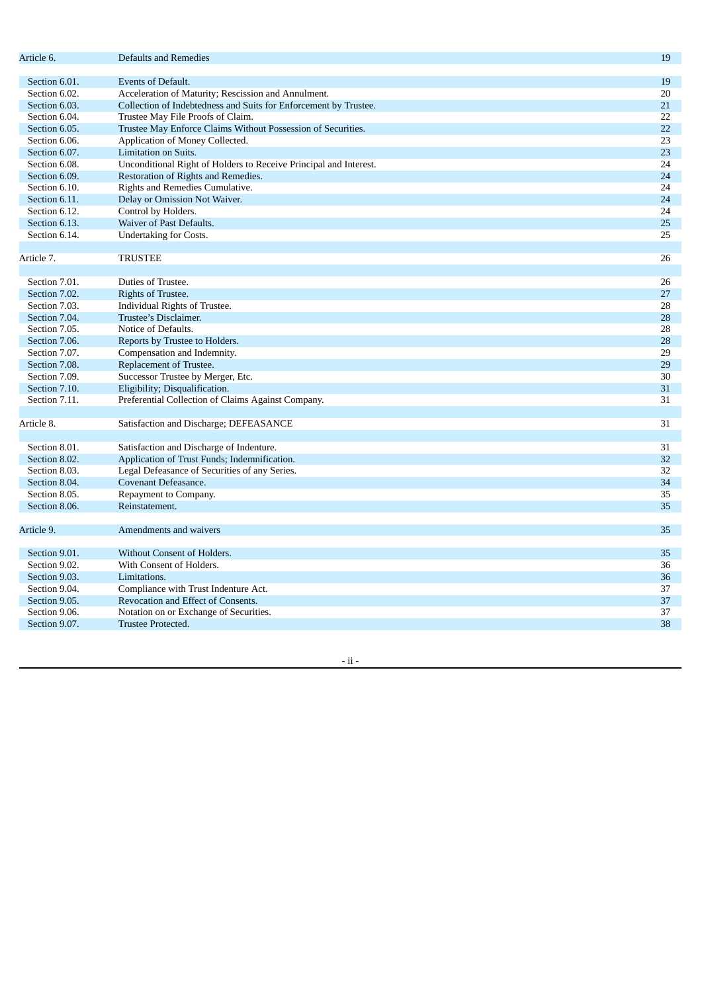| Article 6.    | <b>Defaults and Remedies</b>                                      | 19 |
|---------------|-------------------------------------------------------------------|----|
| Section 6.01. | Events of Default.                                                | 19 |
| Section 6.02. | Acceleration of Maturity; Rescission and Annulment.               | 20 |
| Section 6.03. | Collection of Indebtedness and Suits for Enforcement by Trustee.  | 21 |
| Section 6.04. | Trustee May File Proofs of Claim.                                 | 22 |
| Section 6.05. | Trustee May Enforce Claims Without Possession of Securities.      | 22 |
| Section 6.06. | Application of Money Collected.                                   | 23 |
| Section 6.07. | Limitation on Suits.                                              | 23 |
| Section 6.08. | Unconditional Right of Holders to Receive Principal and Interest. | 24 |
| Section 6.09. | Restoration of Rights and Remedies.                               | 24 |
| Section 6.10. | Rights and Remedies Cumulative.                                   | 24 |
| Section 6.11. | Delay or Omission Not Waiver.                                     | 24 |
| Section 6.12. | Control by Holders.                                               | 24 |
| Section 6.13. | Waiver of Past Defaults.                                          | 25 |
| Section 6.14. | Undertaking for Costs.                                            | 25 |
|               |                                                                   |    |
| Article 7.    | <b>TRUSTEE</b>                                                    | 26 |
|               |                                                                   |    |
| Section 7.01. | Duties of Trustee.                                                | 26 |
| Section 7.02. | Rights of Trustee.                                                | 27 |
| Section 7.03. | Individual Rights of Trustee.                                     | 28 |
| Section 7.04. | Trustee's Disclaimer.                                             | 28 |
| Section 7.05. | Notice of Defaults.                                               | 28 |
| Section 7.06. | Reports by Trustee to Holders.                                    | 28 |
| Section 7.07. | Compensation and Indemnity.                                       | 29 |
| Section 7.08. | Replacement of Trustee.                                           | 29 |
| Section 7.09. | Successor Trustee by Merger, Etc.                                 | 30 |
| Section 7.10. | Eligibility; Disqualification.                                    | 31 |
| Section 7.11. | Preferential Collection of Claims Against Company.                | 31 |
|               |                                                                   |    |
| Article 8.    | Satisfaction and Discharge; DEFEASANCE                            | 31 |
| Section 8.01. | Satisfaction and Discharge of Indenture.                          | 31 |
| Section 8.02. | Application of Trust Funds; Indemnification.                      | 32 |
| Section 8.03. | Legal Defeasance of Securities of any Series.                     | 32 |
| Section 8.04. | Covenant Defeasance.                                              | 34 |
| Section 8.05. | Repayment to Company.                                             | 35 |
| Section 8.06. | Reinstatement.                                                    | 35 |
|               |                                                                   |    |
| Article 9.    | Amendments and waivers                                            | 35 |
|               |                                                                   |    |
| Section 9.01. | Without Consent of Holders.                                       | 35 |
| Section 9.02. | With Consent of Holders.                                          | 36 |
| Section 9.03. | Limitations.                                                      | 36 |
| Section 9.04. | Compliance with Trust Indenture Act.                              | 37 |
| Section 9.05. | Revocation and Effect of Consents.                                | 37 |
| Section 9.06. | Notation on or Exchange of Securities.                            | 37 |
| Section 9.07. | Trustee Protected.                                                | 38 |

- i i -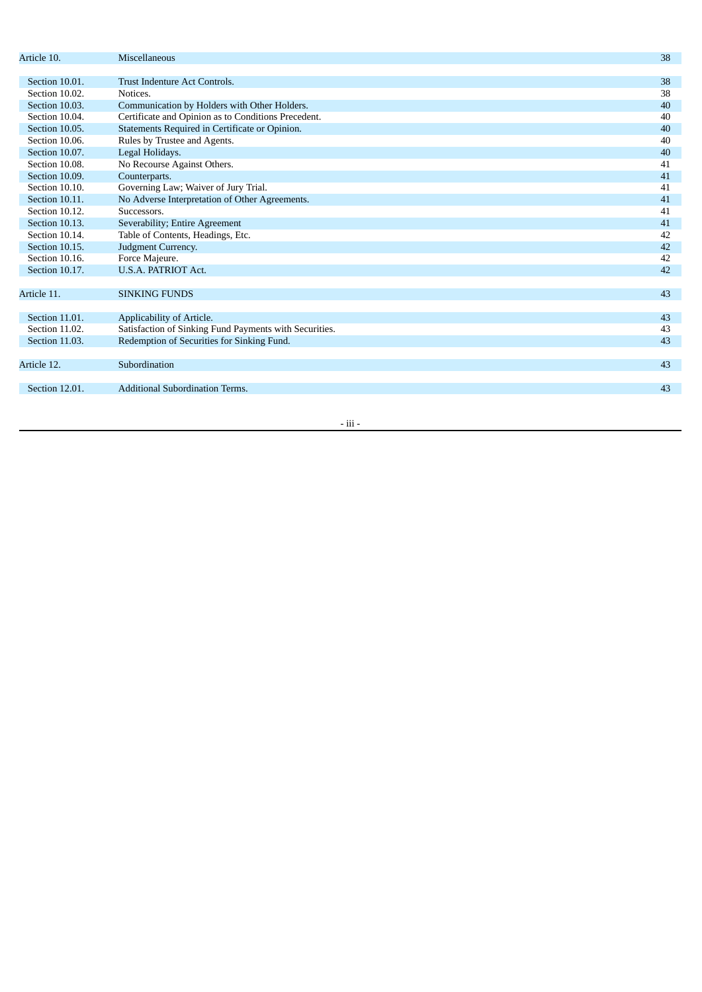| Article 10.    | Miscellaneous                                          | 38 |
|----------------|--------------------------------------------------------|----|
|                |                                                        |    |
| Section 10.01. | Trust Indenture Act Controls.                          | 38 |
| Section 10.02. | Notices.                                               | 38 |
| Section 10.03. | Communication by Holders with Other Holders.           | 40 |
| Section 10.04. | Certificate and Opinion as to Conditions Precedent.    | 40 |
| Section 10.05. | Statements Required in Certificate or Opinion.         | 40 |
| Section 10.06. | Rules by Trustee and Agents.                           | 40 |
| Section 10.07. | Legal Holidays.                                        | 40 |
| Section 10.08. | No Recourse Against Others.                            | 41 |
| Section 10.09. | Counterparts.                                          | 41 |
| Section 10.10. | Governing Law; Waiver of Jury Trial.                   | 41 |
| Section 10.11. | No Adverse Interpretation of Other Agreements.         | 41 |
| Section 10.12. | Successors.                                            | 41 |
| Section 10.13. | Severability; Entire Agreement                         | 41 |
| Section 10.14. | Table of Contents, Headings, Etc.                      | 42 |
| Section 10.15. | Judgment Currency.                                     | 42 |
| Section 10.16. | Force Majeure.                                         | 42 |
| Section 10.17. | <b>U.S.A. PATRIOT Act.</b>                             | 42 |
|                |                                                        |    |
| Article 11.    | <b>SINKING FUNDS</b>                                   | 43 |
|                |                                                        |    |
| Section 11.01. | Applicability of Article.                              | 43 |
| Section 11.02. | Satisfaction of Sinking Fund Payments with Securities. | 43 |
| Section 11.03. | Redemption of Securities for Sinking Fund.             | 43 |
|                |                                                        |    |
| Article 12.    | Subordination                                          | 43 |
|                |                                                        |    |
| Section 12.01. | Additional Subordination Terms.                        | 43 |
|                |                                                        |    |

- iii -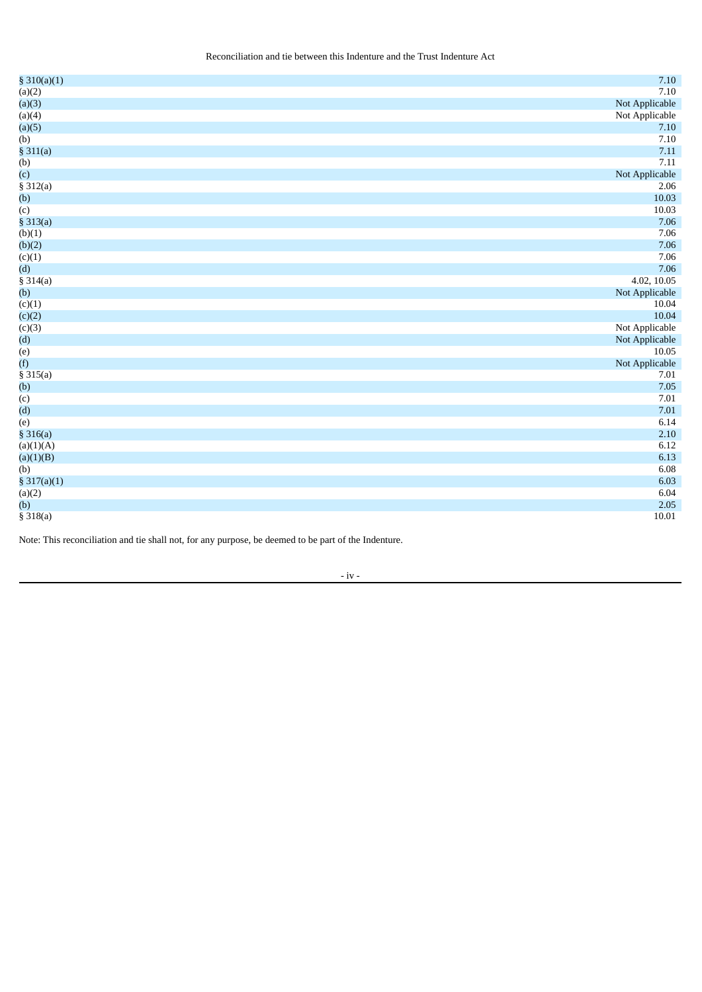# Reconciliation and tie between this Indenture and the Trust Indenture Act

| \$310(a)(1)   | $7.10\,$       |
|---------------|----------------|
| (a)(2)        | $7.10\,$       |
| (a)(3)        | Not Applicable |
| (a)(4)        | Not Applicable |
| (a)(5)        | $7.10\,$       |
| (b)           | 7.10           |
| $§$ 311(a)    | 7.11           |
| (b)           | 7.11           |
| (c)           | Not Applicable |
| $§$ 312(a)    | 2.06           |
| (b)           | 10.03          |
| (c)           | 10.03          |
| § 313(a)      | 7.06           |
| (b)(1)        | 7.06           |
| (b)(2)        | 7.06           |
| (c)(1)        | 7.06           |
| (d)           | 7.06           |
| § 314(a)      | 4.02, 10.05    |
| (b)           | Not Applicable |
| (c)(1)        | 10.04          |
| (c)(2)        | 10.04          |
| (c)(3)        | Not Applicable |
| (d)           | Not Applicable |
| (e)           | 10.05          |
| (f)           | Not Applicable |
| § 315(a)      | 7.01           |
| (b)           | 7.05           |
| (c)           | 7.01           |
| (d)           | $7.01\,$       |
| (e)           | 6.14           |
| § 316(a)      | 2.10           |
| (a)(1)(A)     | 6.12           |
| (a)(1)(B)     | 6.13           |
| (b)           | 6.08           |
| § $317(a)(1)$ | 6.03           |
| (a)(2)        | 6.04           |
| (b)           | 2.05           |
| § 318(a)      | 10.01          |
|               |                |

Note: This reconciliation and tie shall not, for any purpose, be deemed to be part of the Indenture.

- iv -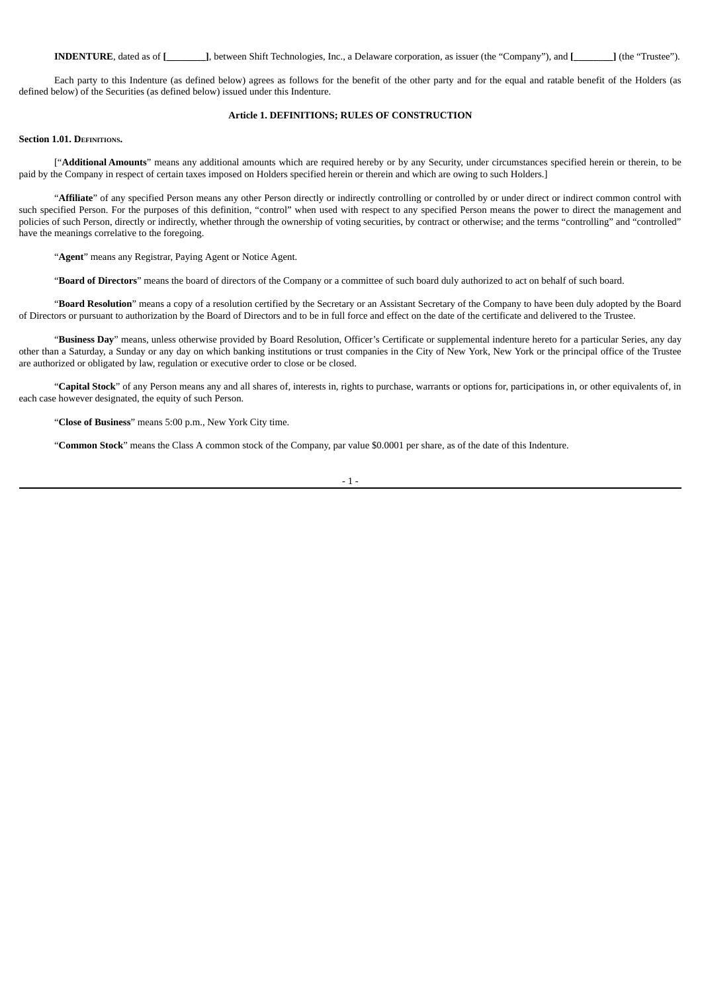**INDENTURE**, dated as of **[\_\_\_\_\_\_\_\_]**, between Shift Technologies, Inc., a Delaware corporation, as issuer (the "Company"), and **[\_\_\_\_\_\_\_\_]** (the "Trustee").

Each party to this Indenture (as defined below) agrees as follows for the benefit of the other party and for the equal and ratable benefit of the Holders (as defined below) of the Securities (as defined below) issued under this Indenture.

## **Article 1. DEFINITIONS; RULES OF CONSTRUCTION**

**Section 1.01. DEFINITIONS.**

["**Additional Amounts**" means any additional amounts which are required hereby or by any Security, under circumstances specified herein or therein, to be paid by the Company in respect of certain taxes imposed on Holders specified herein or therein and which are owing to such Holders.]

"Affiliate" of any specified Person means any other Person directly or indirectly controlling or controlled by or under direct or indirect common control with such specified Person. For the purposes of this definition, "control" when used with respect to any specified Person means the power to direct the management and policies of such Person, directly or indirectly, whether through the ownership of voting securities, by contract or otherwise; and the terms "controlling" and "controlled" have the meanings correlative to the foregoing.

"**Agent**" means any Registrar, Paying Agent or Notice Agent.

"**Board of Directors**" means the board of directors of the Company or a committee of such board duly authorized to act on behalf of such board.

"**Board Resolution**" means a copy of a resolution certified by the Secretary or an Assistant Secretary of the Company to have been duly adopted by the Board of Directors or pursuant to authorization by the Board of Directors and to be in full force and effect on the date of the certificate and delivered to the Trustee.

"**Business Day**" means, unless otherwise provided by Board Resolution, Officer's Certificate or supplemental indenture hereto for a particular Series, any day other than a Saturday, a Sunday or any day on which banking institutions or trust companies in the City of New York, New York or the principal office of the Trustee are authorized or obligated by law, regulation or executive order to close or be closed.

"**Capital Stock**" of any Person means any and all shares of, interests in, rights to purchase, warrants or options for, participations in, or other equivalents of, in each case however designated, the equity of such Person.

"**Close of Business**" means 5:00 p.m., New York City time.

"**Common Stock**" means the Class A common stock of the Company, par value \$0.0001 per share, as of the date of this Indenture.

- 1 -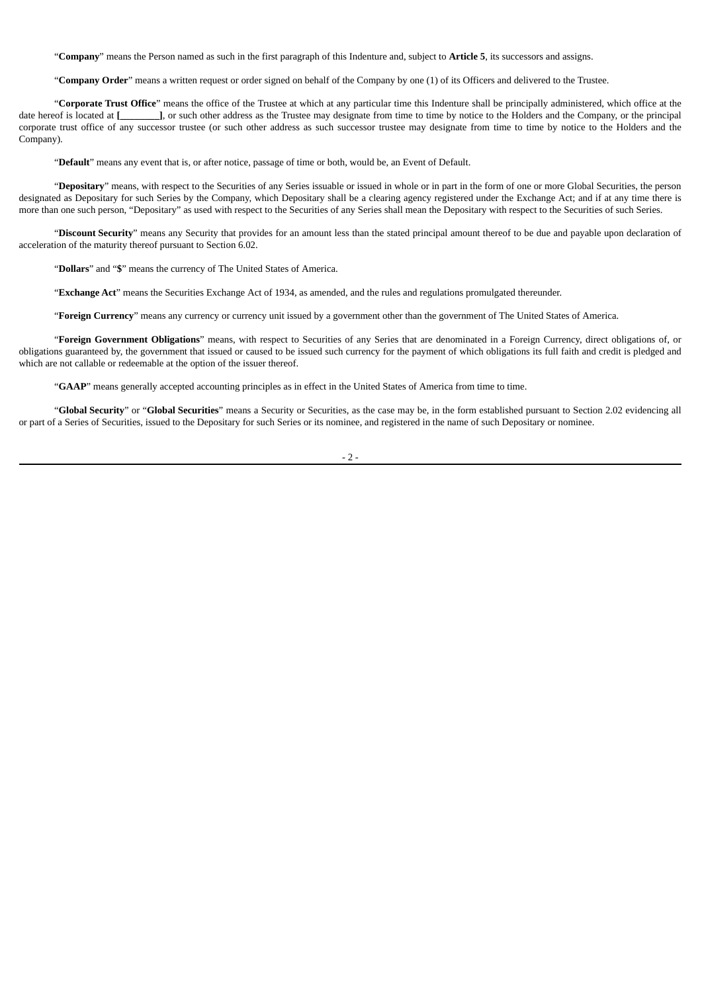"**Company**" means the Person named as such in the first paragraph of this Indenture and, subject to **Article 5**, its successors and assigns.

"**Company Order**" means a written request or order signed on behalf of the Company by one (1) of its Officers and delivered to the Trustee.

"**Corporate Trust Office**" means the office of the Trustee at which at any particular time this Indenture shall be principally administered, which office at the date hereof is located at **[\_\_\_\_\_\_\_\_\_]**, or such other address as the Trustee may designate from time to time by notice to the Holders and the Company, or the principal corporate trust office of any successor trustee (or such other address as such successor trustee may designate from time to time by notice to the Holders and the Company).

"**Default**" means any event that is, or after notice, passage of time or both, would be, an Event of Default.

"**Depositary**" means, with respect to the Securities of any Series issuable or issued in whole or in part in the form of one or more Global Securities, the person designated as Depositary for such Series by the Company, which Depositary shall be a clearing agency registered under the Exchange Act; and if at any time there is more than one such person, "Depositary" as used with respect to the Securities of any Series shall mean the Depositary with respect to the Securities of such Series.

"**Discount Security**" means any Security that provides for an amount less than the stated principal amount thereof to be due and payable upon declaration of acceleration of the maturity thereof pursuant to Section 6.02.

"**Dollars**" and "**\$**" means the currency of The United States of America.

"**Exchange Act**" means the Securities Exchange Act of 1934, as amended, and the rules and regulations promulgated thereunder.

"**Foreign Currency**" means any currency or currency unit issued by a government other than the government of The United States of America.

"**Foreign Government Obligations**" means, with respect to Securities of any Series that are denominated in a Foreign Currency, direct obligations of, or obligations guaranteed by, the government that issued or caused to be issued such currency for the payment of which obligations its full faith and credit is pledged and which are not callable or redeemable at the option of the issuer thereof.

"**GAAP**" means generally accepted accounting principles as in effect in the United States of America from time to time.

"**Global Security**" or "**Global Securities**" means a Security or Securities, as the case may be, in the form established pursuant to Section 2.02 evidencing all or part of a Series of Securities, issued to the Depositary for such Series or its nominee, and registered in the name of such Depositary or nominee.

- 2 -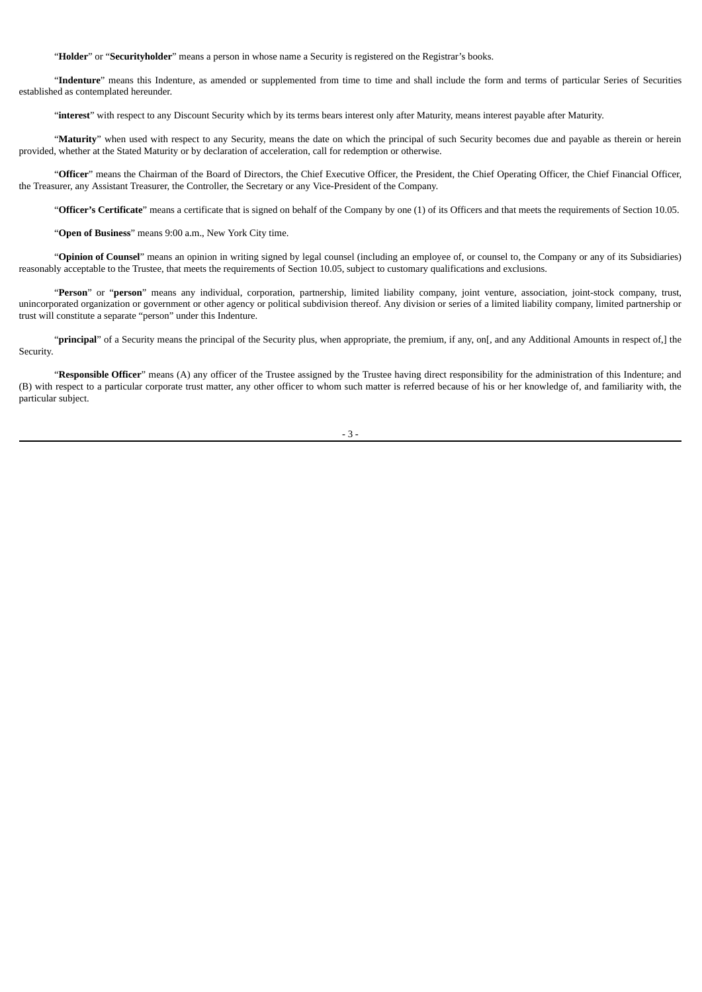"**Holder**" or "**Securityholder**" means a person in whose name a Security is registered on the Registrar's books.

"**Indenture**" means this Indenture, as amended or supplemented from time to time and shall include the form and terms of particular Series of Securities established as contemplated hereunder.

"**interest**" with respect to any Discount Security which by its terms bears interest only after Maturity, means interest payable after Maturity.

"**Maturity**" when used with respect to any Security, means the date on which the principal of such Security becomes due and payable as therein or herein provided, whether at the Stated Maturity or by declaration of acceleration, call for redemption or otherwise.

"**Officer**" means the Chairman of the Board of Directors, the Chief Executive Officer, the President, the Chief Operating Officer, the Chief Financial Officer, the Treasurer, any Assistant Treasurer, the Controller, the Secretary or any Vice-President of the Company.

"**Officer's Certificate**" means a certificate that is signed on behalf of the Company by one (1) of its Officers and that meets the requirements of Section 10.05.

"**Open of Business**" means 9:00 a.m., New York City time.

"**Opinion of Counsel**" means an opinion in writing signed by legal counsel (including an employee of, or counsel to, the Company or any of its Subsidiaries) reasonably acceptable to the Trustee, that meets the requirements of Section 10.05, subject to customary qualifications and exclusions.

"**Person**" or "**person**" means any individual, corporation, partnership, limited liability company, joint venture, association, joint-stock company, trust, unincorporated organization or government or other agency or political subdivision thereof. Any division or series of a limited liability company, limited partnership or trust will constitute a separate "person" under this Indenture.

"**principal**" of a Security means the principal of the Security plus, when appropriate, the premium, if any, on[, and any Additional Amounts in respect of,] the Security.

"**Responsible Officer**" means (A) any officer of the Trustee assigned by the Trustee having direct responsibility for the administration of this Indenture; and (B) with respect to a particular corporate trust matter, any other officer to whom such matter is referred because of his or her knowledge of, and familiarity with, the particular subject.

- 3 -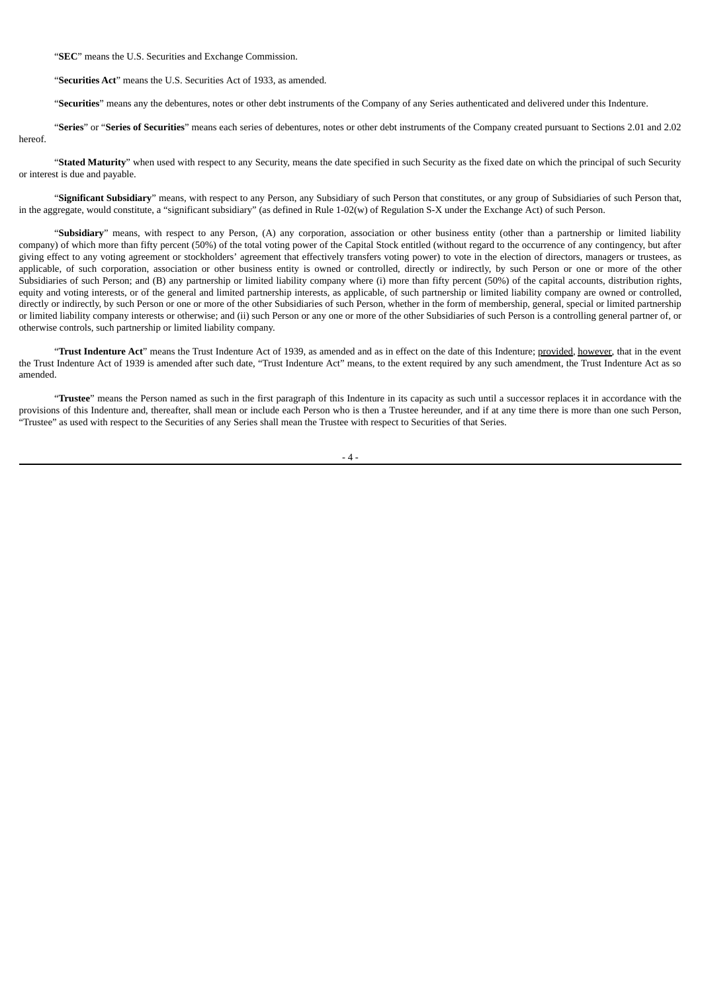"**SEC**" means the U.S. Securities and Exchange Commission.

"**Securities Act**" means the U.S. Securities Act of 1933, as amended.

"**Securities**" means any the debentures, notes or other debt instruments of the Company of any Series authenticated and delivered under this Indenture.

"**Series**" or "**Series of Securities**" means each series of debentures, notes or other debt instruments of the Company created pursuant to Sections 2.01 and 2.02 hereof.

"**Stated Maturity**" when used with respect to any Security, means the date specified in such Security as the fixed date on which the principal of such Security or interest is due and payable.

"**Significant Subsidiary**" means, with respect to any Person, any Subsidiary of such Person that constitutes, or any group of Subsidiaries of such Person that, in the aggregate, would constitute, a "significant subsidiary" (as defined in Rule 1-02(w) of Regulation S-X under the Exchange Act) of such Person.

"**Subsidiary**" means, with respect to any Person, (A) any corporation, association or other business entity (other than a partnership or limited liability company) of which more than fifty percent (50%) of the total voting power of the Capital Stock entitled (without regard to the occurrence of any contingency, but after giving effect to any voting agreement or stockholders' agreement that effectively transfers voting power) to vote in the election of directors, managers or trustees, as applicable, of such corporation, association or other business entity is owned or controlled, directly or indirectly, by such Person or one or more of the other Subsidiaries of such Person; and (B) any partnership or limited liability company where (i) more than fifty percent (50%) of the capital accounts, distribution rights, equity and voting interests, or of the general and limited partnership interests, as applicable, of such partnership or limited liability company are owned or controlled, directly or indirectly, by such Person or one or more of the other Subsidiaries of such Person, whether in the form of membership, general, special or limited partnership or limited liability company interests or otherwise; and (ii) such Person or any one or more of the other Subsidiaries of such Person is a controlling general partner of, or otherwise controls, such partnership or limited liability company.

"**Trust Indenture Act**" means the Trust Indenture Act of 1939, as amended and as in effect on the date of this Indenture; provided, however, that in the event the Trust Indenture Act of 1939 is amended after such date, "Trust Indenture Act" means, to the extent required by any such amendment, the Trust Indenture Act as so amended.

"**Trustee**" means the Person named as such in the first paragraph of this Indenture in its capacity as such until a successor replaces it in accordance with the provisions of this Indenture and, thereafter, shall mean or include each Person who is then a Trustee hereunder, and if at any time there is more than one such Person, "Trustee" as used with respect to the Securities of any Series shall mean the Trustee with respect to Securities of that Series.

 $- 4 -$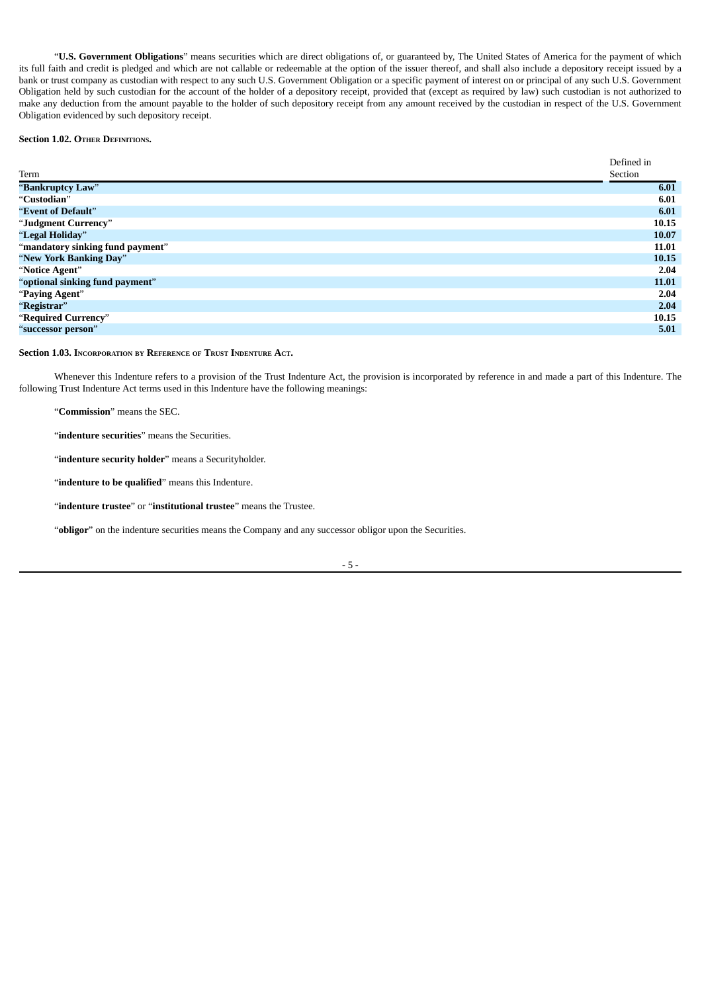"**U.S. Government Obligations**" means securities which are direct obligations of, or guaranteed by, The United States of America for the payment of which its full faith and credit is pledged and which are not callable or redeemable at the option of the issuer thereof, and shall also include a depository receipt issued by a bank or trust company as custodian with respect to any such U.S. Government Obligation or a specific payment of interest on or principal of any such U.S. Government Obligation held by such custodian for the account of the holder of a depository receipt, provided that (except as required by law) such custodian is not authorized to make any deduction from the amount payable to the holder of such depository receipt from any amount received by the custodian in respect of the U.S. Government Obligation evidenced by such depository receipt.

## **Section 1.02. OTHER DEFINITIONS.**

|                                  | Defined in |
|----------------------------------|------------|
| Term                             | Section    |
| "Bankruptcy Law"                 | 6.01       |
| "Custodian"                      | 6.01       |
| "Event of Default"               | 6.01       |
| "Judgment Currency"              | 10.15      |
| "Legal Holiday"                  | 10.07      |
| "mandatory sinking fund payment" | 11.01      |
| "New York Banking Day"           | 10.15      |
| "Notice Agent"                   | 2.04       |
| "optional sinking fund payment"  | 11.01      |
| "Paying Agent"                   | 2.04       |
| "Registrar"                      | 2.04       |
| "Required Currency"              | 10.15      |
| "successor person"               | 5.01       |
|                                  |            |

## **Section 1.03. INCORPORATION BY REFERENCE OF TRUST INDENTURE ACT.**

Whenever this Indenture refers to a provision of the Trust Indenture Act, the provision is incorporated by reference in and made a part of this Indenture. The following Trust Indenture Act terms used in this Indenture have the following meanings:

"**Commission**" means the SEC.

"**indenture securities**" means the Securities.

"**indenture security holder**" means a Securityholder.

"**indenture to be qualified**" means this Indenture.

"**indenture trustee**" or "**institutional trustee**" means the Trustee.

"**obligor**" on the indenture securities means the Company and any successor obligor upon the Securities.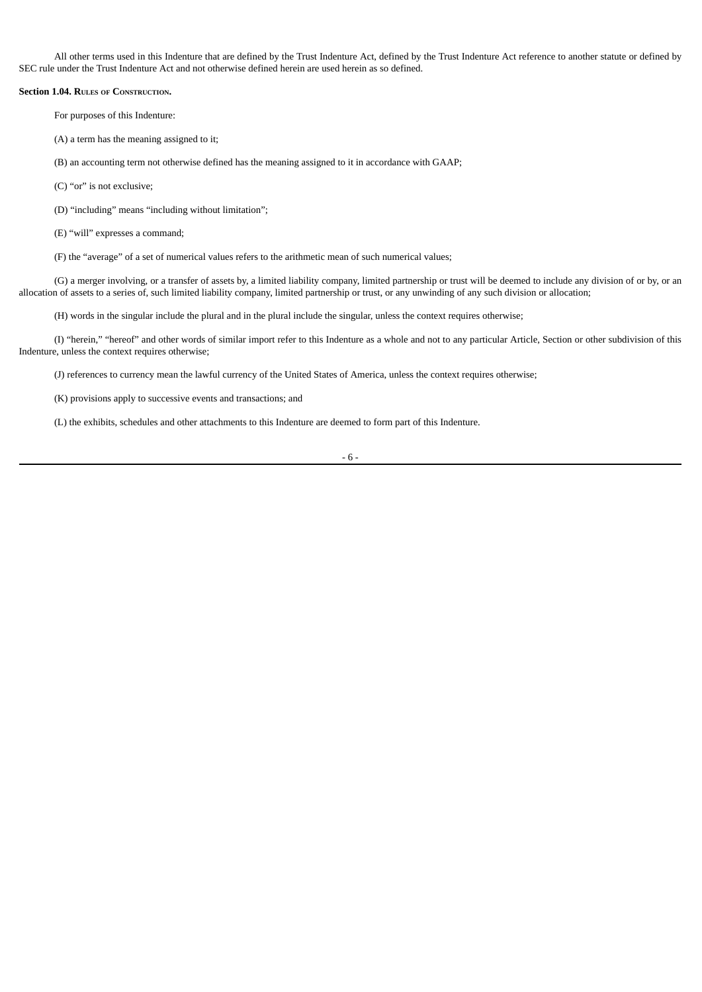All other terms used in this Indenture that are defined by the Trust Indenture Act, defined by the Trust Indenture Act reference to another statute or defined by SEC rule under the Trust Indenture Act and not otherwise defined herein are used herein as so defined.

**Section 1.04. RULES OF CONSTRUCTION.**

For purposes of this Indenture:

(A) a term has the meaning assigned to it;

(B) an accounting term not otherwise defined has the meaning assigned to it in accordance with GAAP;

(C) "or" is not exclusive;

(D) "including" means "including without limitation";

(E) "will" expresses a command;

(F) the "average" of a set of numerical values refers to the arithmetic mean of such numerical values;

(G) a merger involving, or a transfer of assets by, a limited liability company, limited partnership or trust will be deemed to include any division of or by, or an allocation of assets to a series of, such limited liability company, limited partnership or trust, or any unwinding of any such division or allocation;

(H) words in the singular include the plural and in the plural include the singular, unless the context requires otherwise;

(I) "herein," "hereof" and other words of similar import refer to this Indenture as a whole and not to any particular Article, Section or other subdivision of this Indenture, unless the context requires otherwise;

(J) references to currency mean the lawful currency of the United States of America, unless the context requires otherwise;

(K) provisions apply to successive events and transactions; and

(L) the exhibits, schedules and other attachments to this Indenture are deemed to form part of this Indenture.

- 6 -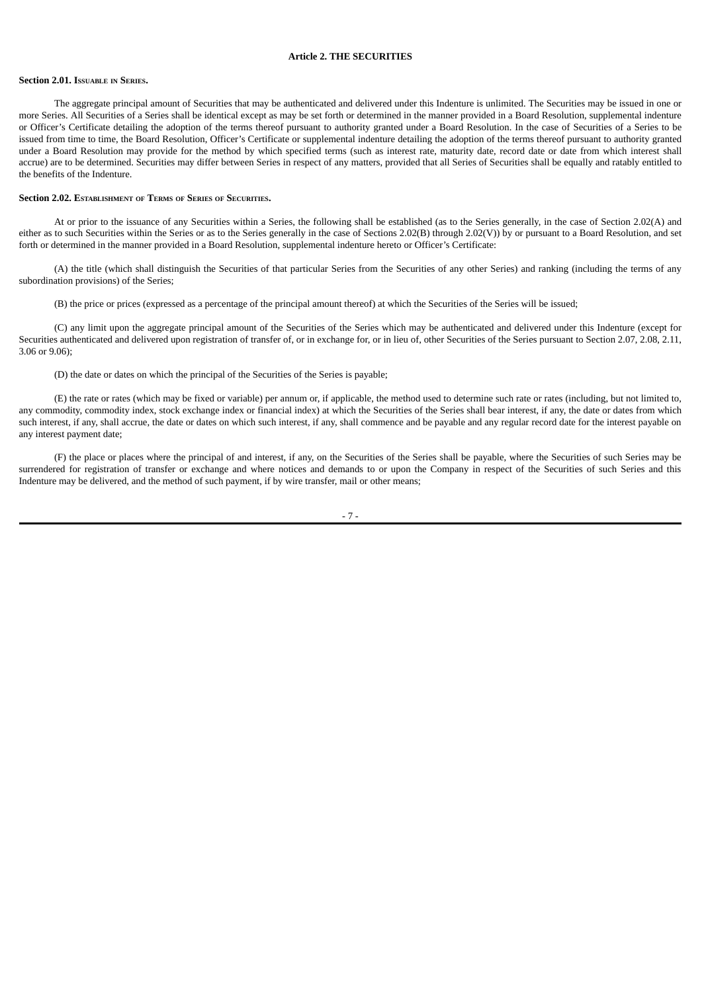## **Article 2. THE SECURITIES**

### $S$ **ection** 2.01. **ISSUABLE IN** SERIES.

The aggregate principal amount of Securities that may be authenticated and delivered under this Indenture is unlimited. The Securities may be issued in one or more Series. All Securities of a Series shall be identical except as may be set forth or determined in the manner provided in a Board Resolution, supplemental indenture or Officer's Certificate detailing the adoption of the terms thereof pursuant to authority granted under a Board Resolution. In the case of Securities of a Series to be issued from time to time, the Board Resolution, Officer's Certificate or supplemental indenture detailing the adoption of the terms thereof pursuant to authority granted under a Board Resolution may provide for the method by which specified terms (such as interest rate, maturity date, record date or date from which interest shall accrue) are to be determined. Securities may differ between Series in respect of any matters, provided that all Series of Securities shall be equally and ratably entitled to the benefits of the Indenture.

## **Section 2.02. ESTABLISHMENT OF TERMS OF SERIES OF SECURITIES.**

At or prior to the issuance of any Securities within a Series, the following shall be established (as to the Series generally, in the case of Section 2.02(A) and either as to such Securities within the Series or as to the Series generally in the case of Sections 2.02(B) through 2.02(V)) by or pursuant to a Board Resolution, and set forth or determined in the manner provided in a Board Resolution, supplemental indenture hereto or Officer's Certificate:

(A) the title (which shall distinguish the Securities of that particular Series from the Securities of any other Series) and ranking (including the terms of any subordination provisions) of the Series;

(B) the price or prices (expressed as a percentage of the principal amount thereof) at which the Securities of the Series will be issued;

(C) any limit upon the aggregate principal amount of the Securities of the Series which may be authenticated and delivered under this Indenture (except for Securities authenticated and delivered upon registration of transfer of, or in exchange for, or in lieu of, other Securities of the Series pursuant to Section 2.07, 2.08, 2.11, 3.06 or 9.06);

(D) the date or dates on which the principal of the Securities of the Series is payable;

(E) the rate or rates (which may be fixed or variable) per annum or, if applicable, the method used to determine such rate or rates (including, but not limited to, any commodity, commodity index, stock exchange index or financial index) at which the Securities of the Series shall bear interest, if any, the date or dates from which such interest, if any, shall accrue, the date or dates on which such interest, if any, shall commence and be payable and any regular record date for the interest payable on any interest payment date;

(F) the place or places where the principal of and interest, if any, on the Securities of the Series shall be payable, where the Securities of such Series may be surrendered for registration of transfer or exchange and where notices and demands to or upon the Company in respect of the Securities of such Series and this Indenture may be delivered, and the method of such payment, if by wire transfer, mail or other means;

 $-7 -$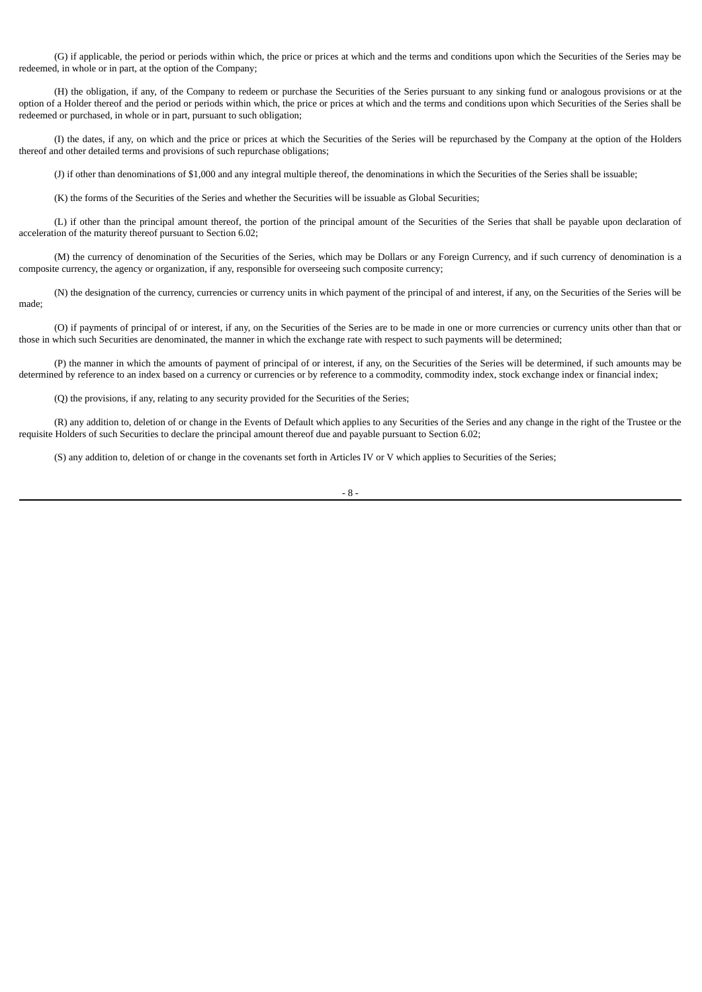(G) if applicable, the period or periods within which, the price or prices at which and the terms and conditions upon which the Securities of the Series may be redeemed, in whole or in part, at the option of the Company;

(H) the obligation, if any, of the Company to redeem or purchase the Securities of the Series pursuant to any sinking fund or analogous provisions or at the option of a Holder thereof and the period or periods within which, the price or prices at which and the terms and conditions upon which Securities of the Series shall be redeemed or purchased, in whole or in part, pursuant to such obligation;

(I) the dates, if any, on which and the price or prices at which the Securities of the Series will be repurchased by the Company at the option of the Holders thereof and other detailed terms and provisions of such repurchase obligations;

(J) if other than denominations of \$1,000 and any integral multiple thereof, the denominations in which the Securities of the Series shall be issuable;

(K) the forms of the Securities of the Series and whether the Securities will be issuable as Global Securities;

(L) if other than the principal amount thereof, the portion of the principal amount of the Securities of the Series that shall be payable upon declaration of acceleration of the maturity thereof pursuant to Section 6.02;

(M) the currency of denomination of the Securities of the Series, which may be Dollars or any Foreign Currency, and if such currency of denomination is a composite currency, the agency or organization, if any, responsible for overseeing such composite currency;

(N) the designation of the currency, currencies or currency units in which payment of the principal of and interest, if any, on the Securities of the Series will be made;

(O) if payments of principal of or interest, if any, on the Securities of the Series are to be made in one or more currencies or currency units other than that or those in which such Securities are denominated, the manner in which the exchange rate with respect to such payments will be determined;

(P) the manner in which the amounts of payment of principal of or interest, if any, on the Securities of the Series will be determined, if such amounts may be determined by reference to an index based on a currency or currencies or by reference to a commodity, commodity index, stock exchange index or financial index;

(Q) the provisions, if any, relating to any security provided for the Securities of the Series;

(R) any addition to, deletion of or change in the Events of Default which applies to any Securities of the Series and any change in the right of the Trustee or the requisite Holders of such Securities to declare the principal amount thereof due and payable pursuant to Section 6.02;

(S) any addition to, deletion of or change in the covenants set forth in Articles IV or V which applies to Securities of the Series;

- 8 -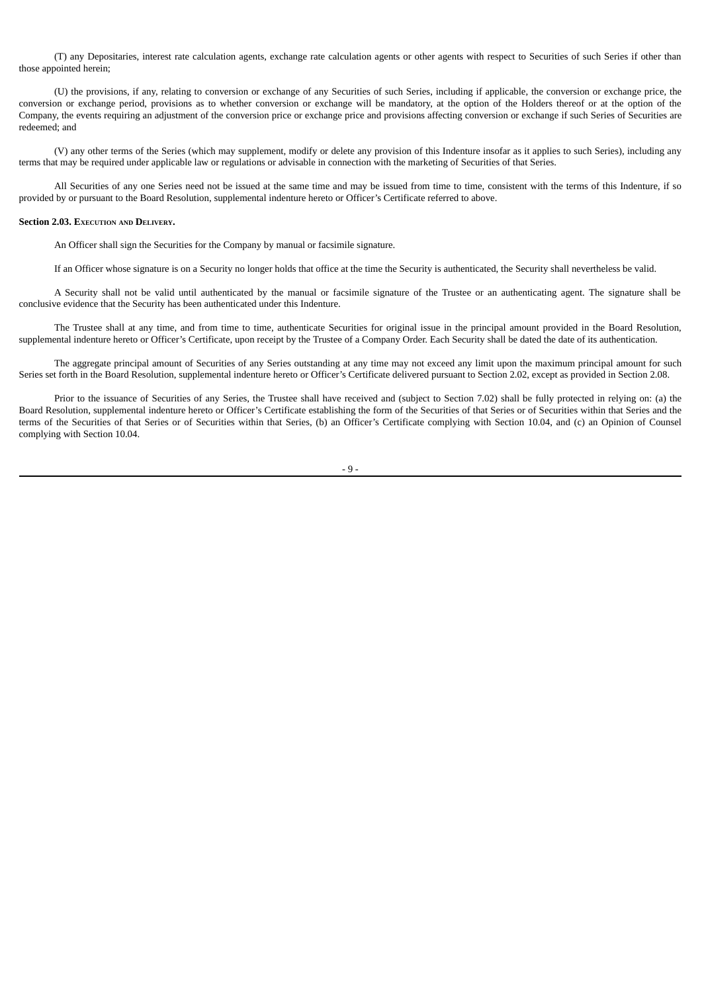(T) any Depositaries, interest rate calculation agents, exchange rate calculation agents or other agents with respect to Securities of such Series if other than those appointed herein;

(U) the provisions, if any, relating to conversion or exchange of any Securities of such Series, including if applicable, the conversion or exchange price, the conversion or exchange period, provisions as to whether conversion or exchange will be mandatory, at the option of the Holders thereof or at the option of the Company, the events requiring an adjustment of the conversion price or exchange price and provisions affecting conversion or exchange if such Series of Securities are redeemed; and

(V) any other terms of the Series (which may supplement, modify or delete any provision of this Indenture insofar as it applies to such Series), including any terms that may be required under applicable law or regulations or advisable in connection with the marketing of Securities of that Series.

All Securities of any one Series need not be issued at the same time and may be issued from time to time, consistent with the terms of this Indenture, if so provided by or pursuant to the Board Resolution, supplemental indenture hereto or Officer's Certificate referred to above.

#### **Section 2.03. EXECUTION AND DELIVERY.**

An Officer shall sign the Securities for the Company by manual or facsimile signature.

If an Officer whose signature is on a Security no longer holds that office at the time the Security is authenticated, the Security shall nevertheless be valid.

A Security shall not be valid until authenticated by the manual or facsimile signature of the Trustee or an authenticating agent. The signature shall be conclusive evidence that the Security has been authenticated under this Indenture.

The Trustee shall at any time, and from time to time, authenticate Securities for original issue in the principal amount provided in the Board Resolution, supplemental indenture hereto or Officer's Certificate, upon receipt by the Trustee of a Company Order. Each Security shall be dated the date of its authentication.

The aggregate principal amount of Securities of any Series outstanding at any time may not exceed any limit upon the maximum principal amount for such Series set forth in the Board Resolution, supplemental indenture hereto or Officer's Certificate delivered pursuant to Section 2.02, except as provided in Section 2.08.

Prior to the issuance of Securities of any Series, the Trustee shall have received and (subject to Section 7.02) shall be fully protected in relying on: (a) the Board Resolution, supplemental indenture hereto or Officer's Certificate establishing the form of the Securities of that Series or of Securities within that Series and the terms of the Securities of that Series or of Securities within that Series, (b) an Officer's Certificate complying with Section 10.04, and (c) an Opinion of Counsel complying with Section 10.04.

- 9 -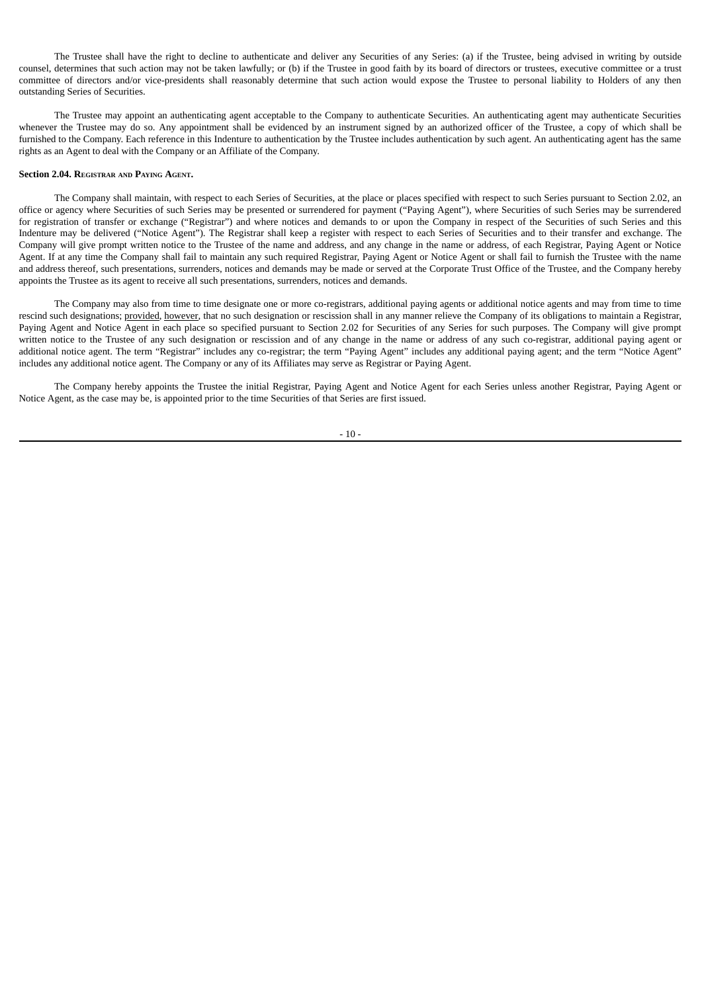The Trustee shall have the right to decline to authenticate and deliver any Securities of any Series: (a) if the Trustee, being advised in writing by outside counsel, determines that such action may not be taken lawfully; or (b) if the Trustee in good faith by its board of directors or trustees, executive committee or a trust committee of directors and/or vice-presidents shall reasonably determine that such action would expose the Trustee to personal liability to Holders of any then outstanding Series of Securities.

The Trustee may appoint an authenticating agent acceptable to the Company to authenticate Securities. An authenticating agent may authenticate Securities whenever the Trustee may do so. Any appointment shall be evidenced by an instrument signed by an authorized officer of the Trustee, a copy of which shall be furnished to the Company. Each reference in this Indenture to authentication by the Trustee includes authentication by such agent. An authenticating agent has the same rights as an Agent to deal with the Company or an Affiliate of the Company.

#### **Section 2.04. REGISTRAR AND PAYING AGENT.**

The Company shall maintain, with respect to each Series of Securities, at the place or places specified with respect to such Series pursuant to Section 2.02, an office or agency where Securities of such Series may be presented or surrendered for payment ("Paying Agent"), where Securities of such Series may be surrendered for registration of transfer or exchange ("Registrar") and where notices and demands to or upon the Company in respect of the Securities of such Series and this Indenture may be delivered ("Notice Agent"). The Registrar shall keep a register with respect to each Series of Securities and to their transfer and exchange. The Company will give prompt written notice to the Trustee of the name and address, and any change in the name or address, of each Registrar, Paying Agent or Notice Agent. If at any time the Company shall fail to maintain any such required Registrar, Paying Agent or Notice Agent or shall fail to furnish the Trustee with the name and address thereof, such presentations, surrenders, notices and demands may be made or served at the Corporate Trust Office of the Trustee, and the Company hereby appoints the Trustee as its agent to receive all such presentations, surrenders, notices and demands.

The Company may also from time to time designate one or more co-registrars, additional paying agents or additional notice agents and may from time to time rescind such designations; provided, however, that no such designation or rescission shall in any manner relieve the Company of its obligations to maintain a Registrar, Paying Agent and Notice Agent in each place so specified pursuant to Section 2.02 for Securities of any Series for such purposes. The Company will give prompt written notice to the Trustee of any such designation or rescission and of any change in the name or address of any such co-registrar, additional paying agent or additional notice agent. The term "Registrar" includes any co-registrar; the term "Paying Agent" includes any additional paying agent; and the term "Notice Agent" includes any additional notice agent. The Company or any of its Affiliates may serve as Registrar or Paying Agent.

The Company hereby appoints the Trustee the initial Registrar, Paying Agent and Notice Agent for each Series unless another Registrar, Paying Agent or Notice Agent, as the case may be, is appointed prior to the time Securities of that Series are first issued.

 $-10-$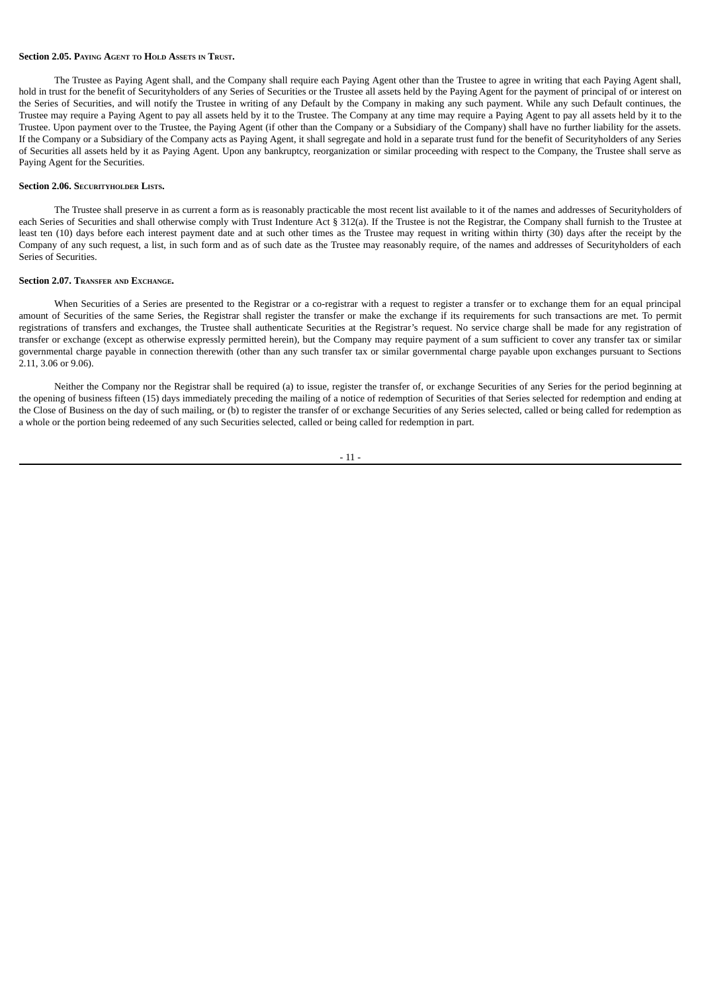## **Section 2.05. PAYING AGENT TO HOLD ASSETS IN TRUST.**

The Trustee as Paying Agent shall, and the Company shall require each Paying Agent other than the Trustee to agree in writing that each Paying Agent shall, hold in trust for the benefit of Securityholders of any Series of Securities or the Trustee all assets held by the Paying Agent for the payment of principal of or interest on the Series of Securities, and will notify the Trustee in writing of any Default by the Company in making any such payment. While any such Default continues, the Trustee may require a Paying Agent to pay all assets held by it to the Trustee. The Company at any time may require a Paying Agent to pay all assets held by it to the Trustee. Upon payment over to the Trustee, the Paying Agent (if other than the Company or a Subsidiary of the Company) shall have no further liability for the assets. If the Company or a Subsidiary of the Company acts as Paying Agent, it shall segregate and hold in a separate trust fund for the benefit of Securityholders of any Series of Securities all assets held by it as Paying Agent. Upon any bankruptcy, reorganization or similar proceeding with respect to the Company, the Trustee shall serve as Paying Agent for the Securities.

### **Section 2.06. SECURITYHOLDER LISTS.**

The Trustee shall preserve in as current a form as is reasonably practicable the most recent list available to it of the names and addresses of Securityholders of each Series of Securities and shall otherwise comply with Trust Indenture Act § 312(a). If the Trustee is not the Registrar, the Company shall furnish to the Trustee at least ten (10) days before each interest payment date and at such other times as the Trustee may request in writing within thirty (30) days after the receipt by the Company of any such request, a list, in such form and as of such date as the Trustee may reasonably require, of the names and addresses of Securityholders of each Series of Securities.

#### **Section 2.07. TRANSFER AND EXCHANGE.**

When Securities of a Series are presented to the Registrar or a co-registrar with a request to register a transfer or to exchange them for an equal principal amount of Securities of the same Series, the Registrar shall register the transfer or make the exchange if its requirements for such transactions are met. To permit registrations of transfers and exchanges, the Trustee shall authenticate Securities at the Registrar's request. No service charge shall be made for any registration of transfer or exchange (except as otherwise expressly permitted herein), but the Company may require payment of a sum sufficient to cover any transfer tax or similar governmental charge payable in connection therewith (other than any such transfer tax or similar governmental charge payable upon exchanges pursuant to Sections 2.11, 3.06 or 9.06).

Neither the Company nor the Registrar shall be required (a) to issue, register the transfer of, or exchange Securities of any Series for the period beginning at the opening of business fifteen (15) days immediately preceding the mailing of a notice of redemption of Securities of that Series selected for redemption and ending at the Close of Business on the day of such mailing, or (b) to register the transfer of or exchange Securities of any Series selected, called or being called for redemption as a whole or the portion being redeemed of any such Securities selected, called or being called for redemption in part.

- 11 -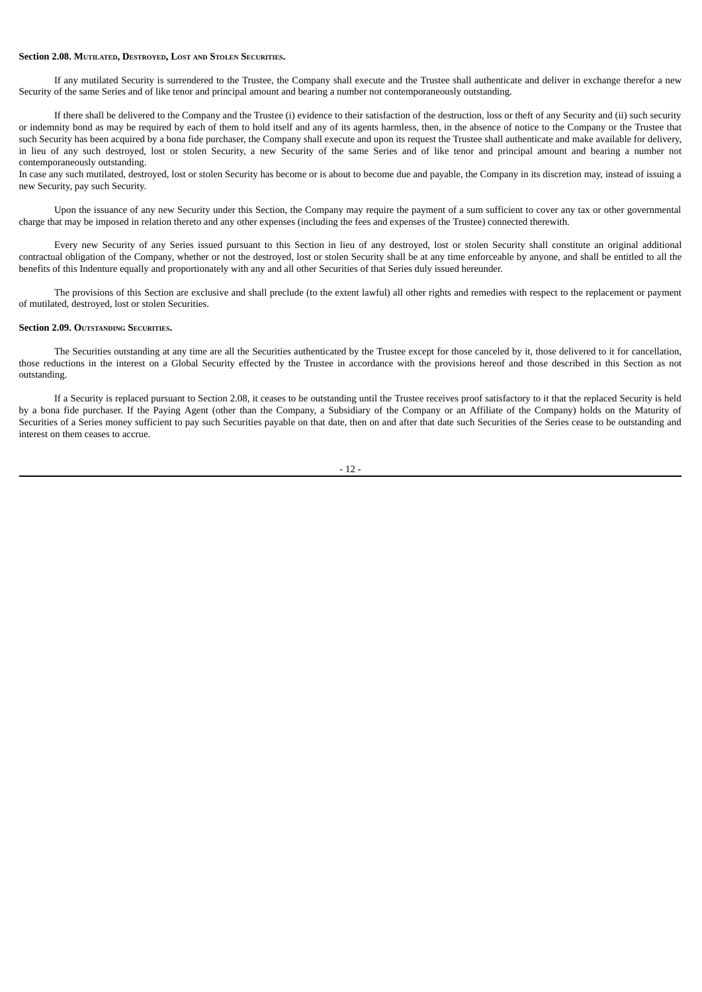## **Section 2.08. MUTILATED, DESTROYED, LOST AND STOLEN SECURITIES.**

If any mutilated Security is surrendered to the Trustee, the Company shall execute and the Trustee shall authenticate and deliver in exchange therefor a new Security of the same Series and of like tenor and principal amount and bearing a number not contemporaneously outstanding.

If there shall be delivered to the Company and the Trustee (i) evidence to their satisfaction of the destruction, loss or theft of any Security and (ii) such security or indemnity bond as may be required by each of them to hold itself and any of its agents harmless, then, in the absence of notice to the Company or the Trustee that such Security has been acquired by a bona fide purchaser, the Company shall execute and upon its request the Trustee shall authenticate and make available for delivery, in lieu of any such destroyed, lost or stolen Security, a new Security of the same Series and of like tenor and principal amount and bearing a number not contemporaneously outstanding.

In case any such mutilated, destroyed, lost or stolen Security has become or is about to become due and payable, the Company in its discretion may, instead of issuing a new Security, pay such Security.

Upon the issuance of any new Security under this Section, the Company may require the payment of a sum sufficient to cover any tax or other governmental charge that may be imposed in relation thereto and any other expenses (including the fees and expenses of the Trustee) connected therewith.

Every new Security of any Series issued pursuant to this Section in lieu of any destroyed, lost or stolen Security shall constitute an original additional contractual obligation of the Company, whether or not the destroyed, lost or stolen Security shall be at any time enforceable by anyone, and shall be entitled to all the benefits of this Indenture equally and proportionately with any and all other Securities of that Series duly issued hereunder.

The provisions of this Section are exclusive and shall preclude (to the extent lawful) all other rights and remedies with respect to the replacement or payment of mutilated, destroyed, lost or stolen Securities.

## **Section 2.09. OUTSTANDING SECURITIES.**

The Securities outstanding at any time are all the Securities authenticated by the Trustee except for those canceled by it, those delivered to it for cancellation, those reductions in the interest on a Global Security effected by the Trustee in accordance with the provisions hereof and those described in this Section as not outstanding.

If a Security is replaced pursuant to Section 2.08, it ceases to be outstanding until the Trustee receives proof satisfactory to it that the replaced Security is held by a bona fide purchaser. If the Paying Agent (other than the Company, a Subsidiary of the Company or an Affiliate of the Company) holds on the Maturity of Securities of a Series money sufficient to pay such Securities payable on that date, then on and after that date such Securities of the Series cease to be outstanding and interest on them ceases to accrue.

- 12 -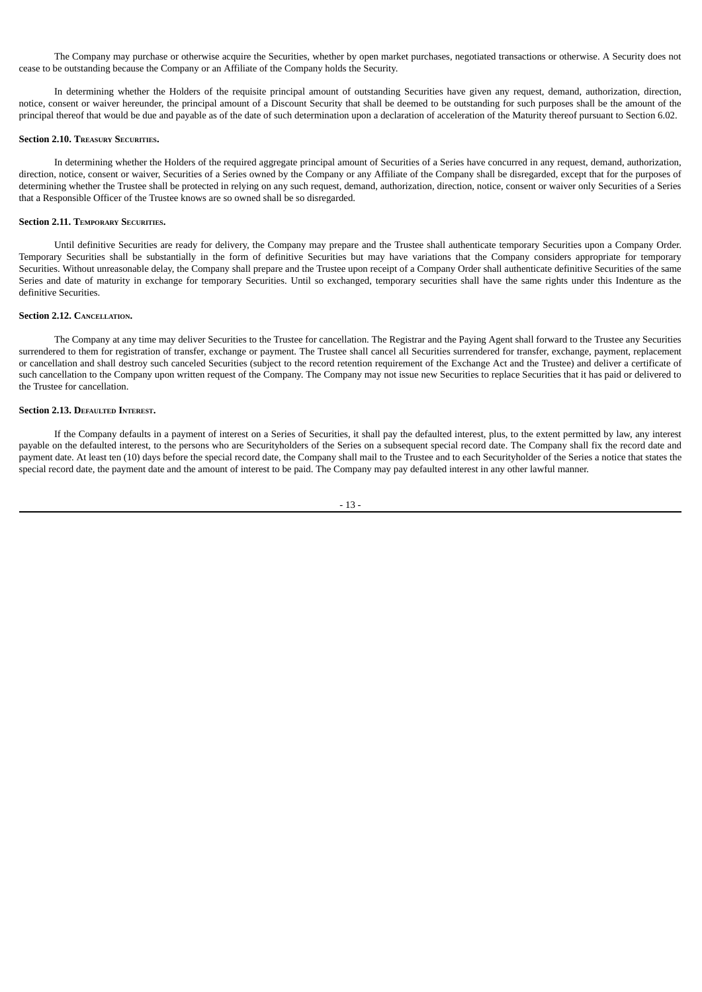The Company may purchase or otherwise acquire the Securities, whether by open market purchases, negotiated transactions or otherwise. A Security does not cease to be outstanding because the Company or an Affiliate of the Company holds the Security.

In determining whether the Holders of the requisite principal amount of outstanding Securities have given any request, demand, authorization, direction, notice, consent or waiver hereunder, the principal amount of a Discount Security that shall be deemed to be outstanding for such purposes shall be the amount of the principal thereof that would be due and payable as of the date of such determination upon a declaration of acceleration of the Maturity thereof pursuant to Section 6.02.

### **Section 2.10. TREASURY SECURITIES.**

In determining whether the Holders of the required aggregate principal amount of Securities of a Series have concurred in any request, demand, authorization, direction, notice, consent or waiver, Securities of a Series owned by the Company or any Affiliate of the Company shall be disregarded, except that for the purposes of determining whether the Trustee shall be protected in relying on any such request, demand, authorization, direction, notice, consent or waiver only Securities of a Series that a Responsible Officer of the Trustee knows are so owned shall be so disregarded.

#### **Section 2.11. TEMPORARY SECURITIES.**

Until definitive Securities are ready for delivery, the Company may prepare and the Trustee shall authenticate temporary Securities upon a Company Order. Temporary Securities shall be substantially in the form of definitive Securities but may have variations that the Company considers appropriate for temporary Securities. Without unreasonable delay, the Company shall prepare and the Trustee upon receipt of a Company Order shall authenticate definitive Securities of the same Series and date of maturity in exchange for temporary Securities. Until so exchanged, temporary securities shall have the same rights under this Indenture as the definitive Securities.

## **Section 2.12. CANCELLATION.**

The Company at any time may deliver Securities to the Trustee for cancellation. The Registrar and the Paying Agent shall forward to the Trustee any Securities surrendered to them for registration of transfer, exchange or payment. The Trustee shall cancel all Securities surrendered for transfer, exchange, payment, replacement or cancellation and shall destroy such canceled Securities (subject to the record retention requirement of the Exchange Act and the Trustee) and deliver a certificate of such cancellation to the Company upon written request of the Company. The Company may not issue new Securities to replace Securities that it has paid or delivered to the Trustee for cancellation.

## **Section 2.13. DEFAULTED INTEREST.**

If the Company defaults in a payment of interest on a Series of Securities, it shall pay the defaulted interest, plus, to the extent permitted by law, any interest payable on the defaulted interest, to the persons who are Securityholders of the Series on a subsequent special record date. The Company shall fix the record date and payment date. At least ten (10) days before the special record date, the Company shall mail to the Trustee and to each Securityholder of the Series a notice that states the special record date, the payment date and the amount of interest to be paid. The Company may pay defaulted interest in any other lawful manner.

- 13 -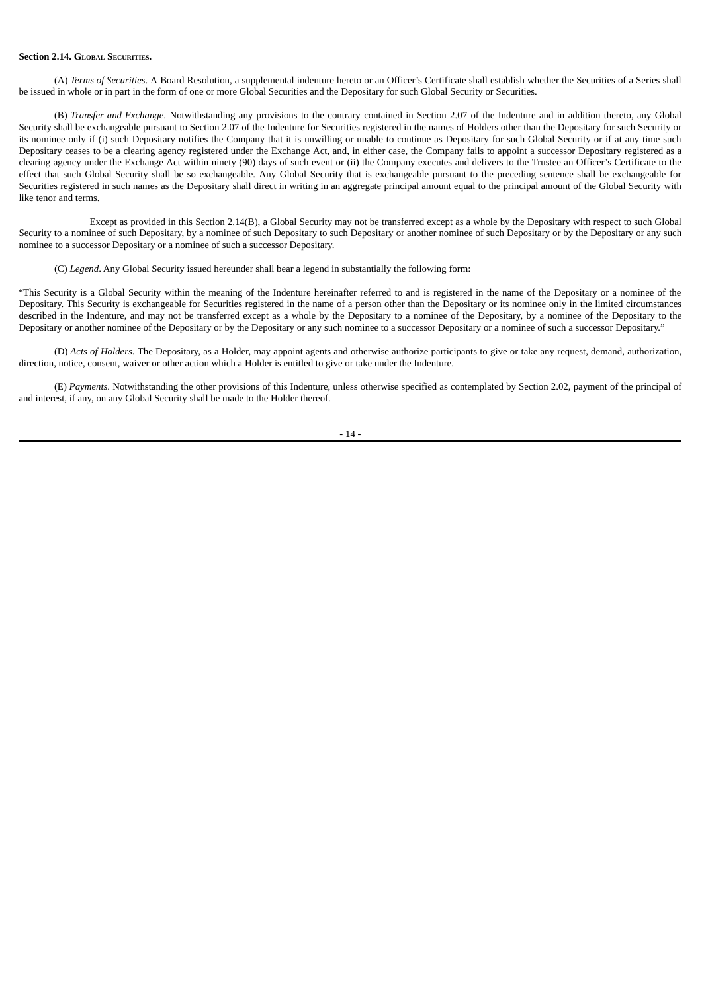## **Section 2.14. GLOBAL SECURITIES.**

(A) *Terms of Securities*. A Board Resolution, a supplemental indenture hereto or an Officer's Certificate shall establish whether the Securities of a Series shall be issued in whole or in part in the form of one or more Global Securities and the Depositary for such Global Security or Securities.

(B) *Transfer and Exchange*. Notwithstanding any provisions to the contrary contained in Section 2.07 of the Indenture and in addition thereto, any Global Security shall be exchangeable pursuant to Section 2.07 of the Indenture for Securities registered in the names of Holders other than the Depositary for such Security or its nominee only if (i) such Depositary notifies the Company that it is unwilling or unable to continue as Depositary for such Global Security or if at any time such Depositary ceases to be a clearing agency registered under the Exchange Act, and, in either case, the Company fails to appoint a successor Depositary registered as a clearing agency under the Exchange Act within ninety (90) days of such event or (ii) the Company executes and delivers to the Trustee an Officer's Certificate to the effect that such Global Security shall be so exchangeable. Any Global Security that is exchangeable pursuant to the preceding sentence shall be exchangeable for Securities registered in such names as the Depositary shall direct in writing in an aggregate principal amount equal to the principal amount of the Global Security with like tenor and terms.

Except as provided in this Section 2.14(B), a Global Security may not be transferred except as a whole by the Depositary with respect to such Global Security to a nominee of such Depositary, by a nominee of such Depositary to such Depositary or another nominee of such Depositary or by the Depositary or any such nominee to a successor Depositary or a nominee of such a successor Depositary.

(C) *Legend*. Any Global Security issued hereunder shall bear a legend in substantially the following form:

"This Security is a Global Security within the meaning of the Indenture hereinafter referred to and is registered in the name of the Depositary or a nominee of the Depositary. This Security is exchangeable for Securities registered in the name of a person other than the Depositary or its nominee only in the limited circumstances described in the Indenture, and may not be transferred except as a whole by the Depositary to a nominee of the Depositary, by a nominee of the Depositary to the Depositary or another nominee of the Depositary or by the Depositary or any such nominee to a successor Depositary or a nominee of such a successor Depositary."

(D) *Acts of Holders*. The Depositary, as a Holder, may appoint agents and otherwise authorize participants to give or take any request, demand, authorization, direction, notice, consent, waiver or other action which a Holder is entitled to give or take under the Indenture.

(E) *Payments*. Notwithstanding the other provisions of this Indenture, unless otherwise specified as contemplated by Section 2.02, payment of the principal of and interest, if any, on any Global Security shall be made to the Holder thereof.

 $-14$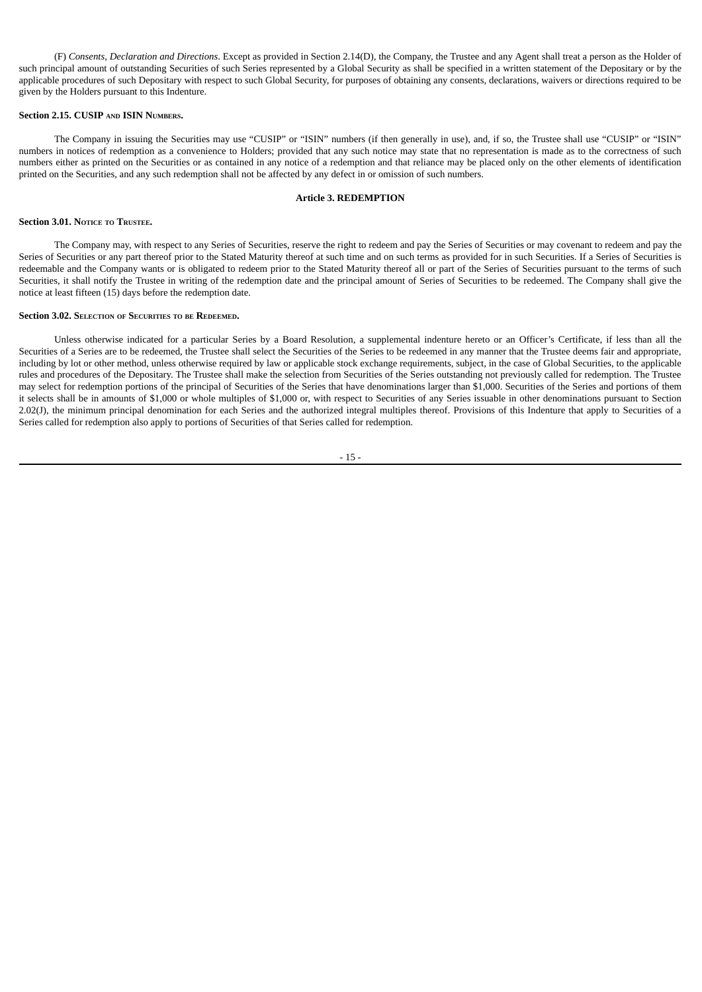(F) *Consents, Declaration and Directions*. Except as provided in Section 2.14(D), the Company, the Trustee and any Agent shall treat a person as the Holder of such principal amount of outstanding Securities of such Series represented by a Global Security as shall be specified in a written statement of the Depositary or by the applicable procedures of such Depositary with respect to such Global Security, for purposes of obtaining any consents, declarations, waivers or directions required to be given by the Holders pursuant to this Indenture.

#### **Section 2.15. CUSIP AND ISIN NUMBERS.**

The Company in issuing the Securities may use "CUSIP" or "ISIN" numbers (if then generally in use), and, if so, the Trustee shall use "CUSIP" or "ISIN" numbers in notices of redemption as a convenience to Holders; provided that any such notice may state that no representation is made as to the correctness of such numbers either as printed on the Securities or as contained in any notice of a redemption and that reliance may be placed only on the other elements of identification printed on the Securities, and any such redemption shall not be affected by any defect in or omission of such numbers.

## **Article 3. REDEMPTION**

#### **Section 3.01. NOTICE TO TRUSTEE.**

The Company may, with respect to any Series of Securities, reserve the right to redeem and pay the Series of Securities or may covenant to redeem and pay the Series of Securities or any part thereof prior to the Stated Maturity thereof at such time and on such terms as provided for in such Securities. If a Series of Securities is redeemable and the Company wants or is obligated to redeem prior to the Stated Maturity thereof all or part of the Series of Securities pursuant to the terms of such Securities, it shall notify the Trustee in writing of the redemption date and the principal amount of Series of Securities to be redeemed. The Company shall give the notice at least fifteen (15) days before the redemption date.

#### **Section 3.02. SELECTION** OF **SECURITIES** TO BE **REDEEMED**.

Unless otherwise indicated for a particular Series by a Board Resolution, a supplemental indenture hereto or an Officer's Certificate, if less than all the Securities of a Series are to be redeemed, the Trustee shall select the Securities of the Series to be redeemed in any manner that the Trustee deems fair and appropriate, including by lot or other method, unless otherwise required by law or applicable stock exchange requirements, subject, in the case of Global Securities, to the applicable rules and procedures of the Depositary. The Trustee shall make the selection from Securities of the Series outstanding not previously called for redemption. The Trustee may select for redemption portions of the principal of Securities of the Series that have denominations larger than \$1,000. Securities of the Series and portions of them it selects shall be in amounts of \$1,000 or whole multiples of \$1,000 or, with respect to Securities of any Series issuable in other denominations pursuant to Section 2.02(J), the minimum principal denomination for each Series and the authorized integral multiples thereof. Provisions of this Indenture that apply to Securities of a Series called for redemption also apply to portions of Securities of that Series called for redemption.

- 15 -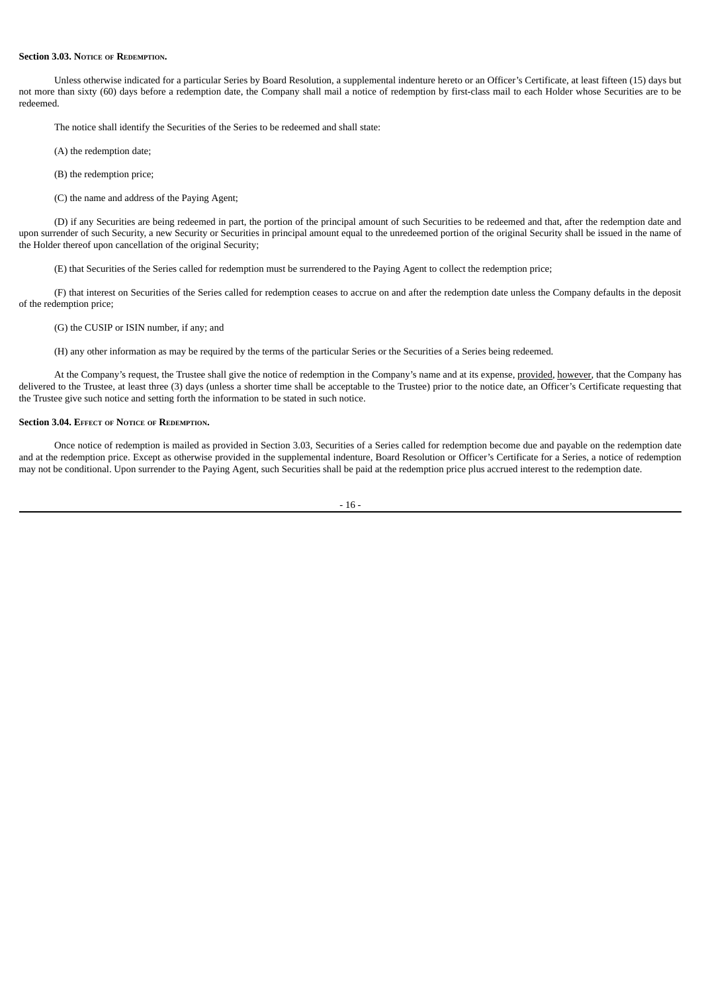### **Section 3.03. NOTICE OF REDEMPTION.**

Unless otherwise indicated for a particular Series by Board Resolution, a supplemental indenture hereto or an Officer's Certificate, at least fifteen (15) days but not more than sixty (60) days before a redemption date, the Company shall mail a notice of redemption by first-class mail to each Holder whose Securities are to be redeemed.

The notice shall identify the Securities of the Series to be redeemed and shall state:

(A) the redemption date;

(B) the redemption price;

(C) the name and address of the Paying Agent;

(D) if any Securities are being redeemed in part, the portion of the principal amount of such Securities to be redeemed and that, after the redemption date and upon surrender of such Security, a new Security or Securities in principal amount equal to the unredeemed portion of the original Security shall be issued in the name of the Holder thereof upon cancellation of the original Security;

(E) that Securities of the Series called for redemption must be surrendered to the Paying Agent to collect the redemption price;

(F) that interest on Securities of the Series called for redemption ceases to accrue on and after the redemption date unless the Company defaults in the deposit of the redemption price;

(G) the CUSIP or ISIN number, if any; and

(H) any other information as may be required by the terms of the particular Series or the Securities of a Series being redeemed.

At the Company's request, the Trustee shall give the notice of redemption in the Company's name and at its expense, provided, however, that the Company has delivered to the Trustee, at least three (3) days (unless a shorter time shall be acceptable to the Trustee) prior to the notice date, an Officer's Certificate requesting that the Trustee give such notice and setting forth the information to be stated in such notice.

### **Section 3.04. EFFECT OF NOTICE OF REDEMPTION.**

Once notice of redemption is mailed as provided in Section 3.03, Securities of a Series called for redemption become due and payable on the redemption date and at the redemption price. Except as otherwise provided in the supplemental indenture, Board Resolution or Officer's Certificate for a Series, a notice of redemption may not be conditional. Upon surrender to the Paying Agent, such Securities shall be paid at the redemption price plus accrued interest to the redemption date.

- 16 -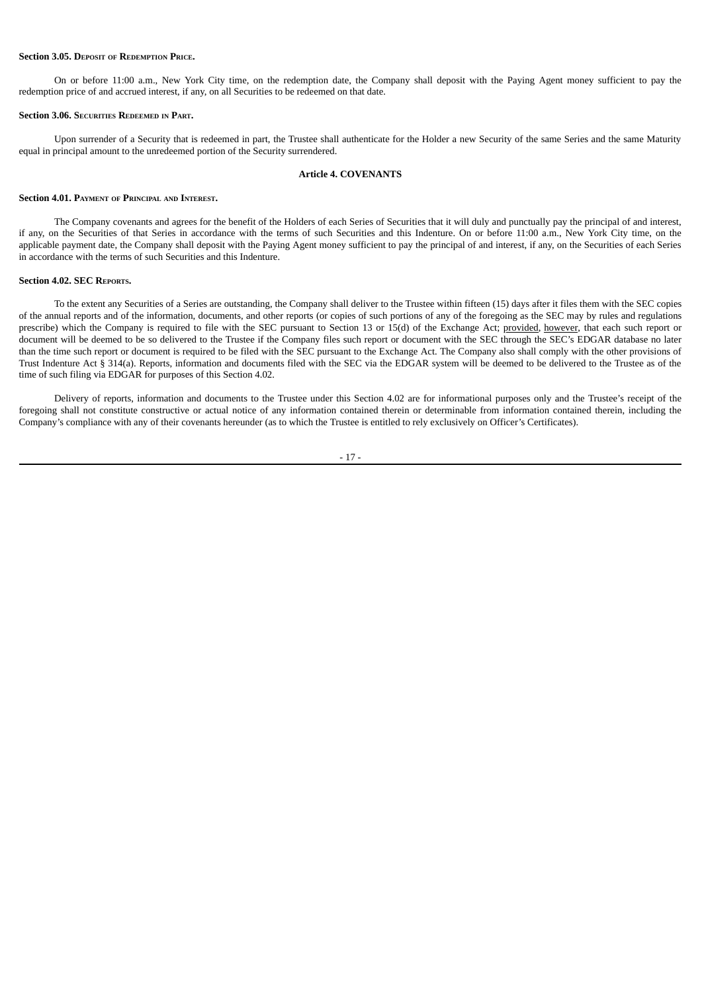### **Section 3.05. DEPOSIT OF REDEMPTION PRICE.**

On or before 11:00 a.m., New York City time, on the redemption date, the Company shall deposit with the Paying Agent money sufficient to pay the redemption price of and accrued interest, if any, on all Securities to be redeemed on that date.

#### **Section 3.06. SECURITIES REDEEMED IN PART.**

Upon surrender of a Security that is redeemed in part, the Trustee shall authenticate for the Holder a new Security of the same Series and the same Maturity equal in principal amount to the unredeemed portion of the Security surrendered.

## **Article 4. COVENANTS**

### **Section 4.01. PAYMENT OF PRINCIPAL AND INTEREST.**

The Company covenants and agrees for the benefit of the Holders of each Series of Securities that it will duly and punctually pay the principal of and interest, if any, on the Securities of that Series in accordance with the terms of such Securities and this Indenture. On or before 11:00 a.m., New York City time, on the applicable payment date, the Company shall deposit with the Paying Agent money sufficient to pay the principal of and interest, if any, on the Securities of each Series in accordance with the terms of such Securities and this Indenture.

## **Section 4.02. SEC REPORTS.**

To the extent any Securities of a Series are outstanding, the Company shall deliver to the Trustee within fifteen (15) days after it files them with the SEC copies of the annual reports and of the information, documents, and other reports (or copies of such portions of any of the foregoing as the SEC may by rules and regulations prescribe) which the Company is required to file with the SEC pursuant to Section 13 or 15(d) of the Exchange Act; provided, however, that each such report or document will be deemed to be so delivered to the Trustee if the Company files such report or document with the SEC through the SEC's EDGAR database no later than the time such report or document is required to be filed with the SEC pursuant to the Exchange Act. The Company also shall comply with the other provisions of Trust Indenture Act § 314(a). Reports, information and documents filed with the SEC via the EDGAR system will be deemed to be delivered to the Trustee as of the time of such filing via EDGAR for purposes of this Section 4.02.

Delivery of reports, information and documents to the Trustee under this Section 4.02 are for informational purposes only and the Trustee's receipt of the foregoing shall not constitute constructive or actual notice of any information contained therein or determinable from information contained therein, including the Company's compliance with any of their covenants hereunder (as to which the Trustee is entitled to rely exclusively on Officer's Certificates).

- 17 -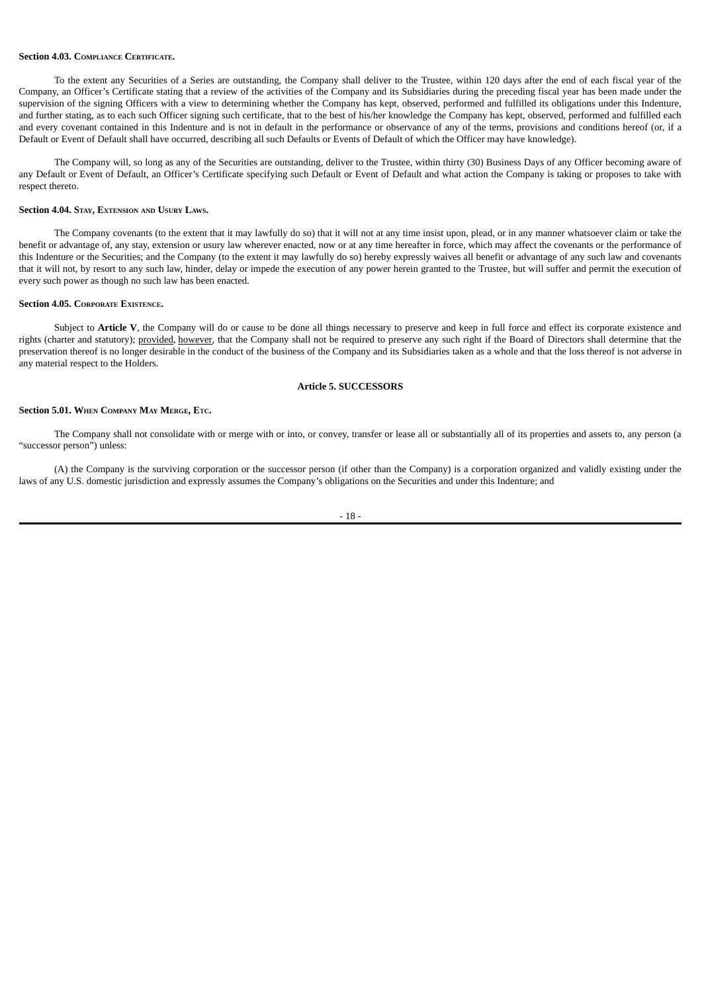## **Section 4.03. COMPLIANCE CERTIFICATE.**

To the extent any Securities of a Series are outstanding, the Company shall deliver to the Trustee, within 120 days after the end of each fiscal year of the Company, an Officer's Certificate stating that a review of the activities of the Company and its Subsidiaries during the preceding fiscal year has been made under the supervision of the signing Officers with a view to determining whether the Company has kept, observed, performed and fulfilled its obligations under this Indenture, and further stating, as to each such Officer signing such certificate, that to the best of his/her knowledge the Company has kept, observed, performed and fulfilled each and every covenant contained in this Indenture and is not in default in the performance or observance of any of the terms, provisions and conditions hereof (or, if a Default or Event of Default shall have occurred, describing all such Defaults or Events of Default of which the Officer may have knowledge).

The Company will, so long as any of the Securities are outstanding, deliver to the Trustee, within thirty (30) Business Days of any Officer becoming aware of any Default or Event of Default, an Officer's Certificate specifying such Default or Event of Default and what action the Company is taking or proposes to take with respect thereto.

#### **Section 4.04. STAY, EXTENSION AND USURY LAWS.**

The Company covenants (to the extent that it may lawfully do so) that it will not at any time insist upon, plead, or in any manner whatsoever claim or take the benefit or advantage of, any stay, extension or usury law wherever enacted, now or at any time hereafter in force, which may affect the covenants or the performance of this Indenture or the Securities; and the Company (to the extent it may lawfully do so) hereby expressly waives all benefit or advantage of any such law and covenants that it will not, by resort to any such law, hinder, delay or impede the execution of any power herein granted to the Trustee, but will suffer and permit the execution of every such power as though no such law has been enacted.

### **Section 4.05. CORPORATE EXISTENCE.**

Subject to **Article** V, the Company will do or cause to be done all things necessary to preserve and keep in full force and effect its corporate existence and rights (charter and statutory); provided, however, that the Company shall not be required to preserve any such right if the Board of Directors shall determine that the preservation thereof is no longer desirable in the conduct of the business of the Company and its Subsidiaries taken as a whole and that the loss thereof is not adverse in any material respect to the Holders.

#### **Article 5. SUCCESSORS**

# **Section 5.01. WHEN COMPANY MAY MERGE, ETC.**

The Company shall not consolidate with or merge with or into, or convey, transfer or lease all or substantially all of its properties and assets to, any person (a "successor person") unless:

(A) the Company is the surviving corporation or the successor person (if other than the Company) is a corporation organized and validly existing under the laws of any U.S. domestic jurisdiction and expressly assumes the Company's obligations on the Securities and under this Indenture; and

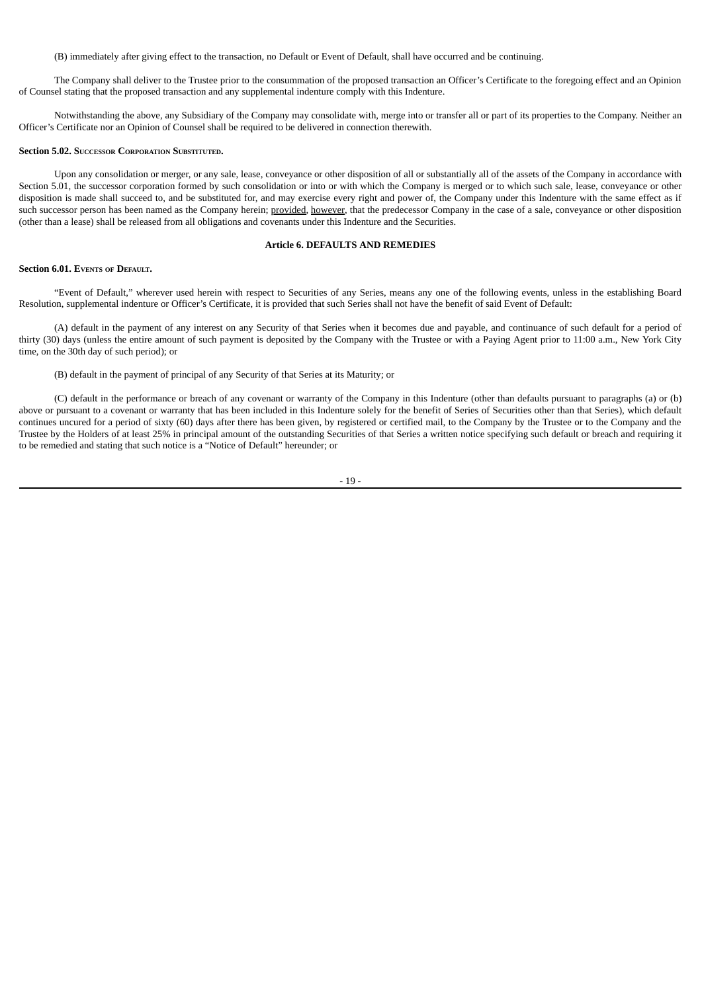(B) immediately after giving effect to the transaction, no Default or Event of Default, shall have occurred and be continuing.

The Company shall deliver to the Trustee prior to the consummation of the proposed transaction an Officer's Certificate to the foregoing effect and an Opinion of Counsel stating that the proposed transaction and any supplemental indenture comply with this Indenture.

Notwithstanding the above, any Subsidiary of the Company may consolidate with, merge into or transfer all or part of its properties to the Company. Neither an Officer's Certificate nor an Opinion of Counsel shall be required to be delivered in connection therewith.

#### **Section 5.02. SUCCESSOR CORPORATION SUBSTITUTED.**

Upon any consolidation or merger, or any sale, lease, conveyance or other disposition of all or substantially all of the assets of the Company in accordance with Section 5.01, the successor corporation formed by such consolidation or into or with which the Company is merged or to which such sale, lease, conveyance or other disposition is made shall succeed to, and be substituted for, and may exercise every right and power of, the Company under this Indenture with the same effect as if such successor person has been named as the Company herein; provided, however, that the predecessor Company in the case of a sale, conveyance or other disposition (other than a lease) shall be released from all obligations and covenants under this Indenture and the Securities.

## **Article 6. DEFAULTS AND REMEDIES**

## **Section 6.01. EVENTS OF DEFAULT.**

"Event of Default," wherever used herein with respect to Securities of any Series, means any one of the following events, unless in the establishing Board Resolution, supplemental indenture or Officer's Certificate, it is provided that such Series shall not have the benefit of said Event of Default:

(A) default in the payment of any interest on any Security of that Series when it becomes due and payable, and continuance of such default for a period of thirty (30) days (unless the entire amount of such payment is deposited by the Company with the Trustee or with a Paying Agent prior to 11:00 a.m., New York City time, on the 30th day of such period); or

(B) default in the payment of principal of any Security of that Series at its Maturity; or

(C) default in the performance or breach of any covenant or warranty of the Company in this Indenture (other than defaults pursuant to paragraphs (a) or (b) above or pursuant to a covenant or warranty that has been included in this Indenture solely for the benefit of Series of Securities other than that Series), which default continues uncured for a period of sixty (60) days after there has been given, by registered or certified mail, to the Company by the Trustee or to the Company and the Trustee by the Holders of at least 25% in principal amount of the outstanding Securities of that Series a written notice specifying such default or breach and requiring it to be remedied and stating that such notice is a "Notice of Default" hereunder; or

 $-19 -$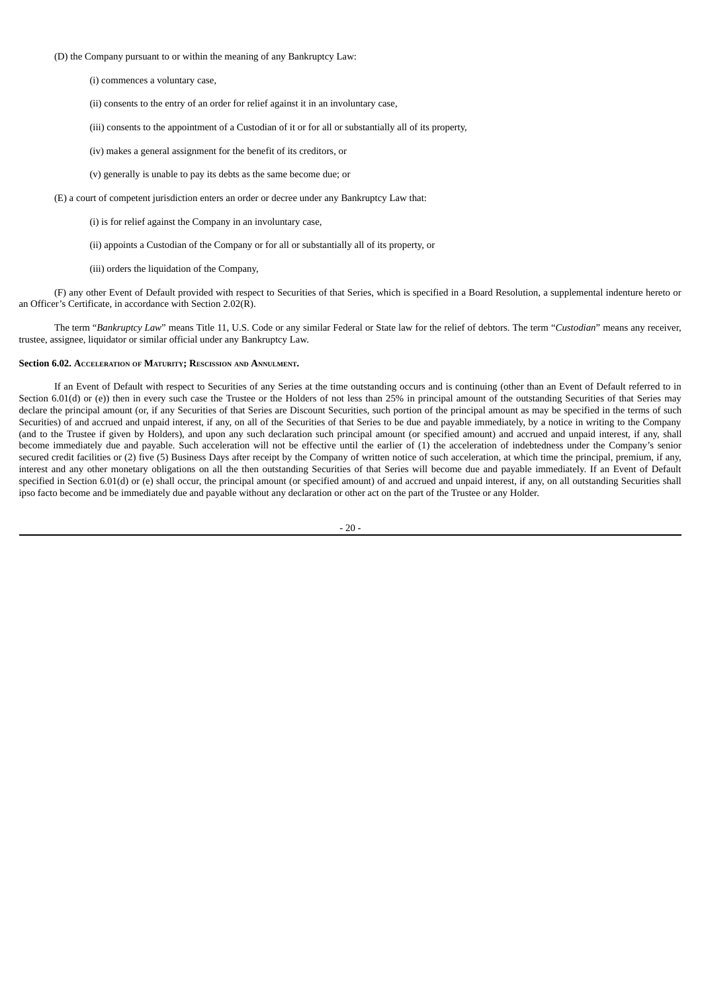(D) the Company pursuant to or within the meaning of any Bankruptcy Law:

(i) commences a voluntary case,

(ii) consents to the entry of an order for relief against it in an involuntary case,

(iii) consents to the appointment of a Custodian of it or for all or substantially all of its property,

(iv) makes a general assignment for the benefit of its creditors, or

(v) generally is unable to pay its debts as the same become due; or

(E) a court of competent jurisdiction enters an order or decree under any Bankruptcy Law that:

(i) is for relief against the Company in an involuntary case,

(ii) appoints a Custodian of the Company or for all or substantially all of its property, or

(iii) orders the liquidation of the Company,

(F) any other Event of Default provided with respect to Securities of that Series, which is specified in a Board Resolution, a supplemental indenture hereto or an Officer's Certificate, in accordance with Section 2.02(R).

The term "*Bankruptcy Law*" means Title 11, U.S. Code or any similar Federal or State law for the relief of debtors. The term "*Custodian*" means any receiver, trustee, assignee, liquidator or similar official under any Bankruptcy Law.

#### **Section 6.02. ACCELERATION OF MATURITY; RESCISSION AND ANNULMENT.**

If an Event of Default with respect to Securities of any Series at the time outstanding occurs and is continuing (other than an Event of Default referred to in Section 6.01(d) or (e)) then in every such case the Trustee or the Holders of not less than 25% in principal amount of the outstanding Securities of that Series may declare the principal amount (or, if any Securities of that Series are Discount Securities, such portion of the principal amount as may be specified in the terms of such Securities) of and accrued and unpaid interest, if any, on all of the Securities of that Series to be due and payable immediately, by a notice in writing to the Company (and to the Trustee if given by Holders), and upon any such declaration such principal amount (or specified amount) and accrued and unpaid interest, if any, shall become immediately due and payable. Such acceleration will not be effective until the earlier of (1) the acceleration of indebtedness under the Company's senior secured credit facilities or (2) five (5) Business Days after receipt by the Company of written notice of such acceleration, at which time the principal, premium, if any, interest and any other monetary obligations on all the then outstanding Securities of that Series will become due and payable immediately. If an Event of Default specified in Section 6.01(d) or (e) shall occur, the principal amount (or specified amount) of and accrued and unpaid interest, if any, on all outstanding Securities shall ipso facto become and be immediately due and payable without any declaration or other act on the part of the Trustee or any Holder.

- 20 -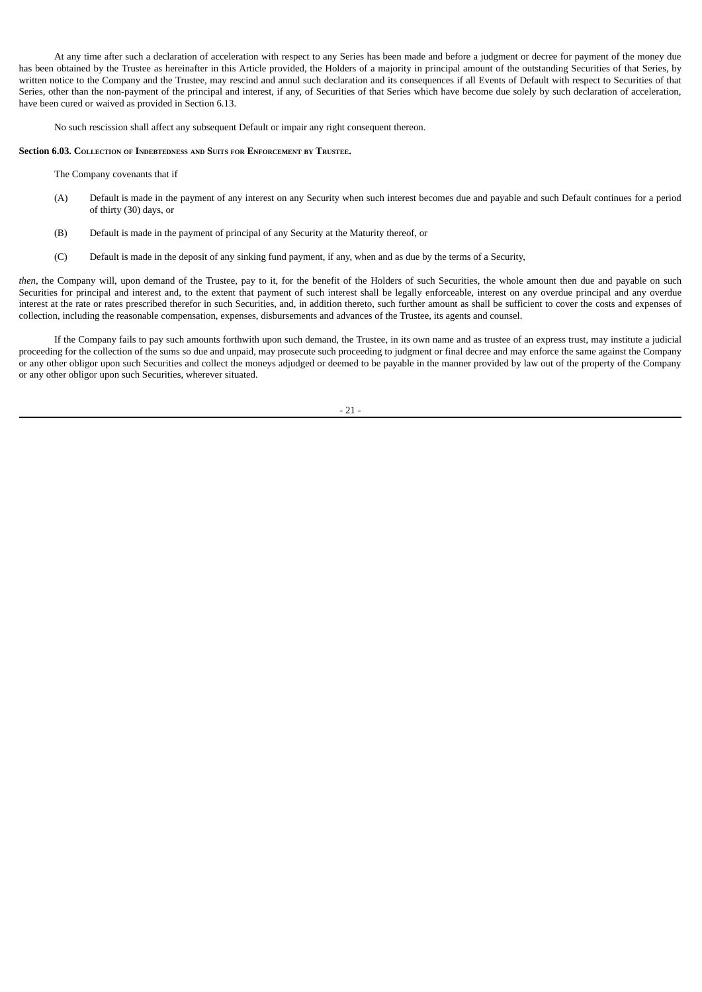At any time after such a declaration of acceleration with respect to any Series has been made and before a judgment or decree for payment of the money due has been obtained by the Trustee as hereinafter in this Article provided, the Holders of a majority in principal amount of the outstanding Securities of that Series, by written notice to the Company and the Trustee, may rescind and annul such declaration and its consequences if all Events of Default with respect to Securities of that Series, other than the non-payment of the principal and interest, if any, of Securities of that Series which have become due solely by such declaration of acceleration, have been cured or waived as provided in Section 6.13.

No such rescission shall affect any subsequent Default or impair any right consequent thereon.

**Section 6.03. COLLECTION OF INDEBTEDNESS AND SUITS FOR ENFORCEMENT BY TRUSTEE.**

The Company covenants that if

- (A) Default is made in the payment of any interest on any Security when such interest becomes due and payable and such Default continues for a period of thirty (30) days, or
- (B) Default is made in the payment of principal of any Security at the Maturity thereof, or
- (C) Default is made in the deposit of any sinking fund payment, if any, when and as due by the terms of a Security,

*then*, the Company will, upon demand of the Trustee, pay to it, for the benefit of the Holders of such Securities, the whole amount then due and payable on such Securities for principal and interest and, to the extent that payment of such interest shall be legally enforceable, interest on any overdue principal and any overdue interest at the rate or rates prescribed therefor in such Securities, and, in addition thereto, such further amount as shall be sufficient to cover the costs and expenses of collection, including the reasonable compensation, expenses, disbursements and advances of the Trustee, its agents and counsel.

If the Company fails to pay such amounts forthwith upon such demand, the Trustee, in its own name and as trustee of an express trust, may institute a judicial proceeding for the collection of the sums so due and unpaid, may prosecute such proceeding to judgment or final decree and may enforce the same against the Company or any other obligor upon such Securities and collect the moneys adjudged or deemed to be payable in the manner provided by law out of the property of the Company or any other obligor upon such Securities, wherever situated.

 $.21.$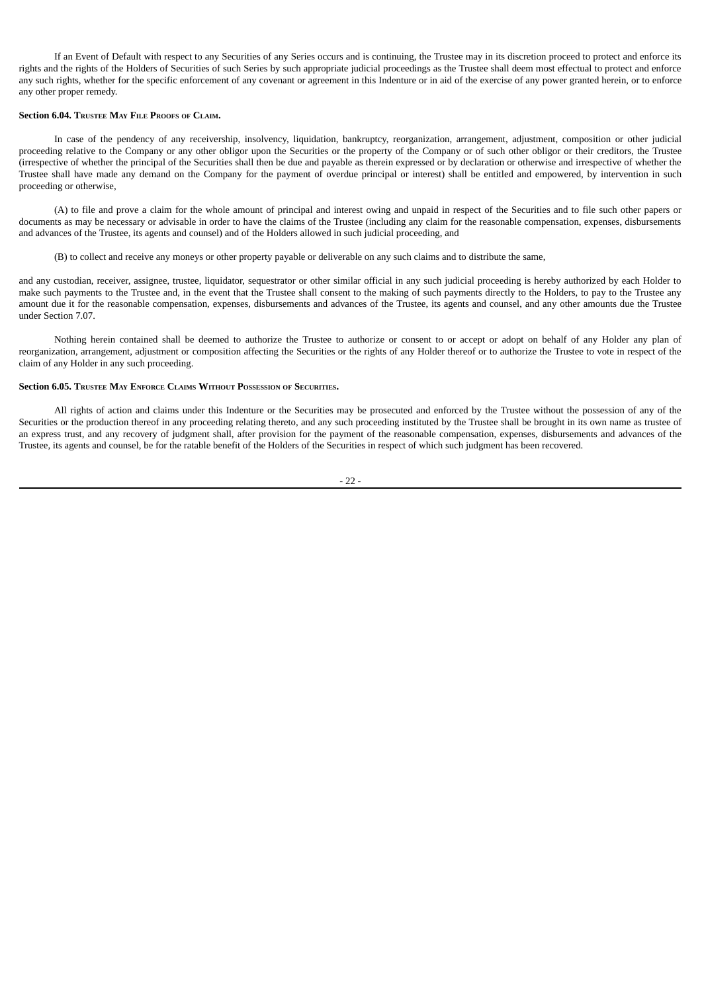If an Event of Default with respect to any Securities of any Series occurs and is continuing, the Trustee may in its discretion proceed to protect and enforce its rights and the rights of the Holders of Securities of such Series by such appropriate judicial proceedings as the Trustee shall deem most effectual to protect and enforce any such rights, whether for the specific enforcement of any covenant or agreement in this Indenture or in aid of the exercise of any power granted herein, or to enforce any other proper remedy.

#### **Section 6.04. TRUSTEE MAY FILE PROOFS OF CLAIM.**

In case of the pendency of any receivership, insolvency, liquidation, bankruptcy, reorganization, arrangement, adjustment, composition or other judicial proceeding relative to the Company or any other obligor upon the Securities or the property of the Company or of such other obligor or their creditors, the Trustee (irrespective of whether the principal of the Securities shall then be due and payable as therein expressed or by declaration or otherwise and irrespective of whether the Trustee shall have made any demand on the Company for the payment of overdue principal or interest) shall be entitled and empowered, by intervention in such proceeding or otherwise,

(A) to file and prove a claim for the whole amount of principal and interest owing and unpaid in respect of the Securities and to file such other papers or documents as may be necessary or advisable in order to have the claims of the Trustee (including any claim for the reasonable compensation, expenses, disbursements and advances of the Trustee, its agents and counsel) and of the Holders allowed in such judicial proceeding, and

(B) to collect and receive any moneys or other property payable or deliverable on any such claims and to distribute the same,

and any custodian, receiver, assignee, trustee, liquidator, sequestrator or other similar official in any such judicial proceeding is hereby authorized by each Holder to make such payments to the Trustee and, in the event that the Trustee shall consent to the making of such payments directly to the Holders, to pay to the Trustee any amount due it for the reasonable compensation, expenses, disbursements and advances of the Trustee, its agents and counsel, and any other amounts due the Trustee under Section 7.07.

Nothing herein contained shall be deemed to authorize the Trustee to authorize or consent to or accept or adopt on behalf of any Holder any plan of reorganization, arrangement, adjustment or composition affecting the Securities or the rights of any Holder thereof or to authorize the Trustee to vote in respect of the claim of any Holder in any such proceeding.

## **Section 6.05. TRUSTEE MAY ENFORCE CLAIMS WITHOUT POSSESSION OF SECURITIES.**

All rights of action and claims under this Indenture or the Securities may be prosecuted and enforced by the Trustee without the possession of any of the Securities or the production thereof in any proceeding relating thereto, and any such proceeding instituted by the Trustee shall be brought in its own name as trustee of an express trust, and any recovery of judgment shall, after provision for the payment of the reasonable compensation, expenses, disbursements and advances of the Trustee, its agents and counsel, be for the ratable benefit of the Holders of the Securities in respect of which such judgment has been recovered.

 $-22-$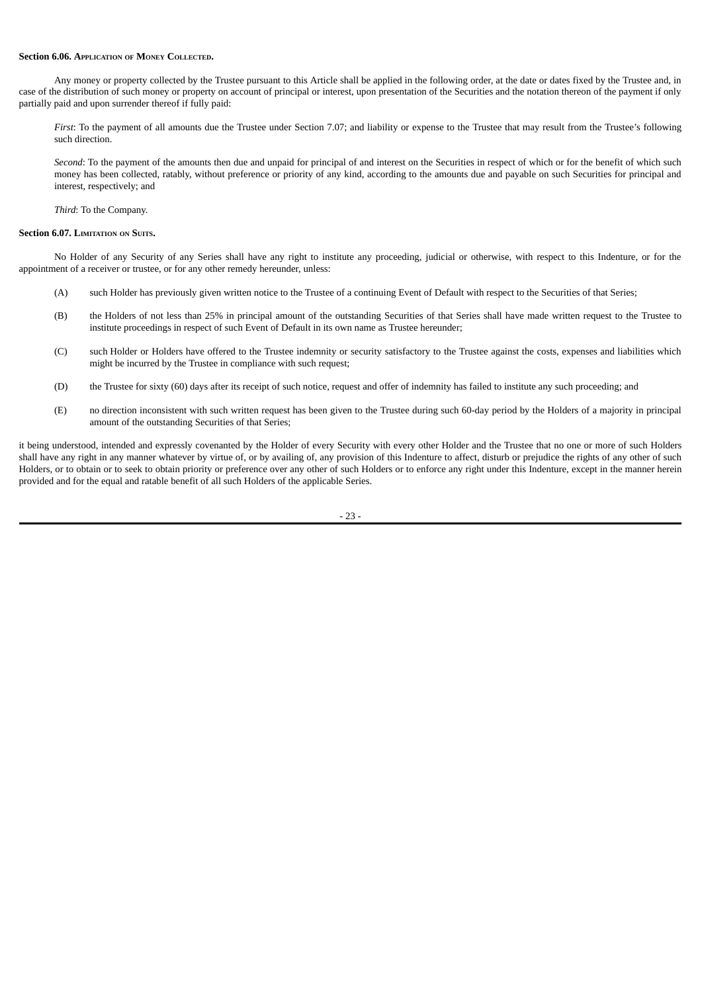## **Section 6.06. APPLICATION OF MONEY COLLECTED.**

Any money or property collected by the Trustee pursuant to this Article shall be applied in the following order, at the date or dates fixed by the Trustee and, in case of the distribution of such money or property on account of principal or interest, upon presentation of the Securities and the notation thereon of the payment if only partially paid and upon surrender thereof if fully paid:

*First*: To the payment of all amounts due the Trustee under Section 7.07; and liability or expense to the Trustee that may result from the Trustee's following such direction.

*Second*: To the payment of the amounts then due and unpaid for principal of and interest on the Securities in respect of which or for the benefit of which such money has been collected, ratably, without preference or priority of any kind, according to the amounts due and payable on such Securities for principal and interest, respectively; and

*Third*: To the Company.

#### **Section 6.07. LIMITATION ON SUITS.**

No Holder of any Security of any Series shall have any right to institute any proceeding, judicial or otherwise, with respect to this Indenture, or for the appointment of a receiver or trustee, or for any other remedy hereunder, unless:

- (A) such Holder has previously given written notice to the Trustee of a continuing Event of Default with respect to the Securities of that Series;
- (B) the Holders of not less than 25% in principal amount of the outstanding Securities of that Series shall have made written request to the Trustee to institute proceedings in respect of such Event of Default in its own name as Trustee hereunder;
- (C) such Holder or Holders have offered to the Trustee indemnity or security satisfactory to the Trustee against the costs, expenses and liabilities which might be incurred by the Trustee in compliance with such request;
- (D) the Trustee for sixty (60) days after its receipt of such notice, request and offer of indemnity has failed to institute any such proceeding; and
- (E) no direction inconsistent with such written request has been given to the Trustee during such 60-day period by the Holders of a majority in principal amount of the outstanding Securities of that Series;

it being understood, intended and expressly covenanted by the Holder of every Security with every other Holder and the Trustee that no one or more of such Holders shall have any right in any manner whatever by virtue of, or by availing of, any provision of this Indenture to affect, disturb or prejudice the rights of any other of such Holders, or to obtain or to seek to obtain priority or preference over any other of such Holders or to enforce any right under this Indenture, except in the manner herein provided and for the equal and ratable benefit of all such Holders of the applicable Series.

 $. 23.$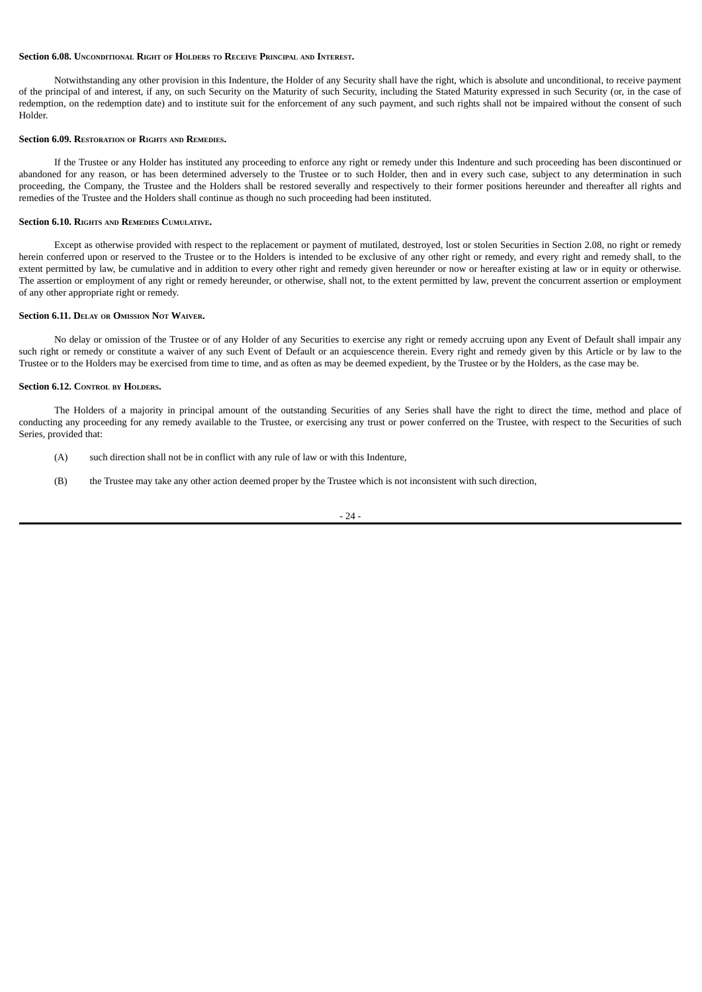## **Section 6.08. UNCONDITIONAL RIGHT OF HOLDERS TO RECEIVE PRINCIPAL AND INTEREST.**

Notwithstanding any other provision in this Indenture, the Holder of any Security shall have the right, which is absolute and unconditional, to receive payment of the principal of and interest, if any, on such Security on the Maturity of such Security, including the Stated Maturity expressed in such Security (or, in the case of redemption, on the redemption date) and to institute suit for the enforcement of any such payment, and such rights shall not be impaired without the consent of such Holder.

## **Section 6.09. RESTORATION OF RIGHTS AND REMEDIES.**

If the Trustee or any Holder has instituted any proceeding to enforce any right or remedy under this Indenture and such proceeding has been discontinued or abandoned for any reason, or has been determined adversely to the Trustee or to such Holder, then and in every such case, subject to any determination in such proceeding, the Company, the Trustee and the Holders shall be restored severally and respectively to their former positions hereunder and thereafter all rights and remedies of the Trustee and the Holders shall continue as though no such proceeding had been instituted.

#### **Section 6.10. RIGHTS AND REMEDIES CUMULATIVE.**

Except as otherwise provided with respect to the replacement or payment of mutilated, destroyed, lost or stolen Securities in Section 2.08, no right or remedy herein conferred upon or reserved to the Trustee or to the Holders is intended to be exclusive of any other right or remedy, and every right and remedy shall, to the extent permitted by law, be cumulative and in addition to every other right and remedy given hereunder or now or hereafter existing at law or in equity or otherwise. The assertion or employment of any right or remedy hereunder, or otherwise, shall not, to the extent permitted by law, prevent the concurrent assertion or employment of any other appropriate right or remedy.

## **Section 6.11. DELAY OR OMISSION NOT WAIVER.**

No delay or omission of the Trustee or of any Holder of any Securities to exercise any right or remedy accruing upon any Event of Default shall impair any such right or remedy or constitute a waiver of any such Event of Default or an acquiescence therein. Every right and remedy given by this Article or by law to the Trustee or to the Holders may be exercised from time to time, and as often as may be deemed expedient, by the Trustee or by the Holders, as the case may be.

#### **Section 6.12. CONTROL BY HOLDERS.**

The Holders of a majority in principal amount of the outstanding Securities of any Series shall have the right to direct the time, method and place of conducting any proceeding for any remedy available to the Trustee, or exercising any trust or power conferred on the Trustee, with respect to the Securities of such Series, provided that:

- (A) such direction shall not be in conflict with any rule of law or with this Indenture,
- (B) the Trustee may take any other action deemed proper by the Trustee which is not inconsistent with such direction,

 $-24$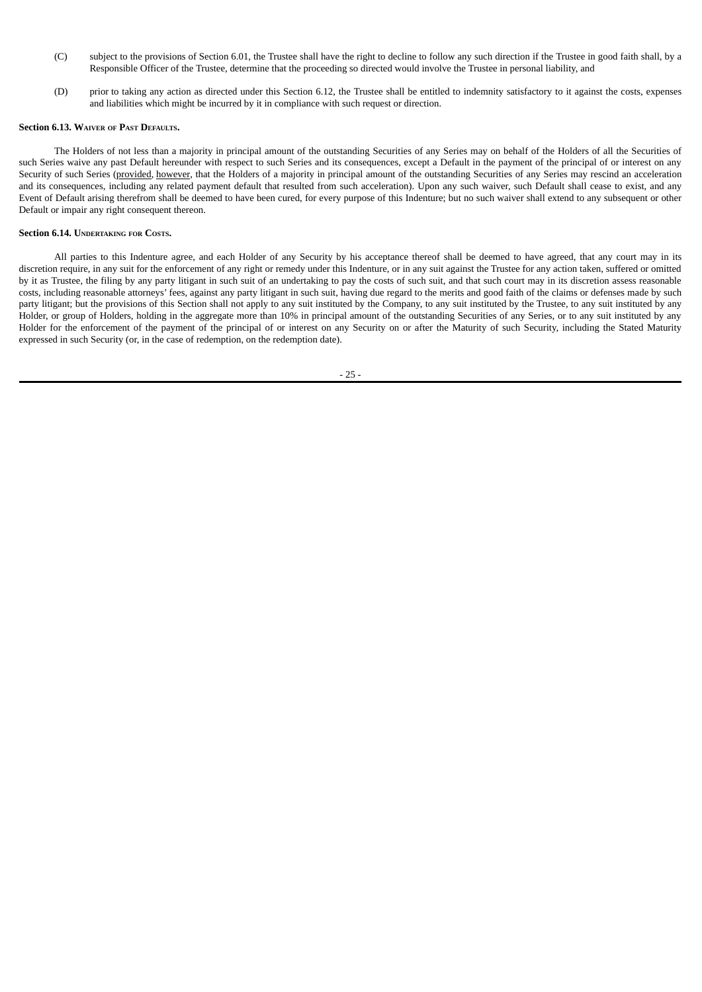- (C) subject to the provisions of Section 6.01, the Trustee shall have the right to decline to follow any such direction if the Trustee in good faith shall, by a Responsible Officer of the Trustee, determine that the proceeding so directed would involve the Trustee in personal liability, and
- (D) prior to taking any action as directed under this Section 6.12, the Trustee shall be entitled to indemnity satisfactory to it against the costs, expenses and liabilities which might be incurred by it in compliance with such request or direction.

### **Section 6.13. WAIVER OF PAST DEFAULTS.**

The Holders of not less than a majority in principal amount of the outstanding Securities of any Series may on behalf of the Holders of all the Securities of such Series waive any past Default hereunder with respect to such Series and its consequences, except a Default in the payment of the principal of or interest on any Security of such Series (provided, however, that the Holders of a majority in principal amount of the outstanding Securities of any Series may rescind an acceleration and its consequences, including any related payment default that resulted from such acceleration). Upon any such waiver, such Default shall cease to exist, and any Event of Default arising therefrom shall be deemed to have been cured, for every purpose of this Indenture; but no such waiver shall extend to any subsequent or other Default or impair any right consequent thereon.

### **Section 6.14. UNDERTAKING FOR COSTS.**

All parties to this Indenture agree, and each Holder of any Security by his acceptance thereof shall be deemed to have agreed, that any court may in its discretion require, in any suit for the enforcement of any right or remedy under this Indenture, or in any suit against the Trustee for any action taken, suffered or omitted by it as Trustee, the filing by any party litigant in such suit of an undertaking to pay the costs of such suit, and that such court may in its discretion assess reasonable costs, including reasonable attorneys' fees, against any party litigant in such suit, having due regard to the merits and good faith of the claims or defenses made by such party litigant; but the provisions of this Section shall not apply to any suit instituted by the Company, to any suit instituted by the Trustee, to any suit instituted by any Holder, or group of Holders, holding in the aggregate more than 10% in principal amount of the outstanding Securities of any Series, or to any suit instituted by any Holder for the enforcement of the payment of the principal of or interest on any Security on or after the Maturity of such Security, including the Stated Maturity expressed in such Security (or, in the case of redemption, on the redemption date).

- 25 -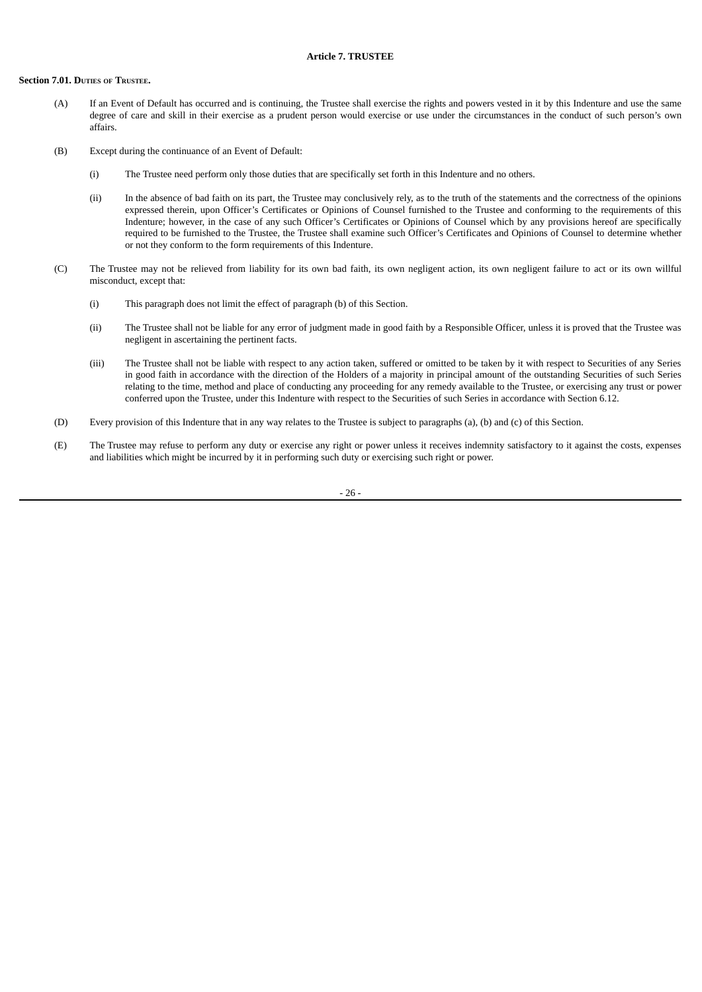## **Article 7. TRUSTEE**

#### **Section 7.01. DUTIES OF TRUSTEE.**

- (A) If an Event of Default has occurred and is continuing, the Trustee shall exercise the rights and powers vested in it by this Indenture and use the same degree of care and skill in their exercise as a prudent person would exercise or use under the circumstances in the conduct of such person's own affairs.
- (B) Except during the continuance of an Event of Default:
	- (i) The Trustee need perform only those duties that are specifically set forth in this Indenture and no others.
	- (ii) In the absence of bad faith on its part, the Trustee may conclusively rely, as to the truth of the statements and the correctness of the opinions expressed therein, upon Officer's Certificates or Opinions of Counsel furnished to the Trustee and conforming to the requirements of this Indenture; however, in the case of any such Officer's Certificates or Opinions of Counsel which by any provisions hereof are specifically required to be furnished to the Trustee, the Trustee shall examine such Officer's Certificates and Opinions of Counsel to determine whether or not they conform to the form requirements of this Indenture.
- (C) The Trustee may not be relieved from liability for its own bad faith, its own negligent action, its own negligent failure to act or its own willful misconduct, except that:
	- (i) This paragraph does not limit the effect of paragraph (b) of this Section.
	- (ii) The Trustee shall not be liable for any error of judgment made in good faith by a Responsible Officer, unless it is proved that the Trustee was negligent in ascertaining the pertinent facts.
	- (iii) The Trustee shall not be liable with respect to any action taken, suffered or omitted to be taken by it with respect to Securities of any Series in good faith in accordance with the direction of the Holders of a majority in principal amount of the outstanding Securities of such Series relating to the time, method and place of conducting any proceeding for any remedy available to the Trustee, or exercising any trust or power conferred upon the Trustee, under this Indenture with respect to the Securities of such Series in accordance with Section 6.12.
- (D) Every provision of this Indenture that in any way relates to the Trustee is subject to paragraphs (a), (b) and (c) of this Section.
- (E) The Trustee may refuse to perform any duty or exercise any right or power unless it receives indemnity satisfactory to it against the costs, expenses and liabilities which might be incurred by it in performing such duty or exercising such right or power.

- 26 -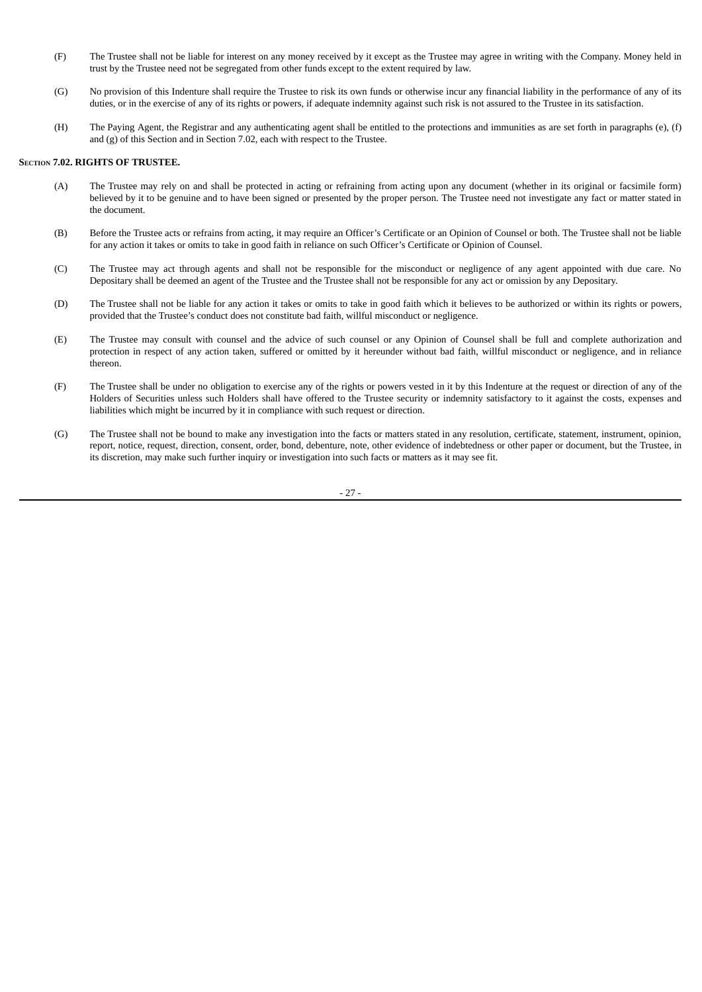- (F) The Trustee shall not be liable for interest on any money received by it except as the Trustee may agree in writing with the Company. Money held in trust by the Trustee need not be segregated from other funds except to the extent required by law.
- (G) No provision of this Indenture shall require the Trustee to risk its own funds or otherwise incur any financial liability in the performance of any of its duties, or in the exercise of any of its rights or powers, if adequate indemnity against such risk is not assured to the Trustee in its satisfaction.
- (H) The Paying Agent, the Registrar and any authenticating agent shall be entitled to the protections and immunities as are set forth in paragraphs (e), (f) and (g) of this Section and in Section 7.02, each with respect to the Trustee.

## **SECTION 7.02. RIGHTS OF TRUSTEE.**

- (A) The Trustee may rely on and shall be protected in acting or refraining from acting upon any document (whether in its original or facsimile form) believed by it to be genuine and to have been signed or presented by the proper person. The Trustee need not investigate any fact or matter stated in the document.
- (B) Before the Trustee acts or refrains from acting, it may require an Officer's Certificate or an Opinion of Counsel or both. The Trustee shall not be liable for any action it takes or omits to take in good faith in reliance on such Officer's Certificate or Opinion of Counsel.
- (C) The Trustee may act through agents and shall not be responsible for the misconduct or negligence of any agent appointed with due care. No Depositary shall be deemed an agent of the Trustee and the Trustee shall not be responsible for any act or omission by any Depositary.
- (D) The Trustee shall not be liable for any action it takes or omits to take in good faith which it believes to be authorized or within its rights or powers, provided that the Trustee's conduct does not constitute bad faith, willful misconduct or negligence.
- (E) The Trustee may consult with counsel and the advice of such counsel or any Opinion of Counsel shall be full and complete authorization and protection in respect of any action taken, suffered or omitted by it hereunder without bad faith, willful misconduct or negligence, and in reliance thereon.
- (F) The Trustee shall be under no obligation to exercise any of the rights or powers vested in it by this Indenture at the request or direction of any of the Holders of Securities unless such Holders shall have offered to the Trustee security or indemnity satisfactory to it against the costs, expenses and liabilities which might be incurred by it in compliance with such request or direction.
- (G) The Trustee shall not be bound to make any investigation into the facts or matters stated in any resolution, certificate, statement, instrument, opinion, report, notice, request, direction, consent, order, bond, debenture, note, other evidence of indebtedness or other paper or document, but the Trustee, in its discretion, may make such further inquiry or investigation into such facts or matters as it may see fit.

- 27 -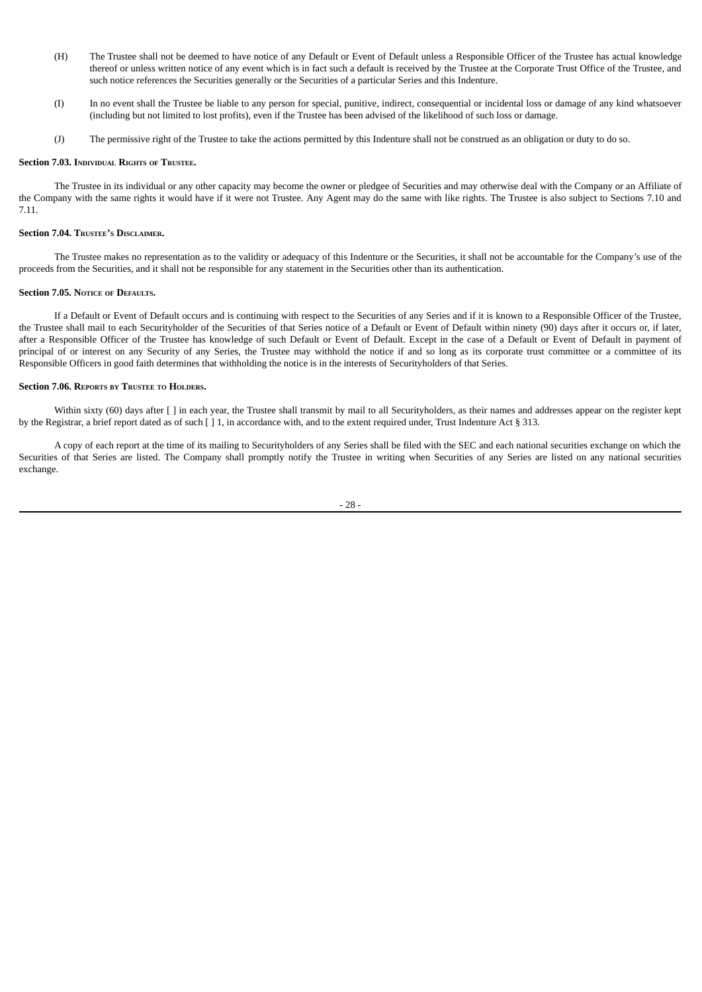- (H) The Trustee shall not be deemed to have notice of any Default or Event of Default unless a Responsible Officer of the Trustee has actual knowledge thereof or unless written notice of any event which is in fact such a default is received by the Trustee at the Corporate Trust Office of the Trustee, and such notice references the Securities generally or the Securities of a particular Series and this Indenture.
- (I) In no event shall the Trustee be liable to any person for special, punitive, indirect, consequential or incidental loss or damage of any kind whatsoever (including but not limited to lost profits), even if the Trustee has been advised of the likelihood of such loss or damage.
- (J) The permissive right of the Trustee to take the actions permitted by this Indenture shall not be construed as an obligation or duty to do so.

## **Section 7.03. INDIVIDUAL RIGHTS OF TRUSTEE.**

The Trustee in its individual or any other capacity may become the owner or pledgee of Securities and may otherwise deal with the Company or an Affiliate of the Company with the same rights it would have if it were not Trustee. Any Agent may do the same with like rights. The Trustee is also subject to Sections 7.10 and 7.11.

#### **Section 7.04. TRUSTEE'<sup>S</sup> DISCLAIMER.**

The Trustee makes no representation as to the validity or adequacy of this Indenture or the Securities, it shall not be accountable for the Company's use of the proceeds from the Securities, and it shall not be responsible for any statement in the Securities other than its authentication.

#### **Section 7.05. NOTICE OF DEFAULTS.**

If a Default or Event of Default occurs and is continuing with respect to the Securities of any Series and if it is known to a Responsible Officer of the Trustee, the Trustee shall mail to each Securityholder of the Securities of that Series notice of a Default or Event of Default within ninety (90) days after it occurs or, if later, after a Responsible Officer of the Trustee has knowledge of such Default or Event of Default. Except in the case of a Default or Event of Default in payment of principal of or interest on any Security of any Series, the Trustee may withhold the notice if and so long as its corporate trust committee or a committee of its Responsible Officers in good faith determines that withholding the notice is in the interests of Securityholders of that Series.

#### **Section 7.06. REPORTS BY TRUSTEE TO HOLDERS.**

Within sixty (60) days after [ ] in each year, the Trustee shall transmit by mail to all Securityholders, as their names and addresses appear on the register kept by the Registrar, a brief report dated as of such [ ] 1, in accordance with, and to the extent required under, Trust Indenture Act § 313.

A copy of each report at the time of its mailing to Securityholders of any Series shall be filed with the SEC and each national securities exchange on which the Securities of that Series are listed. The Company shall promptly notify the Trustee in writing when Securities of any Series are listed on any national securities exchange.

- 28 -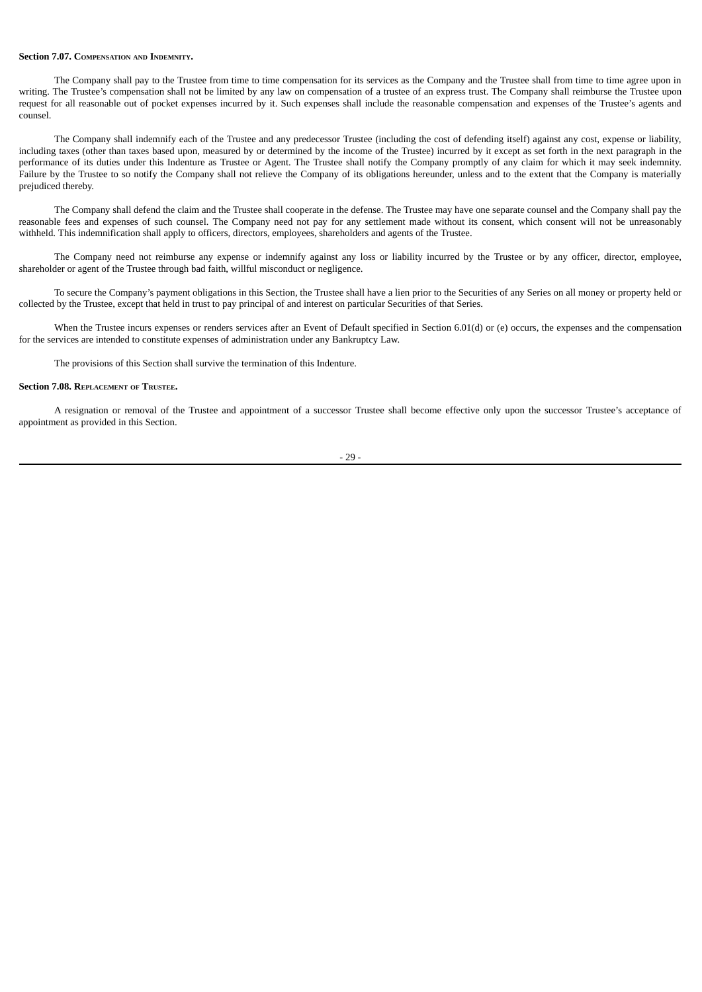## **Section 7.07. COMPENSATION AND INDEMNITY.**

The Company shall pay to the Trustee from time to time compensation for its services as the Company and the Trustee shall from time to time agree upon in writing. The Trustee's compensation shall not be limited by any law on compensation of a trustee of an express trust. The Company shall reimburse the Trustee upon request for all reasonable out of pocket expenses incurred by it. Such expenses shall include the reasonable compensation and expenses of the Trustee's agents and counsel.

The Company shall indemnify each of the Trustee and any predecessor Trustee (including the cost of defending itself) against any cost, expense or liability, including taxes (other than taxes based upon, measured by or determined by the income of the Trustee) incurred by it except as set forth in the next paragraph in the performance of its duties under this Indenture as Trustee or Agent. The Trustee shall notify the Company promptly of any claim for which it may seek indemnity. Failure by the Trustee to so notify the Company shall not relieve the Company of its obligations hereunder, unless and to the extent that the Company is materially prejudiced thereby.

The Company shall defend the claim and the Trustee shall cooperate in the defense. The Trustee may have one separate counsel and the Company shall pay the reasonable fees and expenses of such counsel. The Company need not pay for any settlement made without its consent, which consent will not be unreasonably withheld. This indemnification shall apply to officers, directors, employees, shareholders and agents of the Trustee.

The Company need not reimburse any expense or indemnify against any loss or liability incurred by the Trustee or by any officer, director, employee, shareholder or agent of the Trustee through bad faith, willful misconduct or negligence.

To secure the Company's payment obligations in this Section, the Trustee shall have a lien prior to the Securities of any Series on all money or property held or collected by the Trustee, except that held in trust to pay principal of and interest on particular Securities of that Series.

When the Trustee incurs expenses or renders services after an Event of Default specified in Section 6.01(d) or (e) occurs, the expenses and the compensation for the services are intended to constitute expenses of administration under any Bankruptcy Law.

The provisions of this Section shall survive the termination of this Indenture.

#### **Section 7.08. REPLACEMENT OF TRUSTEE.**

A resignation or removal of the Trustee and appointment of a successor Trustee shall become effective only upon the successor Trustee's acceptance of appointment as provided in this Section.

- 29 -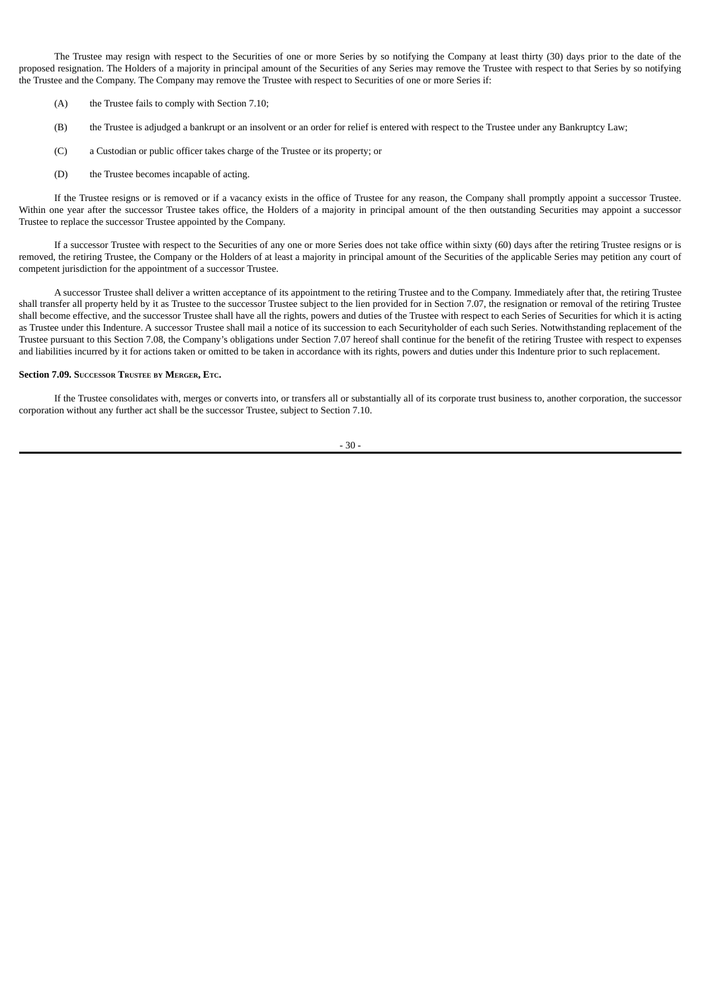The Trustee may resign with respect to the Securities of one or more Series by so notifying the Company at least thirty (30) days prior to the date of the proposed resignation. The Holders of a majority in principal amount of the Securities of any Series may remove the Trustee with respect to that Series by so notifying the Trustee and the Company. The Company may remove the Trustee with respect to Securities of one or more Series if:

- (A) the Trustee fails to comply with Section 7.10;
- (B) the Trustee is adjudged a bankrupt or an insolvent or an order for relief is entered with respect to the Trustee under any Bankruptcy Law;
- (C) a Custodian or public officer takes charge of the Trustee or its property; or
- (D) the Trustee becomes incapable of acting.

If the Trustee resigns or is removed or if a vacancy exists in the office of Trustee for any reason, the Company shall promptly appoint a successor Trustee. Within one year after the successor Trustee takes office, the Holders of a majority in principal amount of the then outstanding Securities may appoint a successor Trustee to replace the successor Trustee appointed by the Company.

If a successor Trustee with respect to the Securities of any one or more Series does not take office within sixty (60) days after the retiring Trustee resigns or is removed, the retiring Trustee, the Company or the Holders of at least a majority in principal amount of the Securities of the applicable Series may petition any court of competent jurisdiction for the appointment of a successor Trustee.

A successor Trustee shall deliver a written acceptance of its appointment to the retiring Trustee and to the Company. Immediately after that, the retiring Trustee shall transfer all property held by it as Trustee to the successor Trustee subject to the lien provided for in Section 7.07, the resignation or removal of the retiring Trustee shall become effective, and the successor Trustee shall have all the rights, powers and duties of the Trustee with respect to each Series of Securities for which it is acting as Trustee under this Indenture. A successor Trustee shall mail a notice of its succession to each Securityholder of each such Series. Notwithstanding replacement of the Trustee pursuant to this Section 7.08, the Company's obligations under Section 7.07 hereof shall continue for the benefit of the retiring Trustee with respect to expenses and liabilities incurred by it for actions taken or omitted to be taken in accordance with its rights, powers and duties under this Indenture prior to such replacement.

## **Section 7.09. SUCCESSOR TRUSTEE BY MERGER, ETC.**

If the Trustee consolidates with, merges or converts into, or transfers all or substantially all of its corporate trust business to, another corporation, the successor corporation without any further act shall be the successor Trustee, subject to Section 7.10.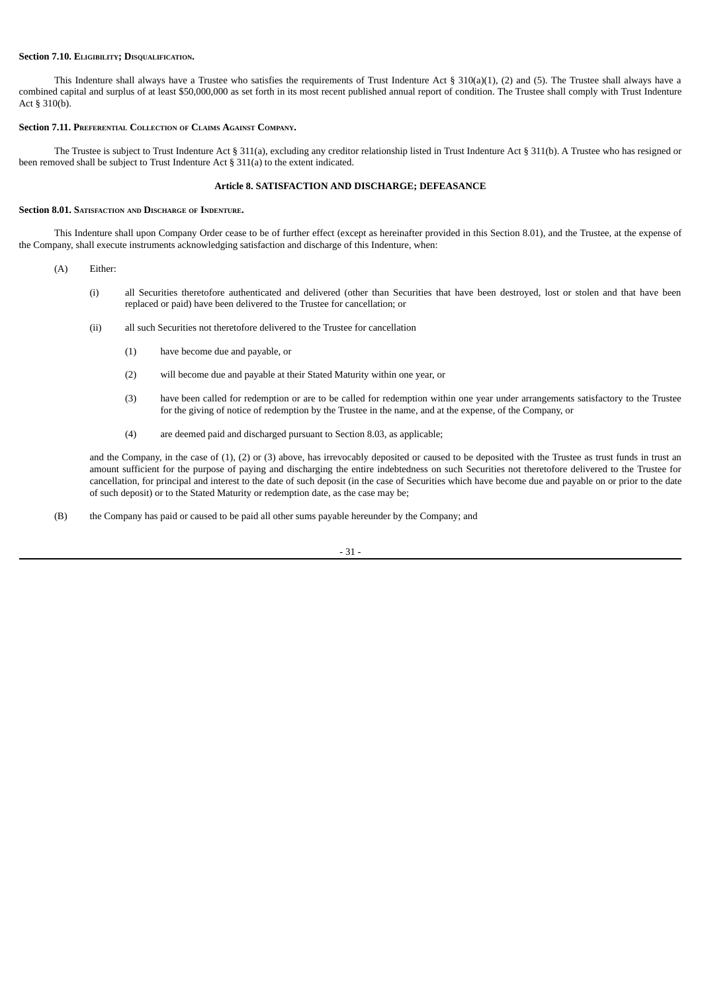## **Section 7.10. ELIGIBILITY; DISQUALIFICATION.**

This Indenture shall always have a Trustee who satisfies the requirements of Trust Indenture Act § 310(a)(1), (2) and (5). The Trustee shall always have a combined capital and surplus of at least \$50,000,000 as set forth in its most recent published annual report of condition. The Trustee shall comply with Trust Indenture Act § 310(b).

#### **Section 7.11. PREFERENTIAL COLLECTION OF CLAIMS AGAINST COMPANY.**

The Trustee is subject to Trust Indenture Act § 311(a), excluding any creditor relationship listed in Trust Indenture Act § 311(b). A Trustee who has resigned or been removed shall be subject to Trust Indenture Act § 311(a) to the extent indicated.

# **Article 8. SATISFACTION AND DISCHARGE; DEFEASANCE**

#### **Section 8.01. SATISFACTION AND DISCHARGE OF INDENTURE.**

This Indenture shall upon Company Order cease to be of further effect (except as hereinafter provided in this Section 8.01), and the Trustee, at the expense of the Company, shall execute instruments acknowledging satisfaction and discharge of this Indenture, when:

- (A) Either:
	- (i) all Securities theretofore authenticated and delivered (other than Securities that have been destroyed, lost or stolen and that have been replaced or paid) have been delivered to the Trustee for cancellation; or
	- (ii) all such Securities not theretofore delivered to the Trustee for cancellation
		- (1) have become due and payable, or
		- (2) will become due and payable at their Stated Maturity within one year, or
		- (3) have been called for redemption or are to be called for redemption within one year under arrangements satisfactory to the Trustee for the giving of notice of redemption by the Trustee in the name, and at the expense, of the Company, or
		- (4) are deemed paid and discharged pursuant to Section 8.03, as applicable;

and the Company, in the case of (1), (2) or (3) above, has irrevocably deposited or caused to be deposited with the Trustee as trust funds in trust an amount sufficient for the purpose of paying and discharging the entire indebtedness on such Securities not theretofore delivered to the Trustee for cancellation, for principal and interest to the date of such deposit (in the case of Securities which have become due and payable on or prior to the date of such deposit) or to the Stated Maturity or redemption date, as the case may be;

(B) the Company has paid or caused to be paid all other sums payable hereunder by the Company; and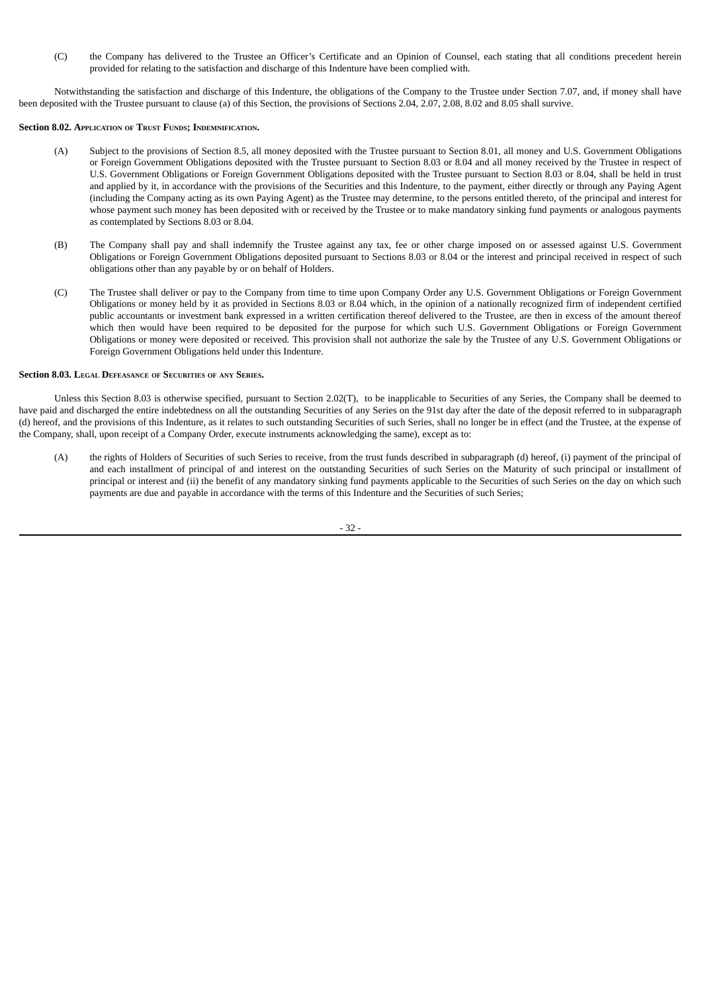(C) the Company has delivered to the Trustee an Officer's Certificate and an Opinion of Counsel, each stating that all conditions precedent herein provided for relating to the satisfaction and discharge of this Indenture have been complied with.

Notwithstanding the satisfaction and discharge of this Indenture, the obligations of the Company to the Trustee under Section 7.07, and, if money shall have been deposited with the Trustee pursuant to clause (a) of this Section, the provisions of Sections 2.04, 2.07, 2.08, 8.02 and 8.05 shall survive.

### **Section 8.02. APPLICATION OF TRUST FUNDS; INDEMNIFICATION.**

- (A) Subject to the provisions of Section 8.5, all money deposited with the Trustee pursuant to Section 8.01, all money and U.S. Government Obligations or Foreign Government Obligations deposited with the Trustee pursuant to Section 8.03 or 8.04 and all money received by the Trustee in respect of U.S. Government Obligations or Foreign Government Obligations deposited with the Trustee pursuant to Section 8.03 or 8.04, shall be held in trust and applied by it, in accordance with the provisions of the Securities and this Indenture, to the payment, either directly or through any Paying Agent (including the Company acting as its own Paying Agent) as the Trustee may determine, to the persons entitled thereto, of the principal and interest for whose payment such money has been deposited with or received by the Trustee or to make mandatory sinking fund payments or analogous payments as contemplated by Sections 8.03 or 8.04.
- (B) The Company shall pay and shall indemnify the Trustee against any tax, fee or other charge imposed on or assessed against U.S. Government Obligations or Foreign Government Obligations deposited pursuant to Sections 8.03 or 8.04 or the interest and principal received in respect of such obligations other than any payable by or on behalf of Holders.
- (C) The Trustee shall deliver or pay to the Company from time to time upon Company Order any U.S. Government Obligations or Foreign Government Obligations or money held by it as provided in Sections 8.03 or 8.04 which, in the opinion of a nationally recognized firm of independent certified public accountants or investment bank expressed in a written certification thereof delivered to the Trustee, are then in excess of the amount thereof which then would have been required to be deposited for the purpose for which such U.S. Government Obligations or Foreign Government Obligations or money were deposited or received. This provision shall not authorize the sale by the Trustee of any U.S. Government Obligations or Foreign Government Obligations held under this Indenture.

#### **Section 8.03. LEGAL DEFEASANCE OF SECURITIES OF ANY SERIES.**

Unless this Section 8.03 is otherwise specified, pursuant to Section 2.02(T), to be inapplicable to Securities of any Series, the Company shall be deemed to have paid and discharged the entire indebtedness on all the outstanding Securities of any Series on the 91st day after the date of the deposit referred to in subparagraph (d) hereof, and the provisions of this Indenture, as it relates to such outstanding Securities of such Series, shall no longer be in effect (and the Trustee, at the expense of the Company, shall, upon receipt of a Company Order, execute instruments acknowledging the same), except as to:

(A) the rights of Holders of Securities of such Series to receive, from the trust funds described in subparagraph (d) hereof, (i) payment of the principal of and each installment of principal of and interest on the outstanding Securities of such Series on the Maturity of such principal or installment of principal or interest and (ii) the benefit of any mandatory sinking fund payments applicable to the Securities of such Series on the day on which such payments are due and payable in accordance with the terms of this Indenture and the Securities of such Series;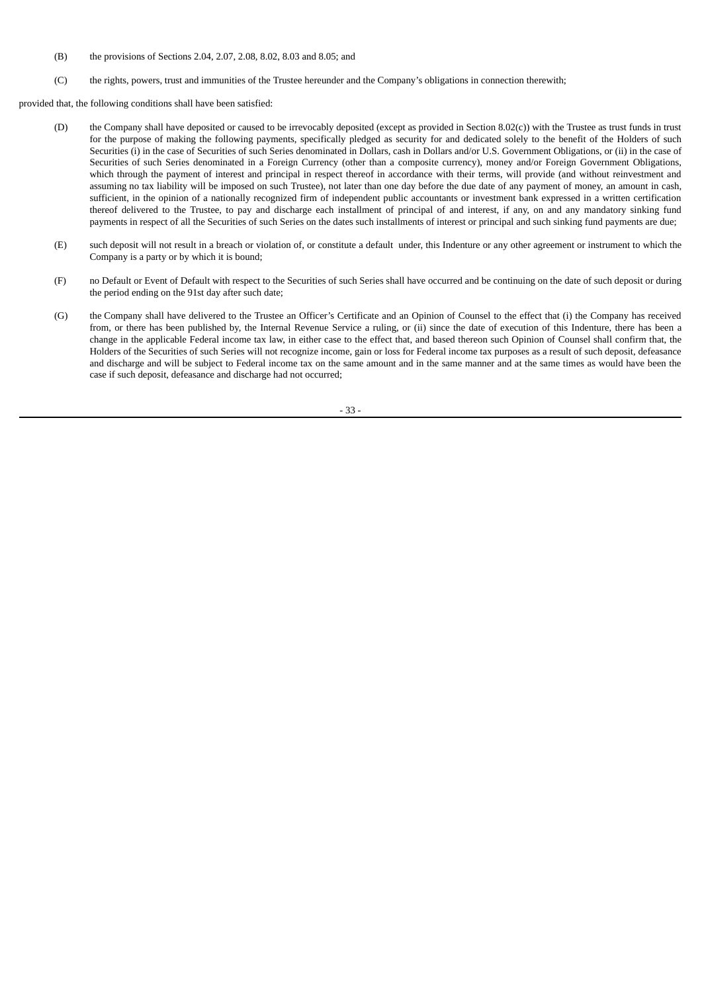- (B) the provisions of Sections 2.04, 2.07, 2.08, 8.02, 8.03 and 8.05; and
- (C) the rights, powers, trust and immunities of the Trustee hereunder and the Company's obligations in connection therewith;

provided that, the following conditions shall have been satisfied:

- (D) the Company shall have deposited or caused to be irrevocably deposited (except as provided in Section 8.02(c)) with the Trustee as trust funds in trust for the purpose of making the following payments, specifically pledged as security for and dedicated solely to the benefit of the Holders of such Securities (i) in the case of Securities of such Series denominated in Dollars, cash in Dollars and/or U.S. Government Obligations, or (ii) in the case of Securities of such Series denominated in a Foreign Currency (other than a composite currency), money and/or Foreign Government Obligations, which through the payment of interest and principal in respect thereof in accordance with their terms, will provide (and without reinvestment and assuming no tax liability will be imposed on such Trustee), not later than one day before the due date of any payment of money, an amount in cash, sufficient, in the opinion of a nationally recognized firm of independent public accountants or investment bank expressed in a written certification thereof delivered to the Trustee, to pay and discharge each installment of principal of and interest, if any, on and any mandatory sinking fund payments in respect of all the Securities of such Series on the dates such installments of interest or principal and such sinking fund payments are due;
- (E) such deposit will not result in a breach or violation of, or constitute a default under, this Indenture or any other agreement or instrument to which the Company is a party or by which it is bound;
- (F) no Default or Event of Default with respect to the Securities of such Series shall have occurred and be continuing on the date of such deposit or during the period ending on the 91st day after such date;
- (G) the Company shall have delivered to the Trustee an Officer's Certificate and an Opinion of Counsel to the effect that (i) the Company has received from, or there has been published by, the Internal Revenue Service a ruling, or (ii) since the date of execution of this Indenture, there has been a change in the applicable Federal income tax law, in either case to the effect that, and based thereon such Opinion of Counsel shall confirm that, the Holders of the Securities of such Series will not recognize income, gain or loss for Federal income tax purposes as a result of such deposit, defeasance and discharge and will be subject to Federal income tax on the same amount and in the same manner and at the same times as would have been the case if such deposit, defeasance and discharge had not occurred;

- 33 -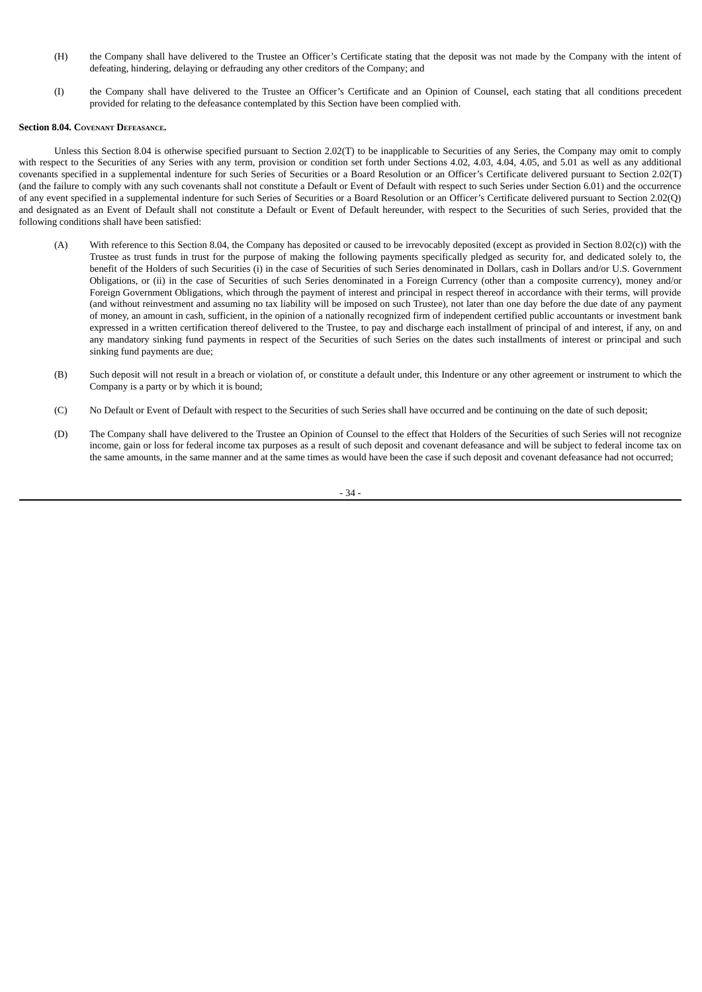- (H) the Company shall have delivered to the Trustee an Officer's Certificate stating that the deposit was not made by the Company with the intent of defeating, hindering, delaying or defrauding any other creditors of the Company; and
- (I) the Company shall have delivered to the Trustee an Officer's Certificate and an Opinion of Counsel, each stating that all conditions precedent provided for relating to the defeasance contemplated by this Section have been complied with.

### **Section 8.04. COVENANT DEFEASANCE.**

Unless this Section 8.04 is otherwise specified pursuant to Section 2.02(T) to be inapplicable to Securities of any Series, the Company may omit to comply with respect to the Securities of any Series with any term, provision or condition set forth under Sections 4.02, 4.03, 4.04, 4.05, and 5.01 as well as any additional covenants specified in a supplemental indenture for such Series of Securities or a Board Resolution or an Officer's Certificate delivered pursuant to Section 2.02(T) (and the failure to comply with any such covenants shall not constitute a Default or Event of Default with respect to such Series under Section 6.01) and the occurrence of any event specified in a supplemental indenture for such Series of Securities or a Board Resolution or an Officer's Certificate delivered pursuant to Section 2.02(Q) and designated as an Event of Default shall not constitute a Default or Event of Default hereunder, with respect to the Securities of such Series, provided that the following conditions shall have been satisfied:

- (A) With reference to this Section 8.04, the Company has deposited or caused to be irrevocably deposited (except as provided in Section 8.02(c)) with the Trustee as trust funds in trust for the purpose of making the following payments specifically pledged as security for, and dedicated solely to, the benefit of the Holders of such Securities (i) in the case of Securities of such Series denominated in Dollars, cash in Dollars and/or U.S. Government Obligations, or (ii) in the case of Securities of such Series denominated in a Foreign Currency (other than a composite currency), money and/or Foreign Government Obligations, which through the payment of interest and principal in respect thereof in accordance with their terms, will provide (and without reinvestment and assuming no tax liability will be imposed on such Trustee), not later than one day before the due date of any payment of money, an amount in cash, sufficient, in the opinion of a nationally recognized firm of independent certified public accountants or investment bank expressed in a written certification thereof delivered to the Trustee, to pay and discharge each installment of principal of and interest, if any, on and any mandatory sinking fund payments in respect of the Securities of such Series on the dates such installments of interest or principal and such sinking fund payments are due;
- (B) Such deposit will not result in a breach or violation of, or constitute a default under, this Indenture or any other agreement or instrument to which the Company is a party or by which it is bound;
- (C) No Default or Event of Default with respect to the Securities of such Series shall have occurred and be continuing on the date of such deposit;
- (D) The Company shall have delivered to the Trustee an Opinion of Counsel to the effect that Holders of the Securities of such Series will not recognize income, gain or loss for federal income tax purposes as a result of such deposit and covenant defeasance and will be subject to federal income tax on the same amounts, in the same manner and at the same times as would have been the case if such deposit and covenant defeasance had not occurred;

- 34 -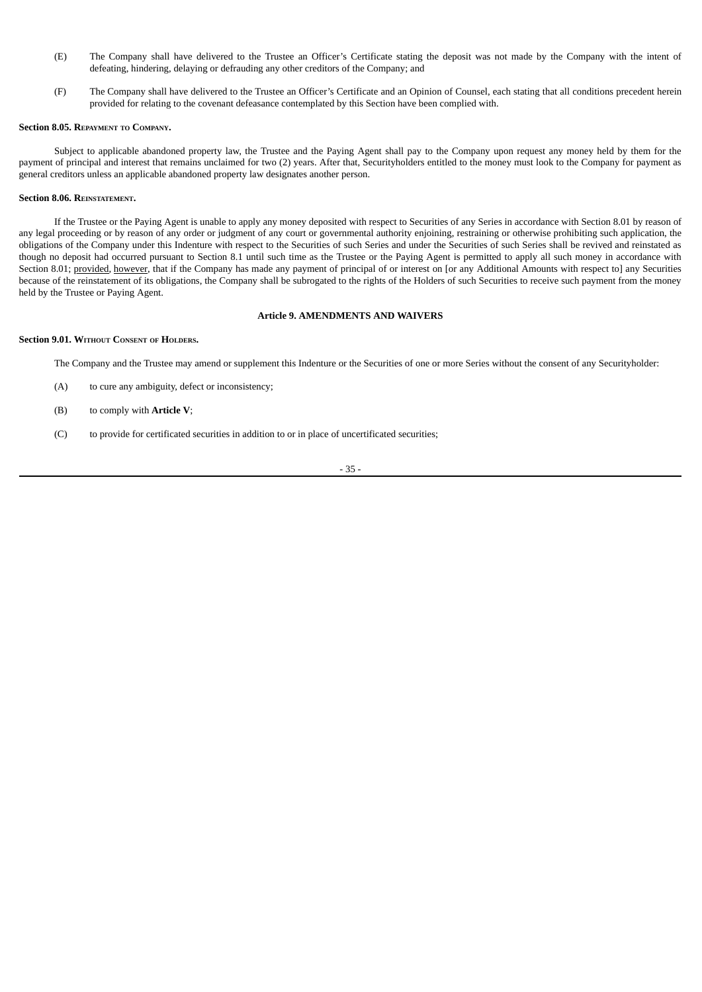- (E) The Company shall have delivered to the Trustee an Officer's Certificate stating the deposit was not made by the Company with the intent of defeating, hindering, delaying or defrauding any other creditors of the Company; and
- (F) The Company shall have delivered to the Trustee an Officer's Certificate and an Opinion of Counsel, each stating that all conditions precedent herein provided for relating to the covenant defeasance contemplated by this Section have been complied with.

## **Section 8.05. REPAYMENT TO COMPANY.**

Subject to applicable abandoned property law, the Trustee and the Paying Agent shall pay to the Company upon request any money held by them for the payment of principal and interest that remains unclaimed for two (2) years. After that, Securityholders entitled to the money must look to the Company for payment as general creditors unless an applicable abandoned property law designates another person.

## **Section 8.06. REINSTATEMENT.**

If the Trustee or the Paying Agent is unable to apply any money deposited with respect to Securities of any Series in accordance with Section 8.01 by reason of any legal proceeding or by reason of any order or judgment of any court or governmental authority enjoining, restraining or otherwise prohibiting such application, the obligations of the Company under this Indenture with respect to the Securities of such Series and under the Securities of such Series shall be revived and reinstated as though no deposit had occurred pursuant to Section 8.1 until such time as the Trustee or the Paying Agent is permitted to apply all such money in accordance with Section 8.01; provided, however, that if the Company has made any payment of principal of or interest on [or any Additional Amounts with respect to] any Securities because of the reinstatement of its obligations, the Company shall be subrogated to the rights of the Holders of such Securities to receive such payment from the money held by the Trustee or Paying Agent.

# **Article 9. AMENDMENTS AND WAIVERS**

## **Section 9.01. WITHOUT CONSENT OF HOLDERS.**

The Company and the Trustee may amend or supplement this Indenture or the Securities of one or more Series without the consent of any Securityholder:

- (A) to cure any ambiguity, defect or inconsistency;
- (B) to comply with **Article V**;
- (C) to provide for certificated securities in addition to or in place of uncertificated securities;

$$
-35
$$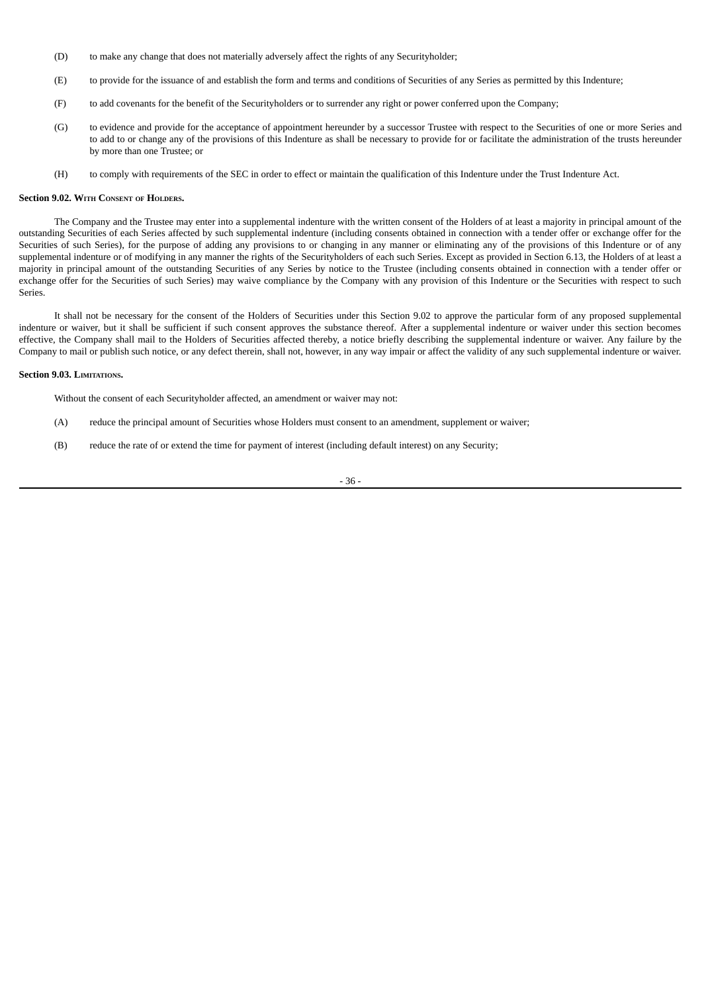- (D) to make any change that does not materially adversely affect the rights of any Securityholder;
- (E) to provide for the issuance of and establish the form and terms and conditions of Securities of any Series as permitted by this Indenture;
- (F) to add covenants for the benefit of the Securityholders or to surrender any right or power conferred upon the Company;
- (G) to evidence and provide for the acceptance of appointment hereunder by a successor Trustee with respect to the Securities of one or more Series and to add to or change any of the provisions of this Indenture as shall be necessary to provide for or facilitate the administration of the trusts hereunder by more than one Trustee; or
- (H) to comply with requirements of the SEC in order to effect or maintain the qualification of this Indenture under the Trust Indenture Act.

#### **Section 9.02. WITH CONSENT OF HOLDERS.**

The Company and the Trustee may enter into a supplemental indenture with the written consent of the Holders of at least a majority in principal amount of the outstanding Securities of each Series affected by such supplemental indenture (including consents obtained in connection with a tender offer or exchange offer for the Securities of such Series), for the purpose of adding any provisions to or changing in any manner or eliminating any of the provisions of this Indenture or of any supplemental indenture or of modifying in any manner the rights of the Securityholders of each such Series. Except as provided in Section 6.13, the Holders of at least a majority in principal amount of the outstanding Securities of any Series by notice to the Trustee (including consents obtained in connection with a tender offer or exchange offer for the Securities of such Series) may waive compliance by the Company with any provision of this Indenture or the Securities with respect to such Series.

It shall not be necessary for the consent of the Holders of Securities under this Section 9.02 to approve the particular form of any proposed supplemental indenture or waiver, but it shall be sufficient if such consent approves the substance thereof. After a supplemental indenture or waiver under this section becomes effective, the Company shall mail to the Holders of Securities affected thereby, a notice briefly describing the supplemental indenture or waiver. Any failure by the Company to mail or publish such notice, or any defect therein, shall not, however, in any way impair or affect the validity of any such supplemental indenture or waiver.

# **Section 9.03. LIMITATIONS.**

Without the consent of each Securityholder affected, an amendment or waiver may not:

- (A) reduce the principal amount of Securities whose Holders must consent to an amendment, supplement or waiver;
- (B) reduce the rate of or extend the time for payment of interest (including default interest) on any Security;

#### - 36 -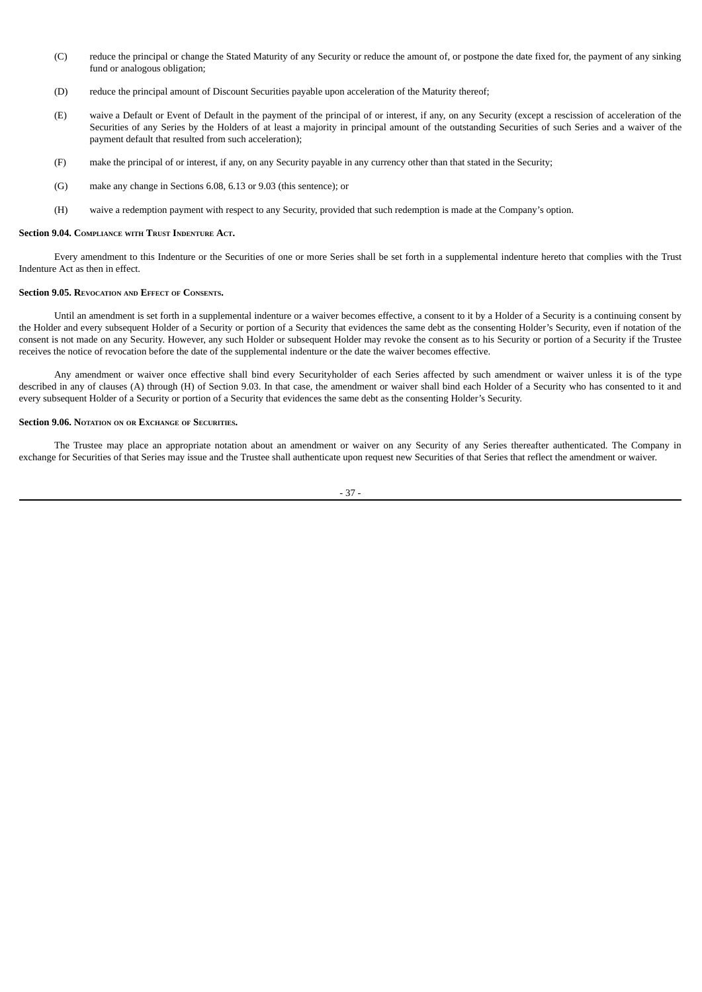- (C) reduce the principal or change the Stated Maturity of any Security or reduce the amount of, or postpone the date fixed for, the payment of any sinking fund or analogous obligation;
- (D) reduce the principal amount of Discount Securities payable upon acceleration of the Maturity thereof;
- (E) waive a Default or Event of Default in the payment of the principal of or interest, if any, on any Security (except a rescission of acceleration of the Securities of any Series by the Holders of at least a majority in principal amount of the outstanding Securities of such Series and a waiver of the payment default that resulted from such acceleration);
- (F) make the principal of or interest, if any, on any Security payable in any currency other than that stated in the Security;
- (G) make any change in Sections 6.08, 6.13 or 9.03 (this sentence); or
- (H) waive a redemption payment with respect to any Security, provided that such redemption is made at the Company's option.

#### **Section 9.04. COMPLIANCE WITH TRUST INDENTURE ACT.**

Every amendment to this Indenture or the Securities of one or more Series shall be set forth in a supplemental indenture hereto that complies with the Trust Indenture Act as then in effect.

# **Section 9.05. REVOCATION AND EFFECT OF CONSENTS.**

Until an amendment is set forth in a supplemental indenture or a waiver becomes effective, a consent to it by a Holder of a Security is a continuing consent by the Holder and every subsequent Holder of a Security or portion of a Security that evidences the same debt as the consenting Holder's Security, even if notation of the consent is not made on any Security. However, any such Holder or subsequent Holder may revoke the consent as to his Security or portion of a Security if the Trustee receives the notice of revocation before the date of the supplemental indenture or the date the waiver becomes effective.

Any amendment or waiver once effective shall bind every Securityholder of each Series affected by such amendment or waiver unless it is of the type described in any of clauses (A) through (H) of Section 9.03. In that case, the amendment or waiver shall bind each Holder of a Security who has consented to it and every subsequent Holder of a Security or portion of a Security that evidences the same debt as the consenting Holder's Security.

## **Section 9.06. NOTATION ON OR EXCHANGE OF SECURITIES.**

The Trustee may place an appropriate notation about an amendment or waiver on any Security of any Series thereafter authenticated. The Company in exchange for Securities of that Series may issue and the Trustee shall authenticate upon request new Securities of that Series that reflect the amendment or waiver.

- 37 -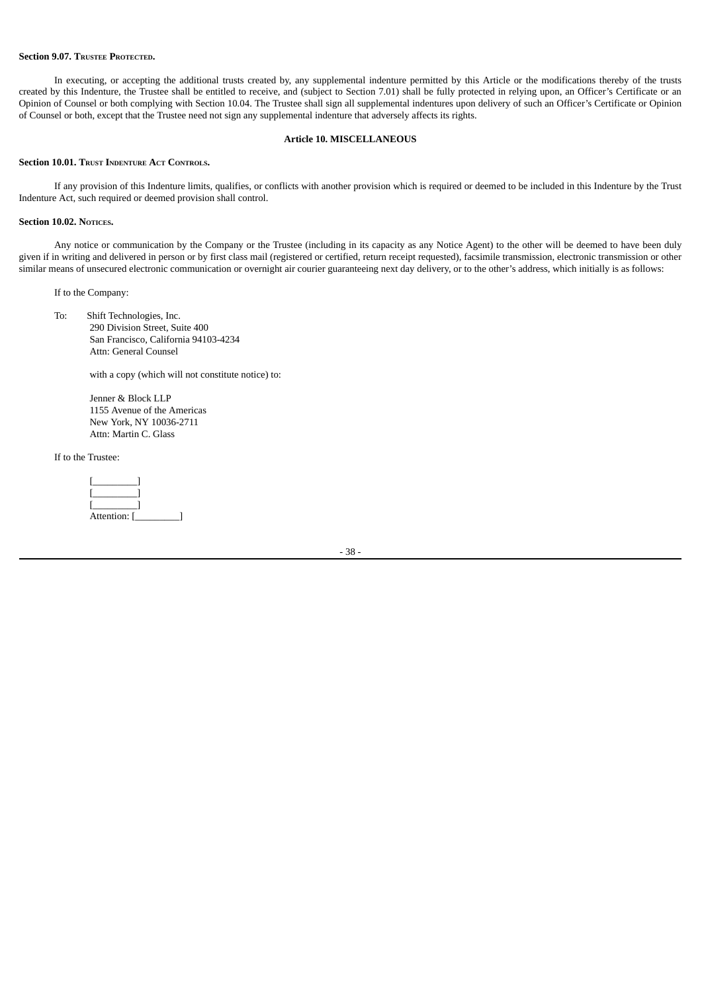# **Section 9.07. TRUSTEE PROTECTED.**

In executing, or accepting the additional trusts created by, any supplemental indenture permitted by this Article or the modifications thereby of the trusts created by this Indenture, the Trustee shall be entitled to receive, and (subject to Section 7.01) shall be fully protected in relying upon, an Officer's Certificate or an Opinion of Counsel or both complying with Section 10.04. The Trustee shall sign all supplemental indentures upon delivery of such an Officer's Certificate or Opinion of Counsel or both, except that the Trustee need not sign any supplemental indenture that adversely affects its rights.

## **Article 10. MISCELLANEOUS**

# **Section 10.01. TRUST INDENTURE ACT CONTROLS.**

If any provision of this Indenture limits, qualifies, or conflicts with another provision which is required or deemed to be included in this Indenture by the Trust Indenture Act, such required or deemed provision shall control.

## **Section 10.02. NOTICES.**

Any notice or communication by the Company or the Trustee (including in its capacity as any Notice Agent) to the other will be deemed to have been duly given if in writing and delivered in person or by first class mail (registered or certified, return receipt requested), facsimile transmission, electronic transmission or other similar means of unsecured electronic communication or overnight air courier guaranteeing next day delivery, or to the other's address, which initially is as follows:

If to the Company:

To: Shift Technologies, Inc. 290 Division Street, Suite 400 San Francisco, California 94103-4234 Attn: General Counsel

with a copy (which will not constitute notice) to:

Jenner & Block LLP 1155 Avenue of the Americas New York, NY 10036-2711 Attn: Martin C. Glass

If to the Trustee:



- 38 -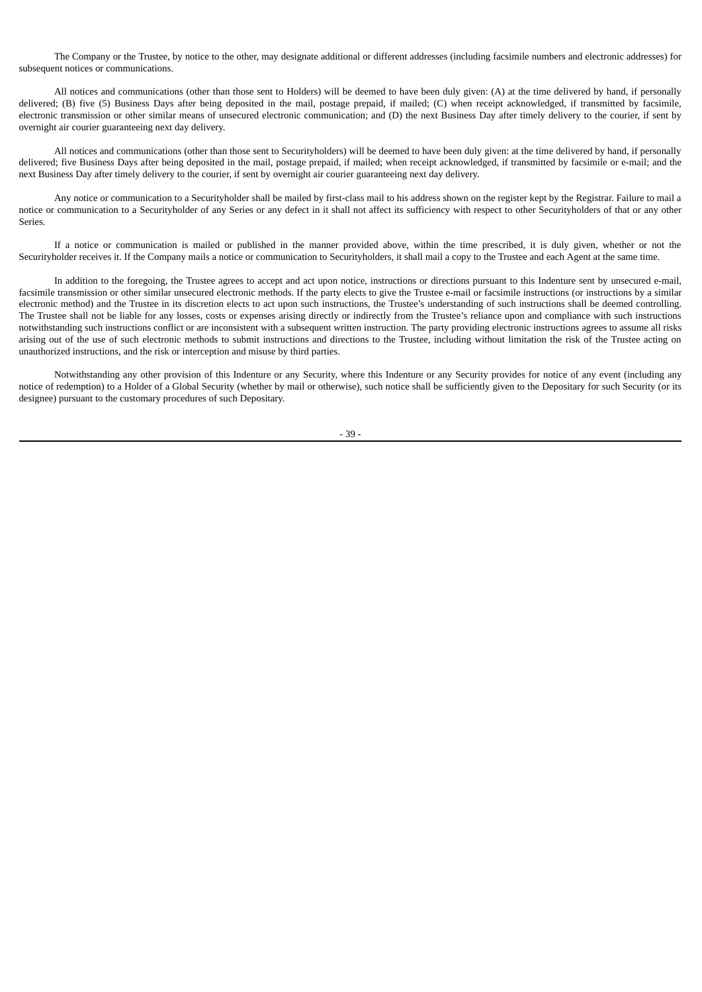The Company or the Trustee, by notice to the other, may designate additional or different addresses (including facsimile numbers and electronic addresses) for subsequent notices or communications.

All notices and communications (other than those sent to Holders) will be deemed to have been duly given: (A) at the time delivered by hand, if personally delivered; (B) five (5) Business Days after being deposited in the mail, postage prepaid, if mailed; (C) when receipt acknowledged, if transmitted by facsimile, electronic transmission or other similar means of unsecured electronic communication; and (D) the next Business Day after timely delivery to the courier, if sent by overnight air courier guaranteeing next day delivery.

All notices and communications (other than those sent to Securityholders) will be deemed to have been duly given: at the time delivered by hand, if personally delivered; five Business Days after being deposited in the mail, postage prepaid, if mailed; when receipt acknowledged, if transmitted by facsimile or e-mail; and the next Business Day after timely delivery to the courier, if sent by overnight air courier guaranteeing next day delivery.

Any notice or communication to a Securityholder shall be mailed by first-class mail to his address shown on the register kept by the Registrar. Failure to mail a notice or communication to a Securityholder of any Series or any defect in it shall not affect its sufficiency with respect to other Securityholders of that or any other Series.

If a notice or communication is mailed or published in the manner provided above, within the time prescribed, it is duly given, whether or not the Securityholder receives it. If the Company mails a notice or communication to Securityholders, it shall mail a copy to the Trustee and each Agent at the same time.

In addition to the foregoing, the Trustee agrees to accept and act upon notice, instructions or directions pursuant to this Indenture sent by unsecured e-mail, facsimile transmission or other similar unsecured electronic methods. If the party elects to give the Trustee e-mail or facsimile instructions (or instructions by a similar electronic method) and the Trustee in its discretion elects to act upon such instructions, the Trustee's understanding of such instructions shall be deemed controlling. The Trustee shall not be liable for any losses, costs or expenses arising directly or indirectly from the Trustee's reliance upon and compliance with such instructions notwithstanding such instructions conflict or are inconsistent with a subsequent written instruction. The party providing electronic instructions agrees to assume all risks arising out of the use of such electronic methods to submit instructions and directions to the Trustee, including without limitation the risk of the Trustee acting on unauthorized instructions, and the risk or interception and misuse by third parties.

Notwithstanding any other provision of this Indenture or any Security, where this Indenture or any Security provides for notice of any event (including any notice of redemption) to a Holder of a Global Security (whether by mail or otherwise), such notice shall be sufficiently given to the Depositary for such Security (or its designee) pursuant to the customary procedures of such Depositary.

- 39 -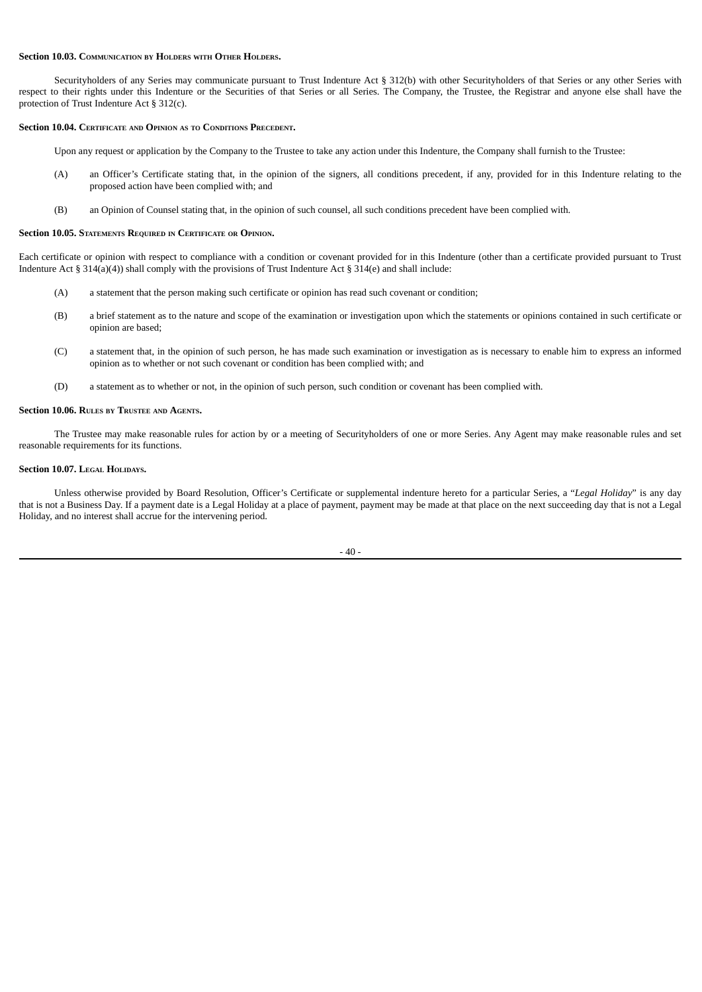# **Section 10.03. COMMUNICATION BY HOLDERS WITH OTHER HOLDERS.**

Securityholders of any Series may communicate pursuant to Trust Indenture Act § 312(b) with other Securityholders of that Series or any other Series with respect to their rights under this Indenture or the Securities of that Series or all Series. The Company, the Trustee, the Registrar and anyone else shall have the protection of Trust Indenture Act § 312(c).

#### **Section 10.04. CERTIFICATE AND OPINION AS TO CONDITIONS PRECEDENT.**

Upon any request or application by the Company to the Trustee to take any action under this Indenture, the Company shall furnish to the Trustee:

- (A) an Officer's Certificate stating that, in the opinion of the signers, all conditions precedent, if any, provided for in this Indenture relating to the proposed action have been complied with; and
- (B) an Opinion of Counsel stating that, in the opinion of such counsel, all such conditions precedent have been complied with.

# **Section 10.05. STATEMENTS REQUIRED IN CERTIFICATE OR OPINION.**

Each certificate or opinion with respect to compliance with a condition or covenant provided for in this Indenture (other than a certificate provided pursuant to Trust Indenture Act § 314(a)(4)) shall comply with the provisions of Trust Indenture Act § 314(e) and shall include:

- (A) a statement that the person making such certificate or opinion has read such covenant or condition;
- (B) a brief statement as to the nature and scope of the examination or investigation upon which the statements or opinions contained in such certificate or opinion are based;
- (C) a statement that, in the opinion of such person, he has made such examination or investigation as is necessary to enable him to express an informed opinion as to whether or not such covenant or condition has been complied with; and
- (D) a statement as to whether or not, in the opinion of such person, such condition or covenant has been complied with.

#### **Section 10.06. RULES BY TRUSTEE AND AGENTS.**

The Trustee may make reasonable rules for action by or a meeting of Securityholders of one or more Series. Any Agent may make reasonable rules and set reasonable requirements for its functions.

# **Section 10.07. LEGAL HOLIDAYS.**

Unless otherwise provided by Board Resolution, Officer's Certificate or supplemental indenture hereto for a particular Series, a "*Legal Holiday*" is any day that is not a Business Day. If a payment date is a Legal Holiday at a place of payment, payment may be made at that place on the next succeeding day that is not a Legal Holiday, and no interest shall accrue for the intervening period.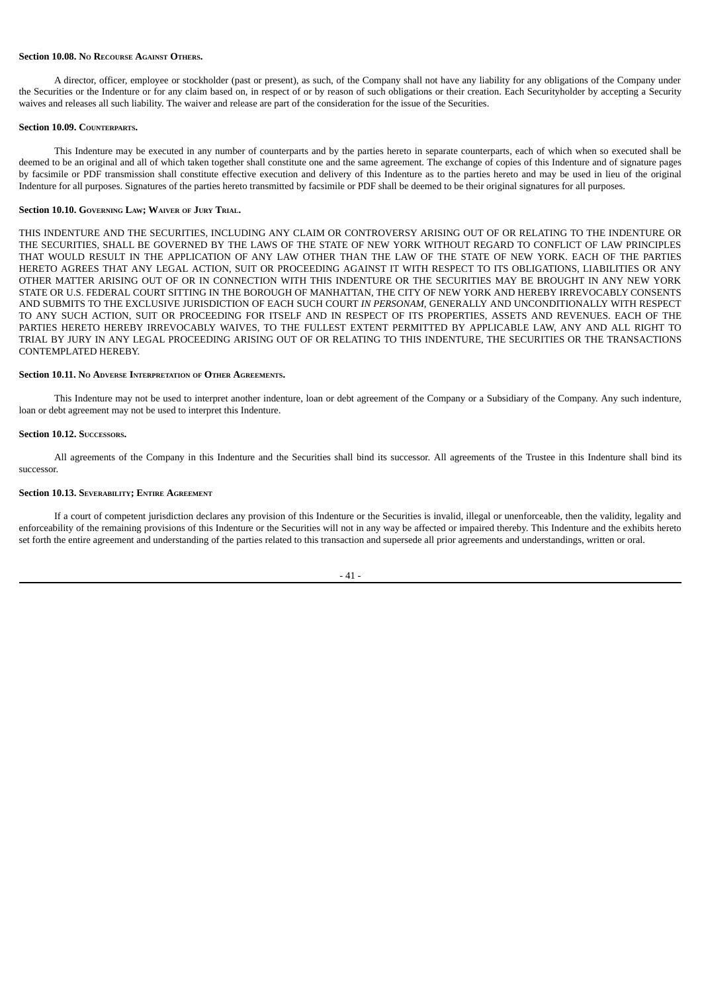## **Section 10.08. N<sup>O</sup> RECOURSE AGAINST OTHERS.**

A director, officer, employee or stockholder (past or present), as such, of the Company shall not have any liability for any obligations of the Company under the Securities or the Indenture or for any claim based on, in respect of or by reason of such obligations or their creation. Each Securityholder by accepting a Security waives and releases all such liability. The waiver and release are part of the consideration for the issue of the Securities.

#### **Section 10.09. COUNTERPARTS.**

This Indenture may be executed in any number of counterparts and by the parties hereto in separate counterparts, each of which when so executed shall be deemed to be an original and all of which taken together shall constitute one and the same agreement. The exchange of copies of this Indenture and of signature pages by facsimile or PDF transmission shall constitute effective execution and delivery of this Indenture as to the parties hereto and may be used in lieu of the original Indenture for all purposes. Signatures of the parties hereto transmitted by facsimile or PDF shall be deemed to be their original signatures for all purposes.

#### **Section 10.10. GOVERNING LAW; WAIVER OF JURY TRIAL.**

THIS INDENTURE AND THE SECURITIES, INCLUDING ANY CLAIM OR CONTROVERSY ARISING OUT OF OR RELATING TO THE INDENTURE OR THE SECURITIES, SHALL BE GOVERNED BY THE LAWS OF THE STATE OF NEW YORK WITHOUT REGARD TO CONFLICT OF LAW PRINCIPLES THAT WOULD RESULT IN THE APPLICATION OF ANY LAW OTHER THAN THE LAW OF THE STATE OF NEW YORK. EACH OF THE PARTIES HERETO AGREES THAT ANY LEGAL ACTION, SUIT OR PROCEEDING AGAINST IT WITH RESPECT TO ITS OBLIGATIONS, LIABILITIES OR ANY OTHER MATTER ARISING OUT OF OR IN CONNECTION WITH THIS INDENTURE OR THE SECURITIES MAY BE BROUGHT IN ANY NEW YORK STATE OR U.S. FEDERAL COURT SITTING IN THE BOROUGH OF MANHATTAN, THE CITY OF NEW YORK AND HEREBY IRREVOCABLY CONSENTS AND SUBMITS TO THE EXCLUSIVE JURISDICTION OF EACH SUCH COURT *IN PERSONAM*, GENERALLY AND UNCONDITIONALLY WITH RESPECT TO ANY SUCH ACTION, SUIT OR PROCEEDING FOR ITSELF AND IN RESPECT OF ITS PROPERTIES, ASSETS AND REVENUES. EACH OF THE PARTIES HERETO HEREBY IRREVOCABLY WAIVES, TO THE FULLEST EXTENT PERMITTED BY APPLICABLE LAW, ANY AND ALL RIGHT TO TRIAL BY JURY IN ANY LEGAL PROCEEDING ARISING OUT OF OR RELATING TO THIS INDENTURE, THE SECURITIES OR THE TRANSACTIONS CONTEMPLATED HEREBY.

#### **Section 10.11. N<sup>O</sup> ADVERSE INTERPRETATION OF OTHER AGREEMENTS.**

This Indenture may not be used to interpret another indenture, loan or debt agreement of the Company or a Subsidiary of the Company. Any such indenture, loan or debt agreement may not be used to interpret this Indenture.

# **Section 10.12. SUCCESSORS.**

All agreements of the Company in this Indenture and the Securities shall bind its successor. All agreements of the Trustee in this Indenture shall bind its successor.

#### **Section 10.13. SEVERABILITY; ENTIRE AGREEMENT**

If a court of competent jurisdiction declares any provision of this Indenture or the Securities is invalid, illegal or unenforceable, then the validity, legality and enforceability of the remaining provisions of this Indenture or the Securities will not in any way be affected or impaired thereby. This Indenture and the exhibits hereto set forth the entire agreement and understanding of the parties related to this transaction and supersede all prior agreements and understandings, written or oral.

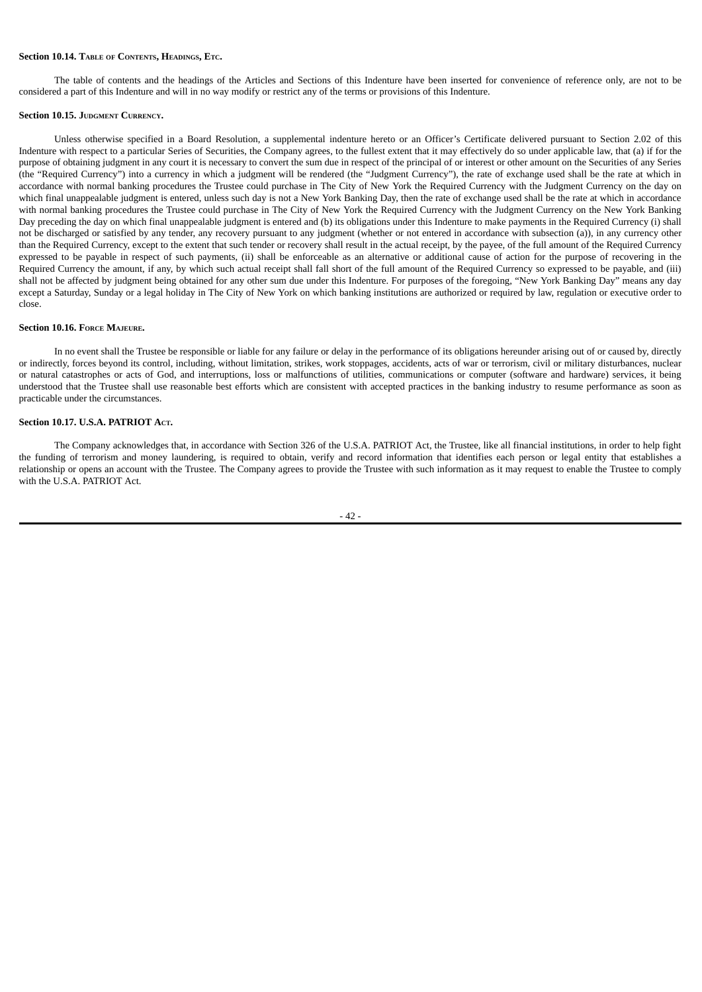# **Section 10.14. TABLE OF CONTENTS, HEADINGS, ETC.**

The table of contents and the headings of the Articles and Sections of this Indenture have been inserted for convenience of reference only, are not to be considered a part of this Indenture and will in no way modify or restrict any of the terms or provisions of this Indenture.

#### **Section 10.15. JUDGMENT CURRENCY.**

Unless otherwise specified in a Board Resolution, a supplemental indenture hereto or an Officer's Certificate delivered pursuant to Section 2.02 of this Indenture with respect to a particular Series of Securities, the Company agrees, to the fullest extent that it may effectively do so under applicable law, that (a) if for the purpose of obtaining judgment in any court it is necessary to convert the sum due in respect of the principal of or interest or other amount on the Securities of any Series (the "Required Currency") into a currency in which a judgment will be rendered (the "Judgment Currency"), the rate of exchange used shall be the rate at which in accordance with normal banking procedures the Trustee could purchase in The City of New York the Required Currency with the Judgment Currency on the day on which final unappealable judgment is entered, unless such day is not a New York Banking Day, then the rate of exchange used shall be the rate at which in accordance with normal banking procedures the Trustee could purchase in The City of New York the Required Currency with the Judgment Currency on the New York Banking Day preceding the day on which final unappealable judgment is entered and (b) its obligations under this Indenture to make payments in the Required Currency (i) shall not be discharged or satisfied by any tender, any recovery pursuant to any judgment (whether or not entered in accordance with subsection (a)), in any currency other than the Required Currency, except to the extent that such tender or recovery shall result in the actual receipt, by the payee, of the full amount of the Required Currency expressed to be payable in respect of such payments, (ii) shall be enforceable as an alternative or additional cause of action for the purpose of recovering in the Required Currency the amount, if any, by which such actual receipt shall fall short of the full amount of the Required Currency so expressed to be payable, and (iii) shall not be affected by judgment being obtained for any other sum due under this Indenture. For purposes of the foregoing, "New York Banking Day" means any day except a Saturday, Sunday or a legal holiday in The City of New York on which banking institutions are authorized or required by law, regulation or executive order to close.

# **Section 10.16. FORCE MAJEURE.**

In no event shall the Trustee be responsible or liable for any failure or delay in the performance of its obligations hereunder arising out of or caused by, directly or indirectly, forces beyond its control, including, without limitation, strikes, work stoppages, accidents, acts of war or terrorism, civil or military disturbances, nuclear or natural catastrophes or acts of God, and interruptions, loss or malfunctions of utilities, communications or computer (software and hardware) services, it being understood that the Trustee shall use reasonable best efforts which are consistent with accepted practices in the banking industry to resume performance as soon as practicable under the circumstances.

#### **Section 10.17. U.S.A. PATRIOT ACT.**

The Company acknowledges that, in accordance with Section 326 of the U.S.A. PATRIOT Act, the Trustee, like all financial institutions, in order to help fight the funding of terrorism and money laundering, is required to obtain, verify and record information that identifies each person or legal entity that establishes a relationship or opens an account with the Trustee. The Company agrees to provide the Trustee with such information as it may request to enable the Trustee to comply with the U.S.A. PATRIOT Act.

$$
-42
$$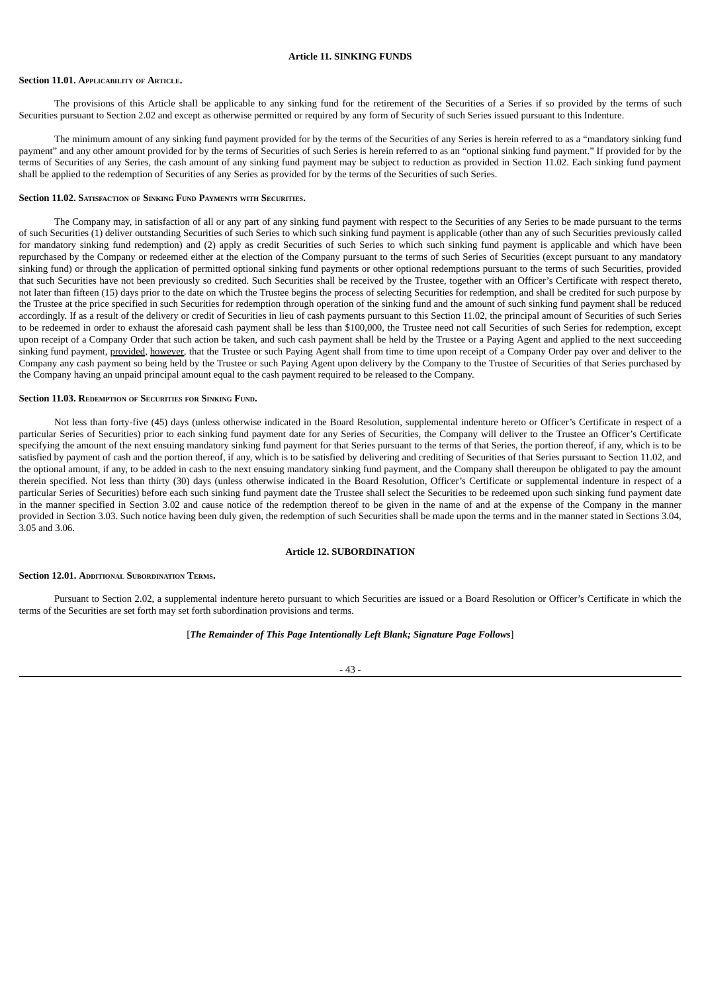# **Article 11. SINKING FUNDS**

#### **Section 11.01. APPLICABILITY OF ARTICLE.**

The provisions of this Article shall be applicable to any sinking fund for the retirement of the Securities of a Series if so provided by the terms of such Securities pursuant to Section 2.02 and except as otherwise permitted or required by any form of Security of such Series issued pursuant to this Indenture.

The minimum amount of any sinking fund payment provided for by the terms of the Securities of any Series is herein referred to as a "mandatory sinking fund payment" and any other amount provided for by the terms of Securities of such Series is herein referred to as an "optional sinking fund payment." If provided for by the terms of Securities of any Series, the cash amount of any sinking fund payment may be subject to reduction as provided in Section 11.02. Each sinking fund payment shall be applied to the redemption of Securities of any Series as provided for by the terms of the Securities of such Series.

# **Section 11.02. SATISFACTION OF SINKING FUND PAYMENTS WITH SECURITIES.**

The Company may, in satisfaction of all or any part of any sinking fund payment with respect to the Securities of any Series to be made pursuant to the terms of such Securities (1) deliver outstanding Securities of such Series to which such sinking fund payment is applicable (other than any of such Securities previously called for mandatory sinking fund redemption) and (2) apply as credit Securities of such Series to which such sinking fund payment is applicable and which have been repurchased by the Company or redeemed either at the election of the Company pursuant to the terms of such Series of Securities (except pursuant to any mandatory sinking fund) or through the application of permitted optional sinking fund payments or other optional redemptions pursuant to the terms of such Securities, provided that such Securities have not been previously so credited. Such Securities shall be received by the Trustee, together with an Officer's Certificate with respect thereto, not later than fifteen (15) days prior to the date on which the Trustee begins the process of selecting Securities for redemption, and shall be credited for such purpose by the Trustee at the price specified in such Securities for redemption through operation of the sinking fund and the amount of such sinking fund payment shall be reduced accordingly. If as a result of the delivery or credit of Securities in lieu of cash payments pursuant to this Section 11.02, the principal amount of Securities of such Series to be redeemed in order to exhaust the aforesaid cash payment shall be less than \$100,000, the Trustee need not call Securities of such Series for redemption, except upon receipt of a Company Order that such action be taken, and such cash payment shall be held by the Trustee or a Paying Agent and applied to the next succeeding sinking fund payment, provided, however, that the Trustee or such Paying Agent shall from time to time upon receipt of a Company Order pay over and deliver to the Company any cash payment so being held by the Trustee or such Paying Agent upon delivery by the Company to the Trustee of Securities of that Series purchased by the Company having an unpaid principal amount equal to the cash payment required to be released to the Company.

#### **Section 11.03. REDEMPTION OF SECURITIES FOR SINKING FUND.**

Not less than forty-five (45) days (unless otherwise indicated in the Board Resolution, supplemental indenture hereto or Officer's Certificate in respect of a particular Series of Securities) prior to each sinking fund payment date for any Series of Securities, the Company will deliver to the Trustee an Officer's Certificate specifying the amount of the next ensuing mandatory sinking fund payment for that Series pursuant to the terms of that Series, the portion thereof, if any, which is to be satisfied by payment of cash and the portion thereof, if any, which is to be satisfied by delivering and crediting of Securities of that Series pursuant to Section 11.02, and the optional amount, if any, to be added in cash to the next ensuing mandatory sinking fund payment, and the Company shall thereupon be obligated to pay the amount therein specified. Not less than thirty (30) days (unless otherwise indicated in the Board Resolution, Officer's Certificate or supplemental indenture in respect of a particular Series of Securities) before each such sinking fund payment date the Trustee shall select the Securities to be redeemed upon such sinking fund payment date in the manner specified in Section 3.02 and cause notice of the redemption thereof to be given in the name of and at the expense of the Company in the manner provided in Section 3.03. Such notice having been duly given, the redemption of such Securities shall be made upon the terms and in the manner stated in Sections 3.04, 3.05 and 3.06.

# **Article 12. SUBORDINATION**

# **Section 12.01. ADDITIONAL SUBORDINATION TERMS.**

Pursuant to Section 2.02, a supplemental indenture hereto pursuant to which Securities are issued or a Board Resolution or Officer's Certificate in which the terms of the Securities are set forth may set forth subordination provisions and terms.

#### [*The Remainder of This Page Intentionally Left Blank; Signature Page Follows*]

- 43 -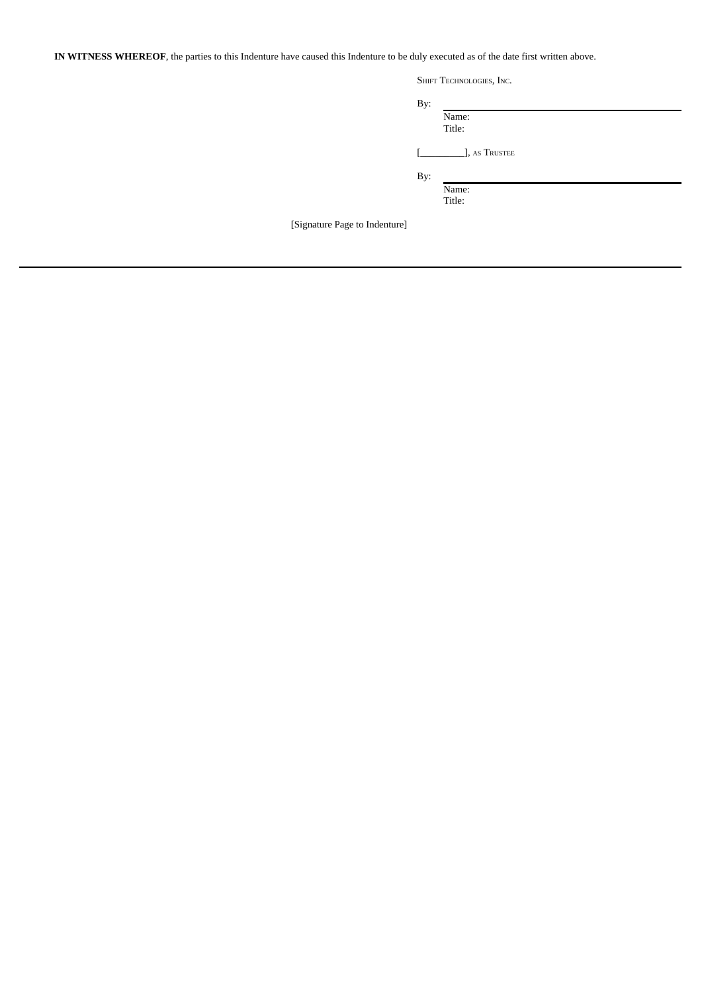**IN WITNESS WHEREOF**, the parties to this Indenture have caused this Indenture to be duly executed as of the date first written above.

SHIFT TECHNOLOGIES, INC.

By:

| Name:  |               |
|--------|---------------|
| Title: |               |
|        |               |
|        | I. AS TRUSTEE |

By:

Name: Title:

[Signature Page to Indenture]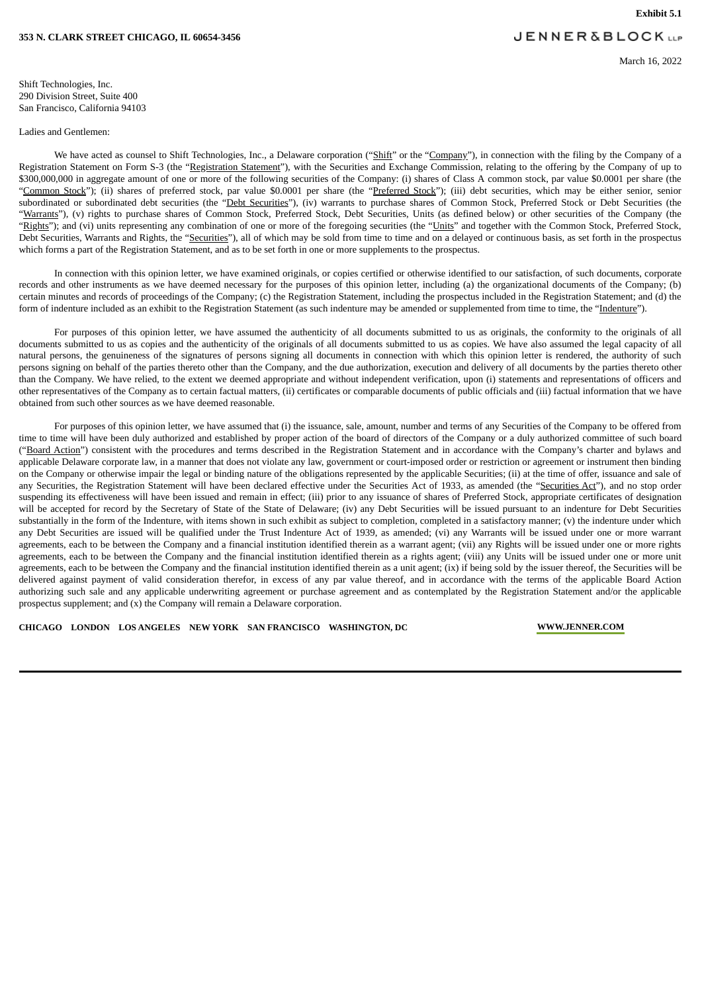# **JENNER&BLOCK**

March 16, 2022

Shift Technologies, Inc. 290 Division Street, Suite 400 San Francisco, California 94103

Ladies and Gentlemen:

We have acted as counsel to Shift Technologies, Inc., a Delaware corporation ("Shift" or the "Company"), in connection with the filing by the Company of a Registration Statement on Form S-3 (the "Registration Statement"), with the Securities and Exchange Commission, relating to the offering by the Company of up to \$300,000,000 in aggregate amount of one or more of the following securities of the Company: (i) shares of Class A common stock, par value \$0.0001 per share (the "Common Stock"); (ii) shares of preferred stock, par value \$0.0001 per share (the "Preferred Stock"); (iii) debt securities, which may be either senior, senior subordinated or subordinated debt securities (the "Debt Securities"), (iv) warrants to purchase shares of Common Stock, Preferred Stock or Debt Securities (the "Warrants"), (v) rights to purchase shares of Common Stock, Preferred Stock, Debt Securities, Units (as defined below) or other securities of the Company (the "Rights"); and (vi) units representing any combination of one or more of the foregoing securities (the "Units" and together with the Common Stock, Preferred Stock, Debt Securities, Warrants and Rights, the "Securities"), all of which may be sold from time to time and on a delayed or continuous basis, as set forth in the prospectus which forms a part of the Registration Statement, and as to be set forth in one or more supplements to the prospectus.

In connection with this opinion letter, we have examined originals, or copies certified or otherwise identified to our satisfaction, of such documents, corporate records and other instruments as we have deemed necessary for the purposes of this opinion letter, including (a) the organizational documents of the Company; (b) certain minutes and records of proceedings of the Company; (c) the Registration Statement, including the prospectus included in the Registration Statement; and (d) the form of indenture included as an exhibit to the Registration Statement (as such indenture may be amended or supplemented from time to time, the "Indenture").

For purposes of this opinion letter, we have assumed the authenticity of all documents submitted to us as originals, the conformity to the originals of all documents submitted to us as copies and the authenticity of the originals of all documents submitted to us as copies. We have also assumed the legal capacity of all natural persons, the genuineness of the signatures of persons signing all documents in connection with which this opinion letter is rendered, the authority of such persons signing on behalf of the parties thereto other than the Company, and the due authorization, execution and delivery of all documents by the parties thereto other than the Company. We have relied, to the extent we deemed appropriate and without independent verification, upon (i) statements and representations of officers and other representatives of the Company as to certain factual matters, (ii) certificates or comparable documents of public officials and (iii) factual information that we have obtained from such other sources as we have deemed reasonable.

For purposes of this opinion letter, we have assumed that (i) the issuance, sale, amount, number and terms of any Securities of the Company to be offered from time to time will have been duly authorized and established by proper action of the board of directors of the Company or a duly authorized committee of such board ("Board Action") consistent with the procedures and terms described in the Registration Statement and in accordance with the Company's charter and bylaws and applicable Delaware corporate law, in a manner that does not violate any law, government or court-imposed order or restriction or agreement or instrument then binding on the Company or otherwise impair the legal or binding nature of the obligations represented by the applicable Securities; (ii) at the time of offer, issuance and sale of any Securities, the Registration Statement will have been declared effective under the Securities Act of 1933, as amended (the "Securities Act"), and no stop order suspending its effectiveness will have been issued and remain in effect; (iii) prior to any issuance of shares of Preferred Stock, appropriate certificates of designation will be accepted for record by the Secretary of State of the State of Delaware; (iv) any Debt Securities will be issued pursuant to an indenture for Debt Securities substantially in the form of the Indenture, with items shown in such exhibit as subject to completion, completed in a satisfactory manner; (v) the indenture under which any Debt Securities are issued will be qualified under the Trust Indenture Act of 1939, as amended; (vi) any Warrants will be issued under one or more warrant agreements, each to be between the Company and a financial institution identified therein as a warrant agent; (vii) any Rights will be issued under one or more rights agreements, each to be between the Company and the financial institution identified therein as a rights agent; (viii) any Units will be issued under one or more unit agreements, each to be between the Company and the financial institution identified therein as a unit agent; (ix) if being sold by the issuer thereof, the Securities will be delivered against payment of valid consideration therefor, in excess of any par value thereof, and in accordance with the terms of the applicable Board Action authorizing such sale and any applicable underwriting agreement or purchase agreement and as contemplated by the Registration Statement and/or the applicable prospectus supplement; and (x) the Company will remain a Delaware corporation.

**CHICAGO LONDON LOS ANGELES NEW YORK SAN FRANCISCO WASHINGTON, DC WWW.JENNER.COM**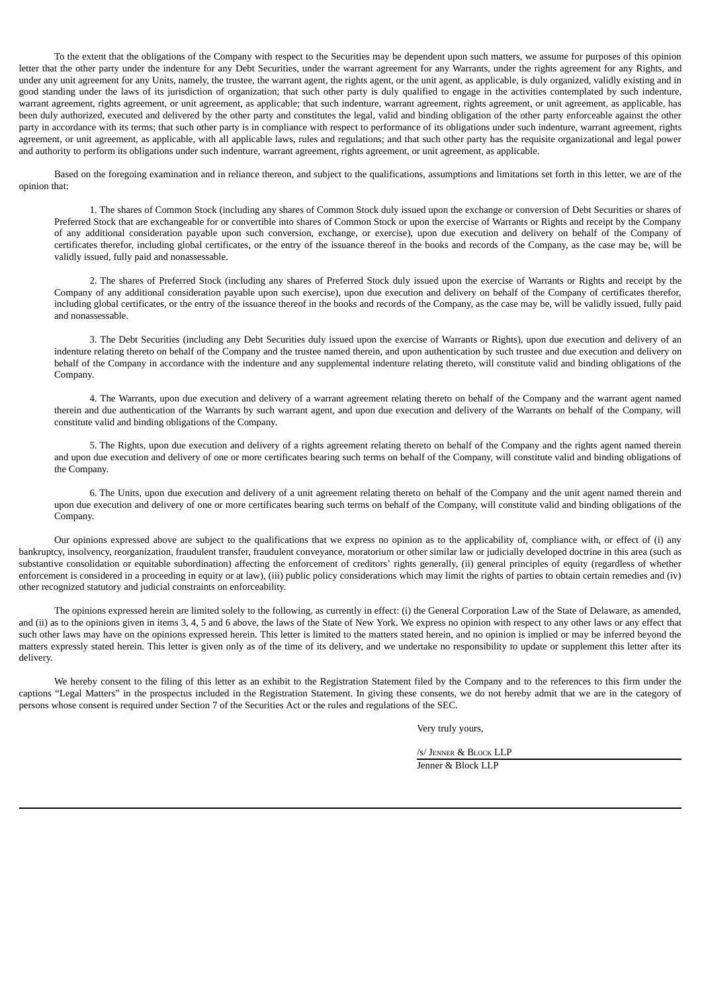To the extent that the obligations of the Company with respect to the Securities may be dependent upon such matters, we assume for purposes of this opinion letter that the other party under the indenture for any Debt Securities, under the warrant agreement for any Warrants, under the rights agreement for any Rights, and under any unit agreement for any Units, namely, the trustee, the warrant agent, the rights agent, or the unit agent, as applicable, is duly organized, validly existing and in good standing under the laws of its jurisdiction of organization; that such other party is duly qualified to engage in the activities contemplated by such indenture, warrant agreement, rights agreement, or unit agreement, as applicable; that such indenture, warrant agreement, rights agreement, or unit agreement, as applicable, has been duly authorized, executed and delivered by the other party and constitutes the legal, valid and binding obligation of the other party enforceable against the other party in accordance with its terms; that such other party is in compliance with respect to performance of its obligations under such indenture, warrant agreement, rights agreement, or unit agreement, as applicable, with all applicable laws, rules and regulations; and that such other party has the requisite organizational and legal power and authority to perform its obligations under such indenture, warrant agreement, rights agreement, or unit agreement, as applicable.

Based on the foregoing examination and in reliance thereon, and subject to the qualifications, assumptions and limitations set forth in this letter, we are of the opinion that:

1. The shares of Common Stock (including any shares of Common Stock duly issued upon the exchange or conversion of Debt Securities or shares of Preferred Stock that are exchangeable for or convertible into shares of Common Stock or upon the exercise of Warrants or Rights and receipt by the Company of any additional consideration payable upon such conversion, exchange, or exercise), upon due execution and delivery on behalf of the Company of certificates therefor, including global certificates, or the entry of the issuance thereof in the books and records of the Company, as the case may be, will be validly issued, fully paid and nonassessable.

2. The shares of Preferred Stock (including any shares of Preferred Stock duly issued upon the exercise of Warrants or Rights and receipt by the Company of any additional consideration payable upon such exercise), upon due execution and delivery on behalf of the Company of certificates therefor, including global certificates, or the entry of the issuance thereof in the books and records of the Company, as the case may be, will be validly issued, fully paid and nonassessable.

3. The Debt Securities (including any Debt Securities duly issued upon the exercise of Warrants or Rights), upon due execution and delivery of an indenture relating thereto on behalf of the Company and the trustee named therein, and upon authentication by such trustee and due execution and delivery on behalf of the Company in accordance with the indenture and any supplemental indenture relating thereto, will constitute valid and binding obligations of the Company.

4. The Warrants, upon due execution and delivery of a warrant agreement relating thereto on behalf of the Company and the warrant agent named therein and due authentication of the Warrants by such warrant agent, and upon due execution and delivery of the Warrants on behalf of the Company, will constitute valid and binding obligations of the Company.

5. The Rights, upon due execution and delivery of a rights agreement relating thereto on behalf of the Company and the rights agent named therein and upon due execution and delivery of one or more certificates bearing such terms on behalf of the Company, will constitute valid and binding obligations of the Company.

6. The Units, upon due execution and delivery of a unit agreement relating thereto on behalf of the Company and the unit agent named therein and upon due execution and delivery of one or more certificates bearing such terms on behalf of the Company, will constitute valid and binding obligations of the Company.

Our opinions expressed above are subject to the qualifications that we express no opinion as to the applicability of, compliance with, or effect of (i) any bankruptcy, insolvency, reorganization, fraudulent transfer, fraudulent conveyance, moratorium or other similar law or judicially developed doctrine in this area (such as substantive consolidation or equitable subordination) affecting the enforcement of creditors' rights generally, (ii) general principles of equity (regardless of whether enforcement is considered in a proceeding in equity or at law), (iii) public policy considerations which may limit the rights of parties to obtain certain remedies and (iv) other recognized statutory and judicial constraints on enforceability.

The opinions expressed herein are limited solely to the following, as currently in effect: (i) the General Corporation Law of the State of Delaware, as amended, and (ii) as to the opinions given in items 3, 4, 5 and 6 above, the laws of the State of New York. We express no opinion with respect to any other laws or any effect that such other laws may have on the opinions expressed herein. This letter is limited to the matters stated herein, and no opinion is implied or may be inferred beyond the matters expressly stated herein. This letter is given only as of the time of its delivery, and we undertake no responsibility to update or supplement this letter after its delivery.

We hereby consent to the filing of this letter as an exhibit to the Registration Statement filed by the Company and to the references to this firm under the captions "Legal Matters" in the prospectus included in the Registration Statement. In giving these consents, we do not hereby admit that we are in the category of persons whose consent is required under Section 7 of the Securities Act or the rules and regulations of the SEC.

Very truly yours,

/s/ JENNER & BLOCK LLP Jenner & Block LLP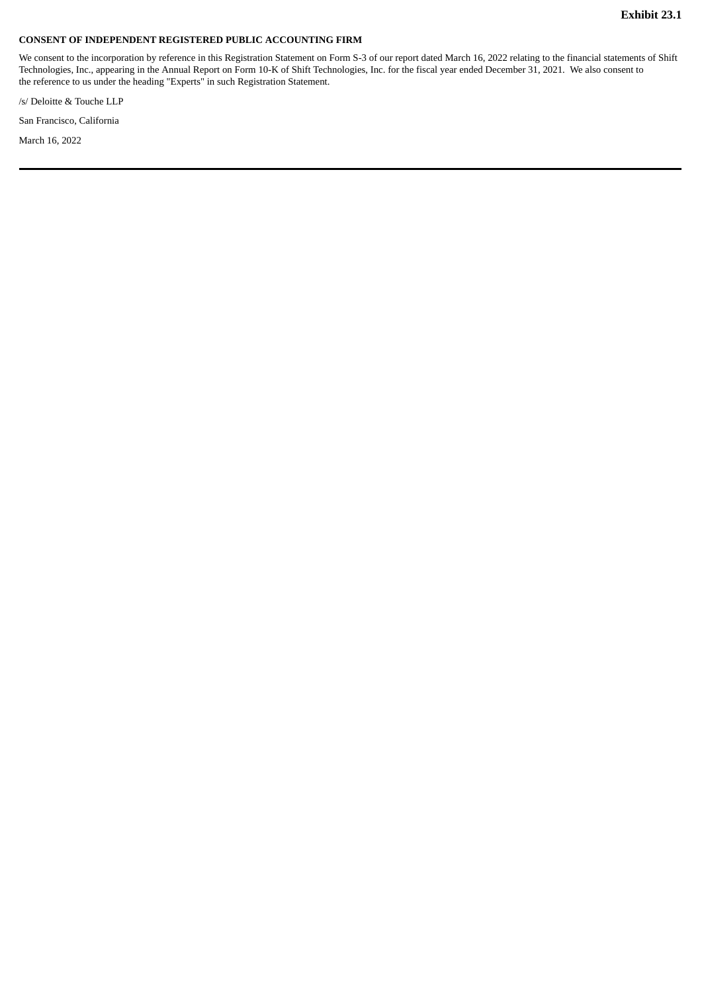# **CONSENT OF INDEPENDENT REGISTERED PUBLIC ACCOUNTING FIRM**

We consent to the incorporation by reference in this Registration Statement on Form S-3 of our report dated March 16, 2022 relating to the financial statements of Shift Technologies, Inc., appearing in the Annual Report on Form 10-K of Shift Technologies, Inc. for the fiscal year ended December 31, 2021. We also consent to the reference to us under the heading "Experts" in such Registration Statement.

/s/ Deloitte & Touche LLP

San Francisco, California

March 16, 2022